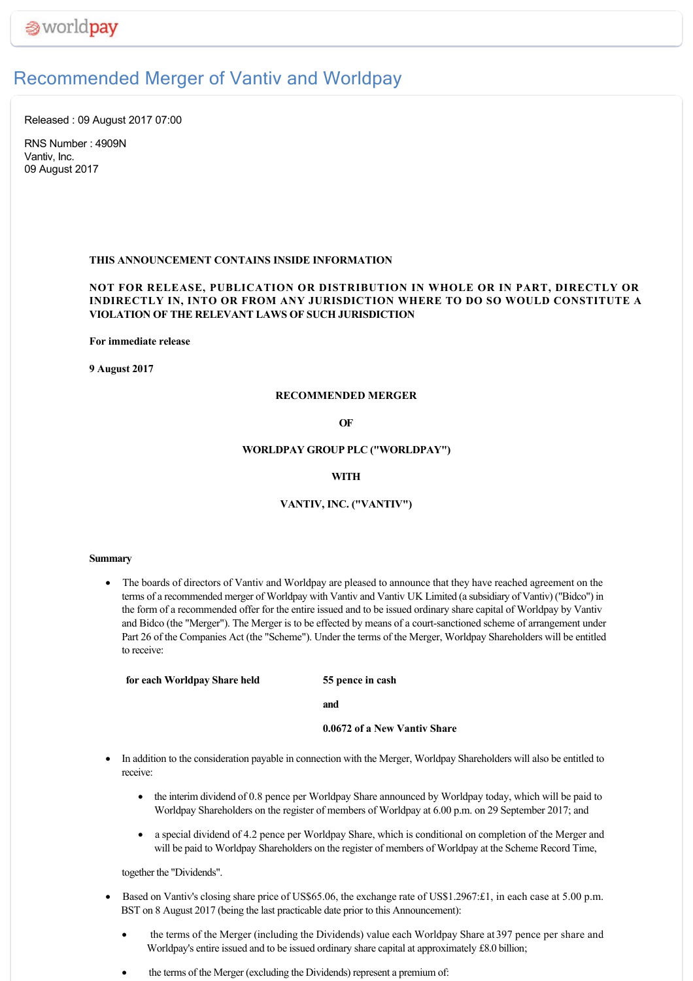# Recommended Merger of Vantiv and Worldpay

Released : 09 August 2017 07:00

RNS Number : 4909N Vantiv, Inc. 09 August 2017

# **THIS ANNOUNCEMENT CONTAINS INSIDE INFORMATION**

# **NOT FOR RELEASE, PUBLICATION OR DISTRIBUTION IN WHOLE OR IN PART, DIRECTLY OR INDIRECTLY IN, INTO OR FROM ANY JURISDICTION WHERE TO DO SO WOULD CONSTITUTE A VIOLATION OF THE RELEVANT LAWS OF SUCH JURISDICTION**

**For immediate release**

**9 August 2017**

### **RECOMMENDED MERGER**

#### **OF**

### **WORLDPAY GROUP PLC ("WORLDPAY")**

# **WITH**

# **VANTIV, INC. ("VANTIV")**

#### **Summary**

· The boards of directors of Vantiv and Worldpay are pleased to announce that they have reached agreement on the terms of a recommended merger of Worldpay with Vantiv and Vantiv UK Limited (a subsidiary of Vantiv) ("Bidco") in the form of a recommended offer for the entire issued and to be issued ordinary share capital of Worldpay by Vantiv and Bidco (the "Merger"). The Merger is to be effected by means of a court-sanctioned scheme of arrangement under Part 26 of the Companies Act (the "Scheme"). Under the terms of the Merger, Worldpay Shareholders will be entitled to receive:

**for each Worldpay Share held 55 pence in cash**

**and**

# **0.0672 of a New Vantiv Share**

- · In addition to the consideration payable in connection with the Merger, Worldpay Shareholders will also be entitled to receive:
	- the interim dividend of 0.8 pence per Worldpay Share announced by Worldpay today, which will be paid to Worldpay Shareholders on the register of members of Worldpay at 6.00 p.m. on 29 September 2017; and
	- · a special dividend of 4.2 pence per Worldpay Share, which is conditional on completion of the Merger and will be paid to Worldpay Shareholders on the register of members of Worldpay at the Scheme Record Time,

together the "Dividends".

- Based on Vantiv's closing share price of US\$65.06, the exchange rate of US\$1.2967:£1, in each case at 5.00 p.m. BST on 8 August 2017 (being the last practicable date prior to this Announcement):
	- the terms of the Merger (including the Dividends) value each Worldpay Share at 397 pence per share and Worldpay's entire issued and to be issued ordinary share capital at approximately £8.0 billion;
	- the terms of the Merger (excluding the Dividends) represent a premium of: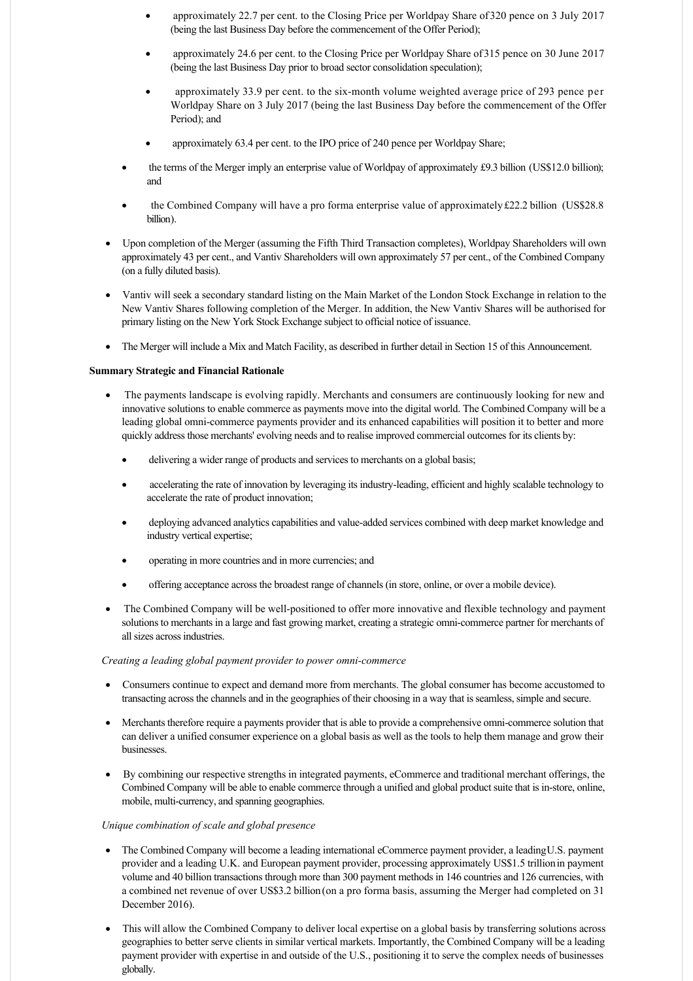- · approximately 22.7 per cent. to the Closing Price per Worldpay Share of 320 pence on 3 July 2017 (being the last Business Day before the commencement of the Offer Period);
- · approximately 24.6 per cent. to the Closing Price per Worldpay Share of 315 pence on 30 June 2017 (being the last Business Day prior to broad sector consolidation speculation);
- approximately 33.9 per cent. to the six-month volume weighted average price of 293 pence per Worldpay Share on 3 July 2017 (being the last Business Day before the commencement of the Offer Period); and
- approximately 63.4 per cent. to the IPO price of 240 pence per Worldpay Share;
- the terms of the Merger imply an enterprise value of Worldpay of approximately £9.3 billion (US\$12.0 billion); and
- the Combined Company will have a pro forma enterprise value of approximately £22.2 billion (US\$28.8) billion).
- · Upon completion of the Merger (assuming the Fifth Third Transaction completes), Worldpay Shareholders will own approximately 43 per cent., and Vantiv Shareholders will own approximately 57 per cent., of the Combined Company (on a fully diluted basis).
- · Vantiv will seek a secondary standard listing on the Main Market of the London Stock Exchange in relation to the New Vantiv Shares following completion of the Merger. In addition, the New Vantiv Shares will be authorised for primary listing on the New York Stock Exchange subject to official notice of issuance.
- · The Merger will include a Mix and Match Facility, as described in further detail in Section 15 of this Announcement.

### **Summary Strategic and Financial Rationale**

- The payments landscape is evolving rapidly. Merchants and consumers are continuously looking for new and innovative solutions to enable commerce as payments move into the digital world. The Combined Company will be a leading global omni-commerce payments provider and its enhanced capabilities will position it to better and more quickly address those merchants' evolving needs and to realise improved commercial outcomes for its clients by:
	- delivering a wider range of products and services to merchants on a global basis;
	- accelerating the rate of innovation by leveraging its industry-leading, efficient and highly scalable technology to accelerate the rate of product innovation;
	- deploying advanced analytics capabilities and value-added services combined with deep market knowledge and industry vertical expertise;
	- · operating in more countries and in more currencies; and
	- · offering acceptance across the broadest range of channels (in store, online, or over a mobile device).
- The Combined Company will be well-positioned to offer more innovative and flexible technology and payment solutions to merchants in a large and fast growing market, creating a strategic omni-commerce partner for merchants of all sizes across industries.

### *Creating a leading global payment provider to power omnicommerce*

- · Consumers continue to expect and demand more from merchants. The global consumer has become accustomed to transacting across the channels and in the geographies of their choosing in a way that is seamless, simple and secure.
- · Merchants therefore require a payments provider that is able to provide a comprehensive omnicommerce solution that can deliver a unified consumer experience on a global basis as well as the tools to help them manage and grow their businesses.
- By combining our respective strengths in integrated payments, eCommerce and traditional merchant offerings, the Combined Company will be able to enable commerce through a unified and global product suite that is in-store, online, mobile, multi-currency, and spanning geographies.

#### *Unique combination of scale and global presence*

- · The Combined Company will become a leading international eCommerce payment provider, a leading U.S. payment provider and a leading U.K. and European payment provider, processing approximately US\$1.5 trillion in payment volume and 40 billion transactions through more than 300 payment methods in 146 countries and 126 currencies, with a combined net revenue of over US\$3.2 billion (on a pro forma basis, assuming the Merger had completed on 31 December 2016).
- · This will allow the Combined Company to deliver local expertise on a global basis by transferring solutions across geographies to better serve clients in similar vertical markets. Importantly, the Combined Company will be a leading payment provider with expertise in and outside of the U.S., positioning it to serve the complex needs of businesses globally.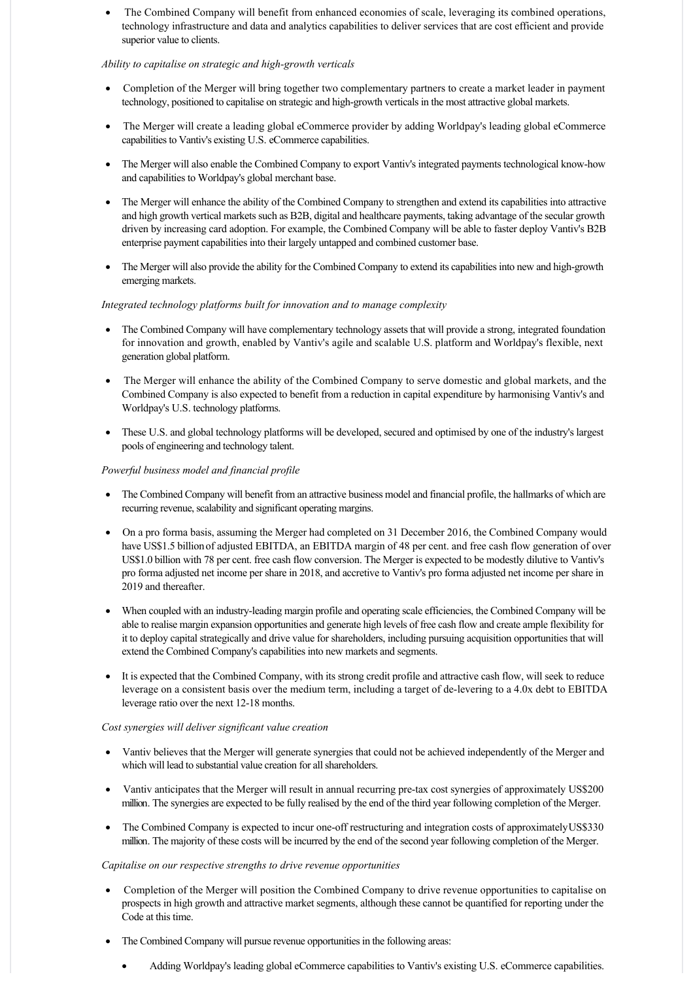The Combined Company will benefit from enhanced economies of scale, leveraging its combined operations, technology infrastructure and data and analytics capabilities to deliver services that are cost efficient and provide superior value to clients.

# *Ability to capitalise on strategic and high-growth verticals*

- Completion of the Merger will bring together two complementary partners to create a market leader in payment technology, positioned to capitalise on strategic and high-growth verticals in the most attractive global markets.
- · The Merger will create a leading global eCommerce provider by adding Worldpay's leading global eCommerce capabilities to Vantiv's existing U.S. eCommerce capabilities.
- · The Merger will also enable the Combined Company to export Vantiv's integrated payments technological knowhow and capabilities to Worldpay's global merchant base.
- · The Merger will enhance the ability of the Combined Company to strengthen and extend its capabilities into attractive and high growth vertical markets such as B2B, digital and healthcare payments, taking advantage of the secular growth driven by increasing card adoption. For example, the Combined Company will be able to faster deploy Vantiv's B2B enterprise payment capabilities into their largely untapped and combined customer base.
- The Merger will also provide the ability for the Combined Company to extend its capabilities into new and high-growth emerging markets.

# *Integrated technology platforms built for innovation and to manage complexity*

- The Combined Company will have complementary technology assets that will provide a strong, integrated foundation for innovation and growth, enabled by Vantiv's agile and scalable U.S. platform and Worldpay's flexible, next generation global platform.
- The Merger will enhance the ability of the Combined Company to serve domestic and global markets, and the Combined Company is also expected to benefit from a reduction in capital expenditure by harmonising Vantiv's and Worldpay's U.S. technology platforms.
- · These U.S. and global technology platforms will be developed, secured and optimised by one of the industry's largest pools of engineering and technology talent.

# *Powerful business model and financial profile*

- · The Combined Company will benefit from an attractive business model and financial profile, the hallmarks of which are recurring revenue, scalability and significant operating margins.
- · On a pro forma basis, assuming the Merger had completed on 31 December 2016, the Combined Company would have US\$1.5 billion of adjusted EBITDA, an EBITDA margin of 48 per cent, and free cash flow generation of over US\$1.0 billion with 78 per cent. free cash flow conversion. The Merger is expected to be modestly dilutive to Vantiv's pro forma adjusted net income per share in 2018, and accretive to Vantiv's pro forma adjusted net income per share in 2019 and thereafter.
- When coupled with an industry-leading margin profile and operating scale efficiencies, the Combined Company will be able to realise margin expansion opportunities and generate high levels of free cash flow and create ample flexibility for it to deploy capital strategically and drive value for shareholders, including pursuing acquisition opportunities that will extend the Combined Company's capabilities into new markets and segments.
- It is expected that the Combined Company, with its strong credit profile and attractive cash flow, will seek to reduce leverage on a consistent basis over the medium term, including a target of delevering to a 4.0x debt to EBITDA leverage ratio over the next 12-18 months.

# *Cost synergies will deliver significant value creation*

- · Vantiv believes that the Merger will generate synergies that could not be achieved independently of the Merger and which will lead to substantial value creation for all shareholders.
- Vantiv anticipates that the Merger will result in annual recurring pre-tax cost synergies of approximately US\$200 million. The synergies are expected to be fully realised by the end of the third year following completion of the Merger.
- The Combined Company is expected to incur one-off restructuring and integration costs of approximately US\$330 million. The majority of these costs will be incurred by the end of the second year following completion of the Merger.

# *Capitalise on our respective strengths to drive revenue opportunities*

- · Completion of the Merger will position the Combined Company to drive revenue opportunities to capitalise on prospects in high growth and attractive market segments, although these cannot be quantified for reporting under the Code at this time.
- · The Combined Company will pursue revenue opportunities in the following areas:
	- · Adding Worldpay's leading global eCommerce capabilities to Vantiv's existing U.S. eCommerce capabilities.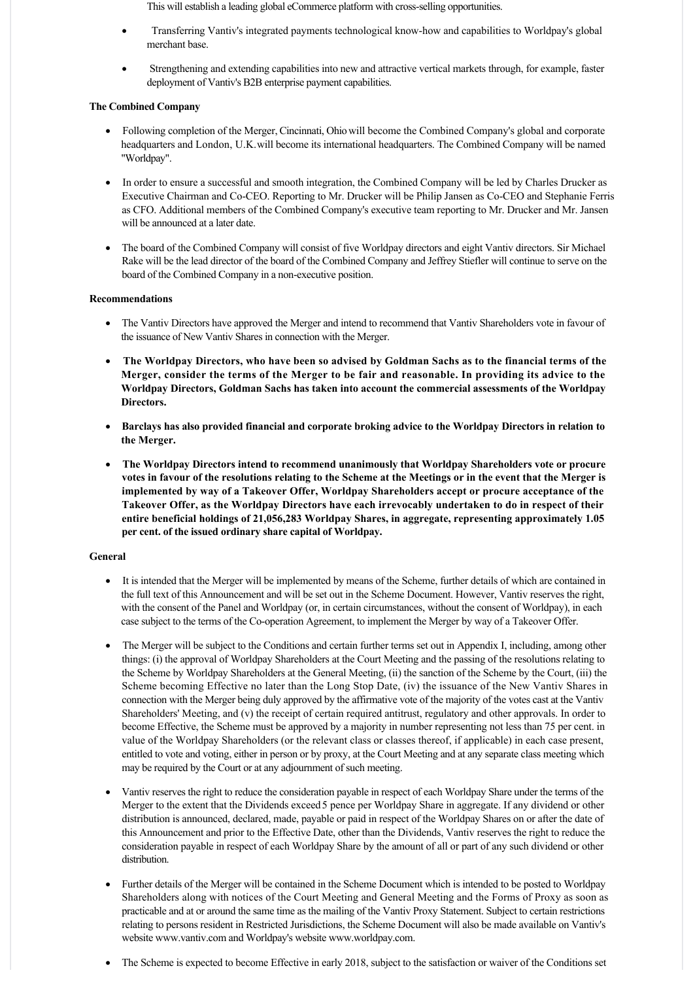This will establish a leading global eCommerce platform with cross-selling opportunities.

- · Transferring Vantiv's integrated payments technological knowhow and capabilities to Worldpay's global merchant base.
- Strengthening and extending capabilities into new and attractive vertical markets through, for example, faster deployment of Vantiv's B2B enterprise payment capabilities.

# **The Combined Company**

- · Following completion of the Merger, Cincinnati, Ohio will become the Combined Company's global and corporate headquarters and London, U.K. will become its international headquarters. The Combined Company will be named "Worldpay".
- · In order to ensure a successful and smooth integration, the Combined Company will be led by Charles Drucker as Executive Chairman and CoCEO. Reporting to Mr. Drucker will be Philip Jansen as CoCEO and Stephanie Ferris as CFO. Additional members of the Combined Company's executive team reporting to Mr. Drucker and Mr. Jansen will be announced at a later date.
- · The board of the Combined Company will consist of five Worldpay directors and eight Vantiv directors. Sir Michael Rake will be the lead director of the board of the Combined Company and Jeffrey Stiefler will continue to serve on the board of the Combined Company in a non-executive position.

# **Recommendations**

- · The Vantiv Directors have approved the Merger and intend to recommend that Vantiv Shareholders vote in favour of the issuance of New Vantiv Shares in connection with the Merger.
- · **The Worldpay Directors, who have been so advised by Goldman Sachs as to the financial terms of the Merger, consider the terms of the Merger to be fair and reasonable. In providing its advice to the Worldpay Directors, Goldman Sachs has taken into account the commercial assessments of the Worldpay Directors.**
- · **Barclays has also provided financial and corporate broking advice to the Worldpay Directors in relation to the Merger.**
- · **The Worldpay Directors intend to recommend unanimously that Worldpay Shareholders vote or procure votes in favour of the resolutions relating to the Scheme at the Meetings or in the event that the Merger is implemented by way of a Takeover Offer, Worldpay Shareholders accept or procure acceptance of the Takeover Offer, as the Worldpay Directors have each irrevocably undertaken to do in respect of their entire beneficial holdings of 21,056,283 Worldpay Shares, in aggregate, representing approximately 1.05 per cent. of the issued ordinary share capital of Worldpay.**

# **General**

- · It is intended that the Merger will be implemented by means of the Scheme, further details of which are contained in the full text of this Announcement and will be set out in the Scheme Document. However, Vantiv reserves the right, with the consent of the Panel and Worldpay (or, in certain circumstances, without the consent of Worldpay), in each case subject to the terms of the Cooperation Agreement, to implement the Merger by way of a Takeover Offer.
- The Merger will be subject to the Conditions and certain further terms set out in Appendix I, including, among other things: (i) the approval of Worldpay Shareholders at the Court Meeting and the passing of the resolutions relating to the Scheme by Worldpay Shareholders at the General Meeting, (ii) the sanction of the Scheme by the Court, (iii) the Scheme becoming Effective no later than the Long Stop Date, (iv) the issuance of the New Vantiv Shares in connection with the Merger being duly approved by the affirmative vote of the majority of the votes cast at the Vantiv Shareholders' Meeting, and (v) the receipt of certain required antitrust, regulatory and other approvals. In order to become Effective, the Scheme must be approved by a majority in number representing not less than 75 per cent. in value of the Worldpay Shareholders (or the relevant class or classes thereof, if applicable) in each case present, entitled to vote and voting, either in person or by proxy, at the Court Meeting and at any separate class meeting which may be required by the Court or at any adjournment of such meeting.
- · Vantiv reserves the right to reduce the consideration payable in respect of each Worldpay Share under the terms of the Merger to the extent that the Dividends exceed 5 pence per Worldpay Share in aggregate. If any dividend or other distribution is announced, declared, made, payable or paid in respect of the Worldpay Shares on or after the date of this Announcement and prior to the Effective Date, other than the Dividends, Vantiv reserves the right to reduce the consideration payable in respect of each Worldpay Share by the amount of all or part of any such dividend or other distribution.
- · Further details of the Merger will be contained in the Scheme Document which is intended to be posted to Worldpay Shareholders along with notices of the Court Meeting and General Meeting and the Forms of Proxy as soon as practicable and at or around the same time as the mailing of the Vantiv Proxy Statement. Subject to certain restrictions relating to persons resident in Restricted Jurisdictions, the Scheme Document will also be made available on Vantiv's website www.vantiv.com and Worldpay's website www.worldpay.com.
- The Scheme is expected to become Effective in early 2018, subject to the satisfaction or waiver of the Conditions set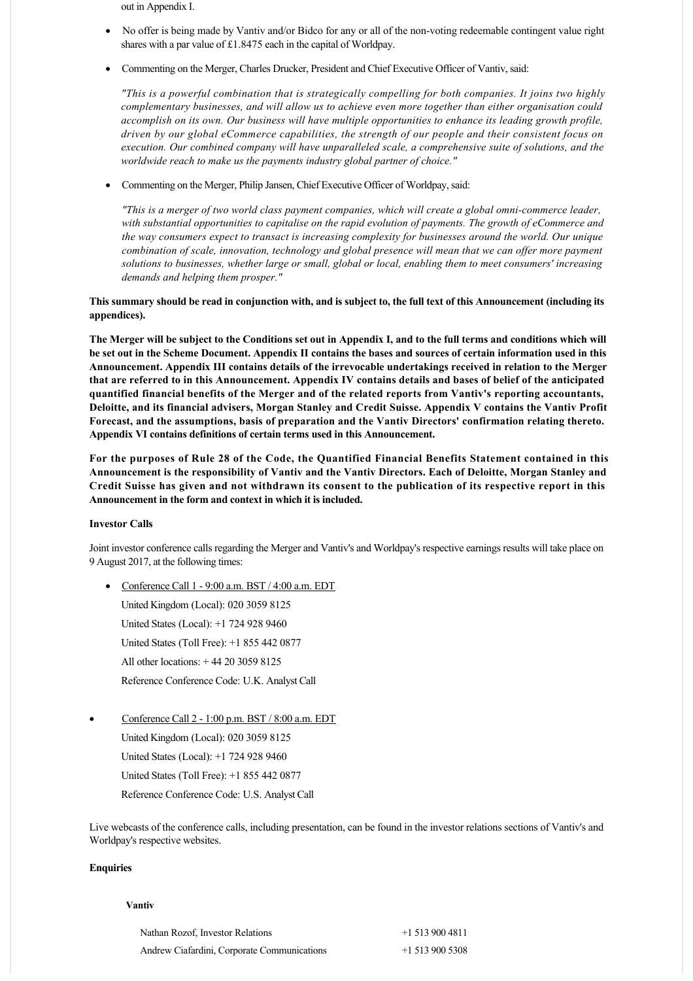out in Appendix I.

- No offer is being made by Vantiv and/or Bidco for any or all of the non-voting redeemable contingent value right shares with a par value of £1.8475 each in the capital of Worldpay.
- · Commenting on the Merger, Charles Drucker, President and Chief Executive Officer of Vantiv, said:

*"This is a powerful combination that is strategically compelling for both companies. It joins two highly complementary businesses, and will allow us to achieve even more together than either organisation could accomplish on its own. Our business will have multiple opportunities to enhance its leading growth profile, driven by our global eCommerce capabilities, the strength of our people and their consistent focus on execution. Our combined company will have unparalleled scale, a comprehensive suite of solutions, and the worldwide reach to make us the payments industry global partner of choice."*

· Commenting on the Merger, Philip Jansen, Chief Executive Officer of Worldpay, said:

*"This is a merger of two world class payment companies, which will create a global omnicommerce leader, with substantial opportunities to capitalise on the rapid evolution of payments. The growth of eCommerce and the way consumers expect to transact is increasing complexity for businesses around the world. Our unique combination of scale, innovation, technology and global presence will mean that we can offer more payment solutions to businesses, whether large or small, global or local, enabling them to meet consumers' increasing demands and helping them prosper."*

# **This summary should be read in conjunction with, and is subject to, the full text of this Announcement (including its appendices).**

**The Merger will be subject to the Conditions set out in Appendix I, and to the full terms and conditions which will be set out in the Scheme Document. Appendix II contains the bases and sources of certain information used in this Announcement. Appendix III contains details of the irrevocable undertakings received in relation to the Merger that are referred to in this Announcement. Appendix IV contains details and bases of belief of the anticipated quantified financial benefits of the Merger and of the related reports from Vantiv's reporting accountants, Deloitte, and its financial advisers, Morgan Stanley and Credit Suisse. Appendix V contains the Vantiv Profit Forecast, and the assumptions, basis of preparation and the Vantiv Directors' confirmation relating thereto. Appendix VI contains definitions of certain terms used in this Announcement.**

**For the purposes of Rule 28 of the Code, the Quantified Financial Benefits Statement contained in this Announcement is the responsibility of Vantiv and the Vantiv Directors. Each of Deloitte, Morgan Stanley and Credit Suisse has given and not withdrawn its consent to the publication of its respective report in this Announcement in the form and context in which it is included.**

### **Investor Calls**

Joint investor conference calls regarding the Merger and Vantiv's and Worldpay's respective earnings results will take place on 9 August 2017, at the following times:

• Conference Call  $1 - 9:00$  a.m. BST  $/ 4:00$  a.m. EDT

United Kingdom (Local): 020 3059 8125 United States (Local): +1 724 928 9460 United States (Toll Free): +1 855 442 0877 All other locations: + 44 20 3059 8125 Reference Conference Code: U.K. Analyst Call

Conference Call 2 - 1:00 p.m. BST / 8:00 a.m. EDT

United Kingdom (Local): 020 3059 8125 United States (Local): +1 724 928 9460 United States (Toll Free): +1 855 442 0877 Reference Conference Code: U.S. Analyst Call

Live webcasts of the conference calls, including presentation, can be found in the investor relations sections of Vantiv's and Worldpay's respective websites.

#### **Enquiries**

#### **Vantiv**

| Nathan Rozof, Investor Relations            | $+15139004811$ |
|---------------------------------------------|----------------|
| Andrew Ciafardini, Corporate Communications | $+15139005308$ |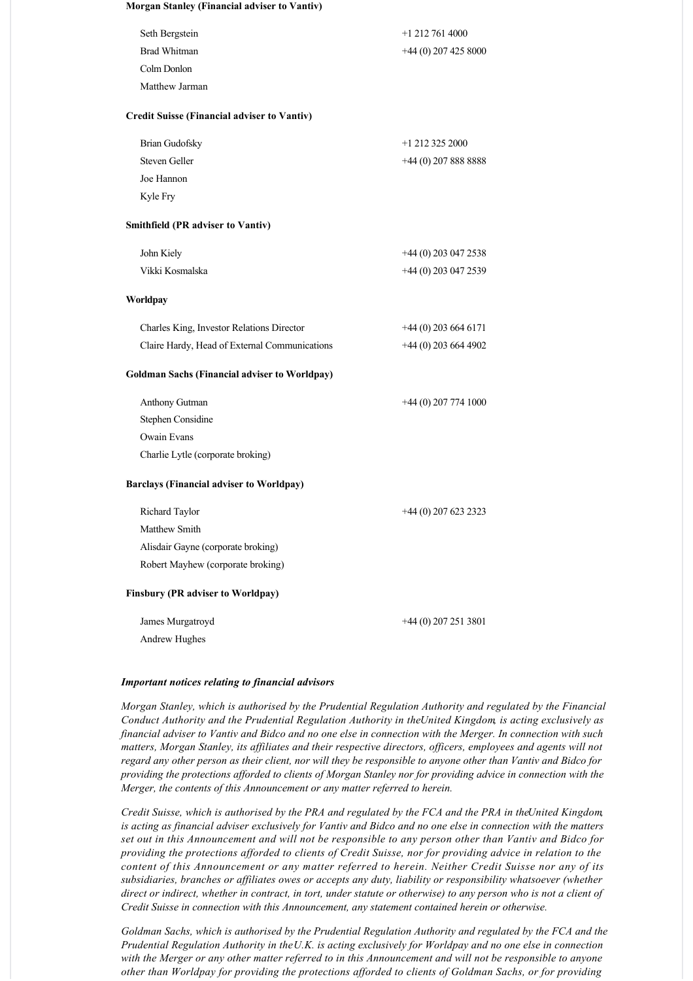| Morgan Stanley (Financial adviser to Vantiv) |  |
|----------------------------------------------|--|
| Seth Bergstein                               |  |
| Brad Whitman                                 |  |
| Colm Donlon                                  |  |

Matthew Jarman

### **Credit Suisse (Financial adviser to Vantiv)**

| Brian Gudofsky | $+1$ 212 325 2000     |
|----------------|-----------------------|
| Steven Geller  | $+44(0)$ 207 888 8888 |
| Joe Hannon     |                       |
| Kyle Fry       |                       |

+1 212 761 4000 +44 (0) 207 425 8000

# **Smithfield (PR adviser to Vantiv)**

| John Kiely      | $+44(0)$ 203 047 2538 |
|-----------------|-----------------------|
| Vikki Kosmalska | $+44(0)$ 203 047 2539 |

### **Worldpay**

| Charles King, Investor Relations Director     | $+44(0)$ 203 664 6171 |
|-----------------------------------------------|-----------------------|
| Claire Hardy, Head of External Communications | $+44(0)$ 203 664 4902 |

### **Goldman Sachs (Financial adviser to Worldpay)**

| Anthony Gutman                    | $+44(0)$ 207 774 1000 |
|-----------------------------------|-----------------------|
| Stephen Considine                 |                       |
| Owain Evans                       |                       |
| Charlie Lytle (corporate broking) |                       |

### **Barclays (Financial adviser to Worldpay)**

| Richard Taylor                           | $+44(0)$ 207 623 2323 |
|------------------------------------------|-----------------------|
| Matthew Smith                            |                       |
| Alisdair Gayne (corporate broking)       |                       |
| Robert Mayhew (corporate broking)        |                       |
| <b>Finsbury (PR adviser to Worldpay)</b> |                       |

| James Murgatroyd | $+44(0)$ 207 251 3801 |
|------------------|-----------------------|
| Andrew Hughes    |                       |

# *Important notices relating to financial advisors*

*Morgan Stanley, which is authorised by the Prudential Regulation Authority and regulated by the Financial Conduct Authority and the Prudential Regulation Authority in the United Kingdom, is acting exclusively as financial adviser to Vantiv and Bidco and no one else in connection with the Merger. In connection with such matters, Morgan Stanley, its affiliates and their respective directors, officers, employees and agents will not regard any other person as their client, nor will they be responsible to anyone other than Vantiv and Bidco for providing the protections afforded to clients of Morgan Stanley nor for providing advice in connection with the Merger, the contents of this Announcement or any matter referred to herein.*

*Credit Suisse, which is authorised by the PRA and regulated by the FCA and the PRA in the United Kingdom, is acting as financial adviser exclusively for Vantiv and Bidco and no one else in connection with the matters set out in this Announcement and will not be responsible to any person other than Vantiv and Bidco for providing the protections afforded to clients of Credit Suisse, nor for providing advice in relation to the content of this Announcement or any matter referred to herein. Neither Credit Suisse nor any of its subsidiaries, branches or affiliates owes or accepts any duty, liability or responsibility whatsoever (whether direct or indirect, whether in contract, in tort, under statute or otherwise) to any person who is not a client of Credit Suisse in connection with this Announcement, any statement contained herein or otherwise.*

*Goldman Sachs, which is authorised by the Prudential Regulation Authority and regulated by the FCA and the Prudential Regulation Authority in the U.K. is acting exclusively for Worldpay and no one else in connection with the Merger or any other matter referred to in this Announcement and will not be responsible to anyone other than Worldpay for providing the protections afforded to clients of Goldman Sachs, or for providing*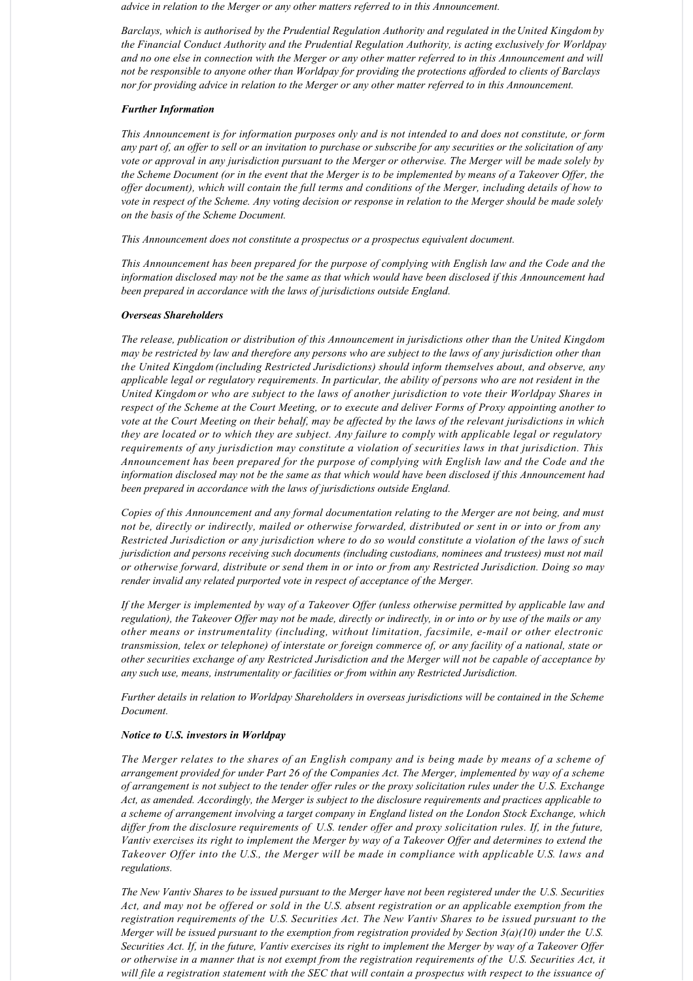*advice in relation to the Merger or any other matters referred to in this Announcement.*

*Barclays, which is authorised by the Prudential Regulation Authority and regulated in the United Kingdom by the Financial Conduct Authority and the Prudential Regulation Authority, is acting exclusively for Worldpay and no one else in connection with the Merger or any other matter referred to in this Announcement and will not be responsible to anyone other than Worldpay for providing the protections afforded to clients of Barclays nor for providing advice in relation to the Merger or any other matter referred to in this Announcement.*

#### *Further Information*

*This Announcement is for information purposes only and is not intended to and does not constitute, or form any part of, an offer to sell or an invitation to purchase or subscribe for any securities or the solicitation of any vote or approval in any jurisdiction pursuant to the Merger or otherwise. The Merger will be made solely by the Scheme Document (or in the event that the Merger is to be implemented by means of a Takeover Offer, the offer document), which will contain the full terms and conditions of the Merger, including details of how to vote in respect of the Scheme. Any voting decision or response in relation to the Merger should be made solely on the basis of the Scheme Document.*

*This Announcement does not constitute a prospectus or a prospectus equivalent document.*

*This Announcement has been prepared for the purpose of complying with English law and the Code and the information disclosed may not be the same as that which would have been disclosed if this Announcement had been prepared in accordance with the laws of jurisdictions outside England.*

### *Overseas Shareholders*

*The release, publication or distribution of this Announcement in jurisdictions other than the United Kingdom may be restricted by law and therefore any persons who are subject to the laws of any jurisdiction other than the United Kingdom (including Restricted Jurisdictions) should inform themselves about, and observe, any applicable legal or regulatory requirements. In particular, the ability of persons who are not resident in the United Kingdom or who are subject to the laws of another jurisdiction to vote their Worldpay Shares in respect of the Scheme at the Court Meeting, or to execute and deliver Forms of Proxy appointing another to vote at the Court Meeting on their behalf, may be affected by the laws of the relevant jurisdictions in which they are located or to which they are subject. Any failure to comply with applicable legal or regulatory requirements of any jurisdiction may constitute a violation of securities laws in that jurisdiction. This Announcement has been prepared for the purpose of complying with English law and the Code and the information disclosed may not be the same as that which would have been disclosed if this Announcement had been prepared in accordance with the laws of jurisdictions outside England.*

*Copies of this Announcement and any formal documentation relating to the Merger are not being, and must not be, directly or indirectly, mailed or otherwise forwarded, distributed or sent in or into or from any Restricted Jurisdiction or any jurisdiction where to do so would constitute a violation of the laws of such jurisdiction and persons receiving such documents (including custodians, nominees and trustees) must not mail or otherwise forward, distribute or send them in or into or from any Restricted Jurisdiction. Doing so may render invalid any related purported vote in respect of acceptance of the Merger.*

*If the Merger is implemented by way of a Takeover Offer (unless otherwise permitted by applicable law and regulation), the Takeover Offer may not be made, directly or indirectly, in or into or by use of the mails or any other means or instrumentality (including, without limitation, facsimile, email or other electronic transmission, telex or telephone) of interstate or foreign commerce of, or any facility of a national, state or other securities exchange of any Restricted Jurisdiction and the Merger will not be capable of acceptance by any such use, means, instrumentality or facilities or from within any Restricted Jurisdiction.*

*Further details in relation to Worldpay Shareholders in overseas jurisdictions will be contained in the Scheme Document.*

#### *Notice to U.S. investors in Worldpay*

*The Merger relates to the shares of an English company and is being made by means of a scheme of arrangement provided for under Part 26 of the Companies Act. The Merger, implemented by way of a scheme of arrangement is not subject to the tender offer rules or the proxy solicitation rules under the U.S. Exchange Act, as amended. Accordingly, the Merger is subject to the disclosure requirements and practices applicable to a scheme of arrangement involving a target company in England listed on the London Stock Exchange, which differ from the disclosure requirements of U.S. tender offer and proxy solicitation rules. If, in the future, Vantiv exercises its right to implement the Merger by way of a Takeover Offer and determines to extend the Takeover Offer into the U.S., the Merger will be made in compliance with applicable U.S. laws and regulations.*

*The New Vantiv Shares to be issued pursuant to the Merger have not been registered under the U.S. Securities Act, and may not be offered or sold in the U.S. absent registration or an applicable exemption from the registration requirements of the U.S. Securities Act. The New Vantiv Shares to be issued pursuant to the Merger will be issued pursuant to the exemption from registration provided by Section 3(a)(10) under the U.S. Securities Act. If, in the future, Vantiv exercises its right to implement the Merger by way of a Takeover Offer or otherwise in a manner that is not exempt from the registration requirements of the U.S. Securities Act, it will file a registration statement with the SEC that will contain a prospectus with respect to the issuance of*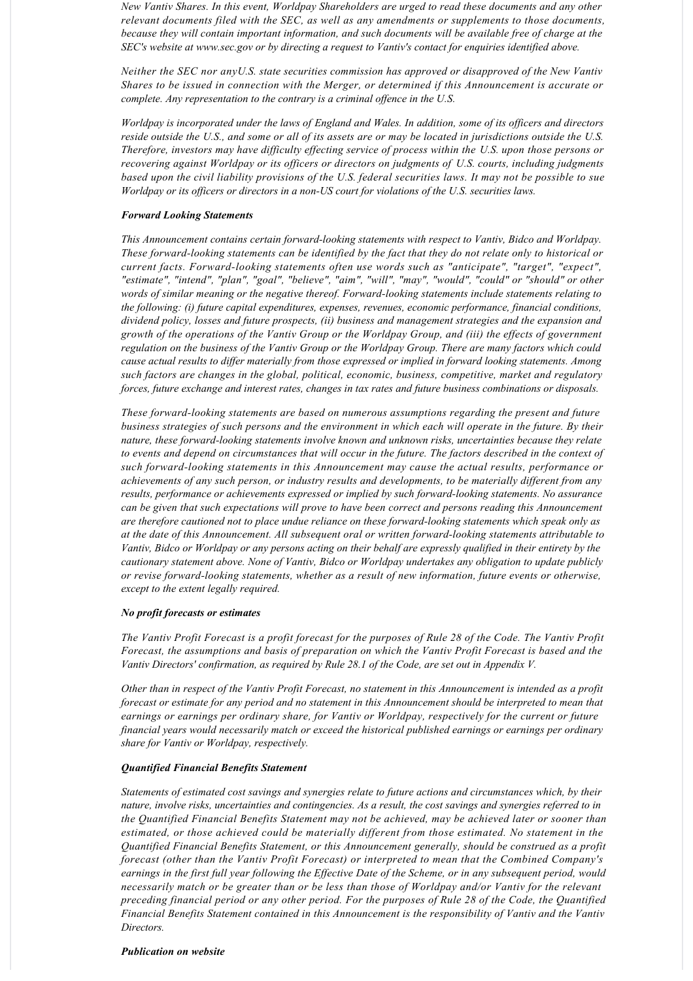*New Vantiv Shares. In this event, Worldpay Shareholders are urged to read these documents and any other relevant documents filed with the SEC, as well as any amendments or supplements to those documents, because they will contain important information, and such documents will be available free of charge at the SEC's website at www.sec.gov or by directing a request to Vantiv's contact for enquiries identified above.*

*Neither the SEC nor any U.S. state securities commission has approved or disapproved of the New Vantiv Shares to be issued in connection with the Merger, or determined if this Announcement is accurate or complete. Any representation to the contrary is a criminal offence in the U.S.*

*Worldpay is incorporated under the laws of England and Wales. In addition, some of its officers and directors reside outside the U.S., and some or all of its assets are or may be located in jurisdictions outside the U.S. Therefore, investors may have difficulty effecting service of process within the U.S. upon those persons or recovering against Worldpay or its officers or directors on judgments of U.S. courts, including judgments based upon the civil liability provisions of the U.S. federal securities laws. It may not be possible to sue Worldpay or its officers or directors in a nonUS court for violations of the U.S. securities laws.*

#### *Forward Looking Statements*

This Announcement contains certain forward-looking statements with respect to Vantiv, Bidco and Worldpay. *These forwardlooking statements can be identified by the fact that they do not relate only to historical or current facts. Forwardlooking statements often use words such as "anticipate", "target", "expect", "estimate", "intend", "plan", "goal", "believe", "aim", "will", "may", "would", "could" or "should" or other words of similar meaning or the negative thereof. Forward-looking statements include statements relating to the following: (i) future capital expenditures, expenses, revenues, economic performance, financial conditions, dividend policy, losses and future prospects, (ii) business and management strategies and the expansion and growth of the operations of the Vantiv Group or the Worldpay Group, and (iii) the effects of government regulation on the business of the Vantiv Group or the Worldpay Group. There are many factors which could cause actual results to differ materially from those expressed or implied in forward looking statements. Among such factors are changes in the global, political, economic, business, competitive, market and regulatory forces, future exchange and interest rates, changes in tax rates and future business combinations or disposals.*

*These forwardlooking statements are based on numerous assumptions regarding the present and future business strategies of such persons and the environment in which each will operate in the future. By their nature, these forward-looking statements involve known and unknown risks, uncertainties because they relate to events and depend on circumstances that will occur in the future. The factors described in the context of such forwardlooking statements in this Announcement may cause the actual results, performance or achievements of any such person, or industry results and developments, to be materially different from any* results, performance or achievements expressed or implied by such forward-looking statements. No assurance *can be given that such expectations will prove to have been correct and persons reading this Announcement are therefore cautioned not to place undue reliance on these forwardlooking statements which speak only as at the date of this Announcement. All subsequent oral or written forwardlooking statements attributable to Vantiv, Bidco or Worldpay or any persons acting on their behalf are expressly qualified in their entirety by the cautionary statement above. None of Vantiv, Bidco or Worldpay undertakes any obligation to update publicly or revise forwardlooking statements, whether as a result of new information, future events or otherwise, except to the extent legally required.*

#### *No profit forecasts or estimates*

*The Vantiv Profit Forecast is a profit forecast for the purposes of Rule 28 of the Code. The Vantiv Profit Forecast, the assumptions and basis of preparation on which the Vantiv Profit Forecast is based and the Vantiv Directors' confirmation, as required by Rule 28.1 of the Code, are set out in Appendix V.*

*Other than in respect of the Vantiv Profit Forecast, no statement in this Announcement is intended as a profit forecast or estimate for any period and no statement in this Announcement should be interpreted to mean that earnings or earnings per ordinary share, for Vantiv or Worldpay, respectively for the current or future financial years would necessarily match or exceed the historical published earnings or earnings per ordinary share for Vantiv or Worldpay, respectively.*

#### *Quantified Financial Benefits Statement*

*Statements of estimated cost savings and synergies relate to future actions and circumstances which, by their nature, involve risks, uncertainties and contingencies. As a result, the cost savings and synergies referred to in the Quantified Financial Benefits Statement may not be achieved, may be achieved later or sooner than estimated, or those achieved could be materially different from those estimated. No statement in the Quantified Financial Benefits Statement, or this Announcement generally, should be construed as a profit forecast (other than the Vantiv Profit Forecast) or interpreted to mean that the Combined Company's earnings in the first full year following the Effective Date of the Scheme, or in any subsequent period, would necessarily match or be greater than or be less than those of Worldpay and/or Vantiv for the relevant preceding financial period or any other period. For the purposes of Rule 28 of the Code, the Quantified Financial Benefits Statement contained in this Announcement is the responsibility of Vantiv and the Vantiv Directors.*

### *Publication on website*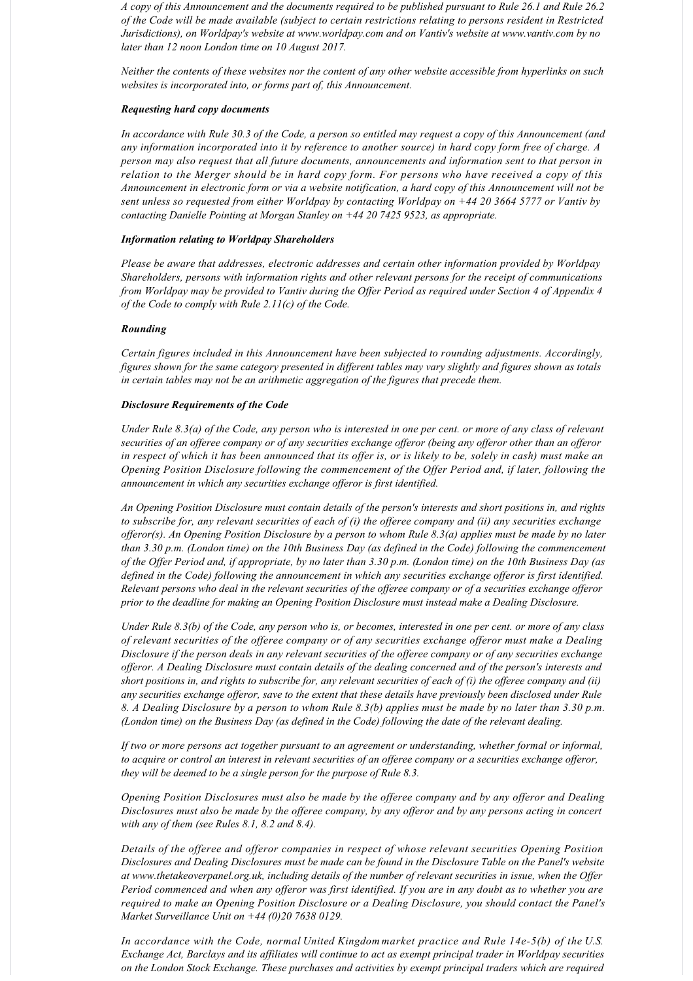*A copy of this Announcement and the documents required to be published pursuant to Rule 26.1 and Rule 26.2 of the Code will be made available (subject to certain restrictions relating to persons resident in Restricted Jurisdictions), on Worldpay's website at www.worldpay.com and on Vantiv's website at www.vantiv.com by no later than 12 noon London time on 10 August 2017.*

*Neither the contents of these websites nor the content of any other website accessible from hyperlinks on such websites is incorporated into, or forms part of, this Announcement.*

### *Requesting hard copy documents*

*In accordance with Rule 30.3 of the Code, a person so entitled may request a copy of this Announcement (and any information incorporated into it by reference to another source) in hard copy form free of charge. A person may also request that all future documents, announcements and information sent to that person in relation to the Merger should be in hard copy form. For persons who have received a copy of this Announcement in electronic form or via a website notification, a hard copy of this Announcement will not be sent unless so requested from either Worldpay by contacting Worldpay on +44 20 3664 5777 or Vantiv by contacting Danielle Pointing at Morgan Stanley on +44 20 7425 9523, as appropriate.*

### *Information relating to Worldpay Shareholders*

*Please be aware that addresses, electronic addresses and certain other information provided by Worldpay Shareholders, persons with information rights and other relevant persons for the receipt of communications from Worldpay may be provided to Vantiv during the Offer Period as required under Section 4 of Appendix 4 of the Code to comply with Rule 2.11(c) of the Code.*

# *Rounding*

*Certain figures included in this Announcement have been subjected to rounding adjustments. Accordingly, figures shown for the same category presented in different tables may vary slightly and figures shown as totals in certain tables may not be an arithmetic aggregation of the figures that precede them.*

#### *Disclosure Requirements of the Code*

*Under Rule 8.3(a) of the Code, any person who is interested in one per cent. or more of any class of relevant securities of an offeree company or of any securities exchange offeror (being any offeror other than an offeror in respect of which it has been announced that its offer is, or is likely to be, solely in cash) must make an Opening Position Disclosure following the commencement of the Offer Period and, if later, following the announcement in which any securities exchange offeror is first identified.*

*An Opening Position Disclosure must contain details of the person's interests and short positions in, and rights to subscribe for, any relevant securities of each of (i) the offeree company and (ii) any securities exchange offeror(s). An Opening Position Disclosure by a person to whom Rule 8.3(a) applies must be made by no later than 3.30 p.m. (London time) on the 10th Business Day (as defined in the Code) following the commencement of the Offer Period and, if appropriate, by no later than 3.30 p.m. (London time) on the 10th Business Day (as defined in the Code) following the announcement in which any securities exchange offeror is first identified. Relevant persons who deal in the relevant securities of the offeree company or of a securities exchange offeror prior to the deadline for making an Opening Position Disclosure must instead make a Dealing Disclosure.*

*Under Rule 8.3(b) of the Code, any person who is, or becomes, interested in one per cent. or more of any class of relevant securities of the offeree company or of any securities exchange offeror must make a Dealing Disclosure if the person deals in any relevant securities of the offeree company or of any securities exchange offeror. A Dealing Disclosure must contain details of the dealing concerned and of the person's interests and short positions in, and rights to subscribe for, any relevant securities of each of (i) the offeree company and (ii) any securities exchange offeror, save to the extent that these details have previously been disclosed under Rule 8. A Dealing Disclosure by a person to whom Rule 8.3(b) applies must be made by no later than 3.30 p.m. (London time) on the Business Day (as defined in the Code) following the date of the relevant dealing.*

*If two or more persons act together pursuant to an agreement or understanding, whether formal or informal, to acquire or control an interest in relevant securities of an offeree company or a securities exchange offeror, they will be deemed to be a single person for the purpose of Rule 8.3.*

*Opening Position Disclosures must also be made by the offeree company and by any offeror and Dealing Disclosures must also be made by the offeree company, by any offeror and by any persons acting in concert with any of them (see Rules 8.1, 8.2 and 8.4).*

*Details of the offeree and offeror companies in respect of whose relevant securities Opening Position Disclosures and Dealing Disclosures must be made can be found in the Disclosure Table on the Panel's website at www.thetakeoverpanel.org.uk, including details of the number of relevant securities in issue, when the Offer Period commenced and when any offeror was first identified. If you are in any doubt as to whether you are required to make an Opening Position Disclosure or a Dealing Disclosure, you should contact the Panel's Market Surveillance Unit on +44 (0)20 7638 0129.*

*In accordance with the Code, normal United Kingdom market practice and Rule 14e5(b) of the U.S. Exchange Act, Barclays and its affiliates will continue to act as exempt principal trader in Worldpay securities on the London Stock Exchange. These purchases and activities by exempt principal traders which are required*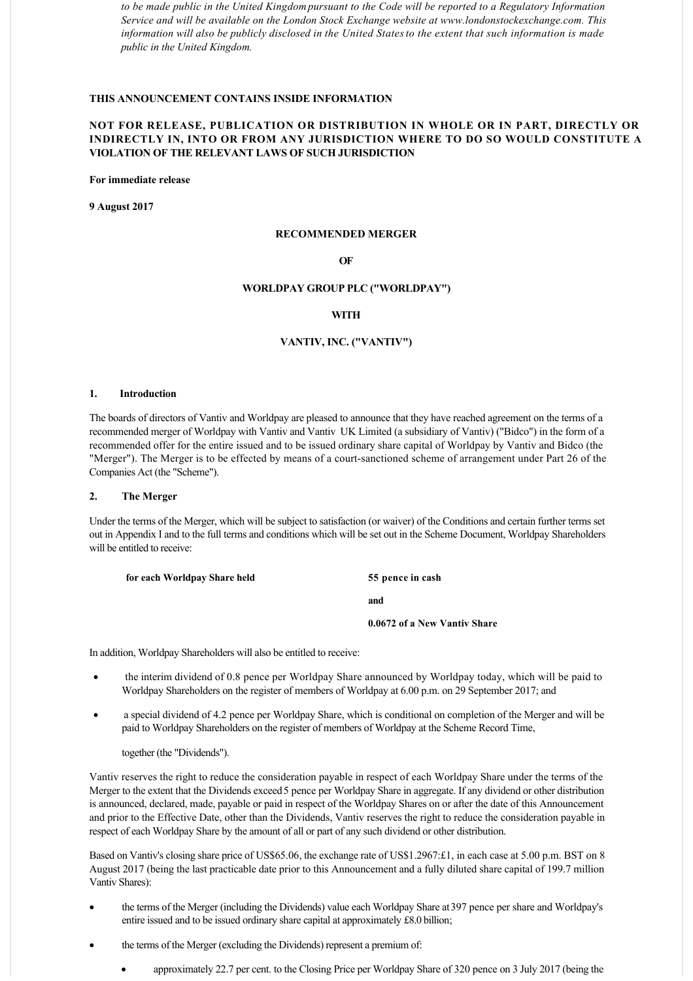*to be made public in the United Kingdom pursuant to the Code will be reported to a Regulatory Information Service and will be available on the London Stock Exchange website at www.londonstockexchange.com. This information will also be publicly disclosed in the United States to the extent that such information is made public in the United Kingdom.*

# **THIS ANNOUNCEMENT CONTAINS INSIDE INFORMATION**

# **NOT FOR RELEASE, PUBLICATION OR DISTRIBUTION IN WHOLE OR IN PART, DIRECTLY OR INDIRECTLY IN, INTO OR FROM ANY JURISDICTION WHERE TO DO SO WOULD CONSTITUTE A VIOLATION OF THE RELEVANT LAWS OF SUCH JURISDICTION**

**For immediate release**

**9 August 2017**

#### **RECOMMENDED MERGER**

# **OF**

# **WORLDPAY GROUP PLC ("WORLDPAY")**

# **WITH**

# **VANTIV, INC. ("VANTIV")**

#### **1. Introduction**

The boards of directors of Vantiv and Worldpay are pleased to announce that they have reached agreement on the terms of a recommended merger of Worldpay with Vantiv and Vantiv UK Limited (a subsidiary of Vantiv) ("Bidco") in the form of a recommended offer for the entire issued and to be issued ordinary share capital of Worldpay by Vantiv and Bidco (the "Merger"). The Merger is to be effected by means of a court-sanctioned scheme of arrangement under Part 26 of the Companies Act (the "Scheme").

### **2. The Merger**

Under the terms of the Merger, which will be subject to satisfaction (or waiver) of the Conditions and certain further terms set out in Appendix I and to the full terms and conditions which will be set out in the Scheme Document, Worldpay Shareholders will be entitled to receive:

| for each Worldpay Share held | 55 pence in cash             |
|------------------------------|------------------------------|
|                              | and                          |
|                              | 0.0672 of a New Vantiv Share |

In addition, Worldpay Shareholders will also be entitled to receive:

- · the interim dividend of 0.8 pence per Worldpay Share announced by Worldpay today, which will be paid to Worldpay Shareholders on the register of members of Worldpay at 6.00 p.m. on 29 September 2017; and
- a special dividend of 4.2 pence per Worldpay Share, which is conditional on completion of the Merger and will be paid to Worldpay Shareholders on the register of members of Worldpay at the Scheme Record Time,

together (the "Dividends").

Vantiv reserves the right to reduce the consideration payable in respect of each Worldpay Share under the terms of the Merger to the extent that the Dividends exceed 5 pence per Worldpay Share in aggregate. If any dividend or other distribution is announced, declared, made, payable or paid in respect of the Worldpay Shares on or after the date of this Announcement and prior to the Effective Date, other than the Dividends, Vantiv reserves the right to reduce the consideration payable in respect of each Worldpay Share by the amount of all or part of any such dividend or other distribution.

Based on Vantiv's closing share price of US\$65.06, the exchange rate of US\$1.2967:£1, in each case at 5.00 p.m. BST on 8 August 2017 (being the last practicable date prior to this Announcement and a fully diluted share capital of 199.7 million Vantiv Shares):

- the terms of the Merger (including the Dividends) value each Worldpay Share at 397 pence per share and Worldpay's entire issued and to be issued ordinary share capital at approximately £8.0 billion;
- the terms of the Merger (excluding the Dividends) represent a premium of:
	- · approximately 22.7 per cent. to the Closing Price per Worldpay Share of 320 pence on 3 July 2017 (being the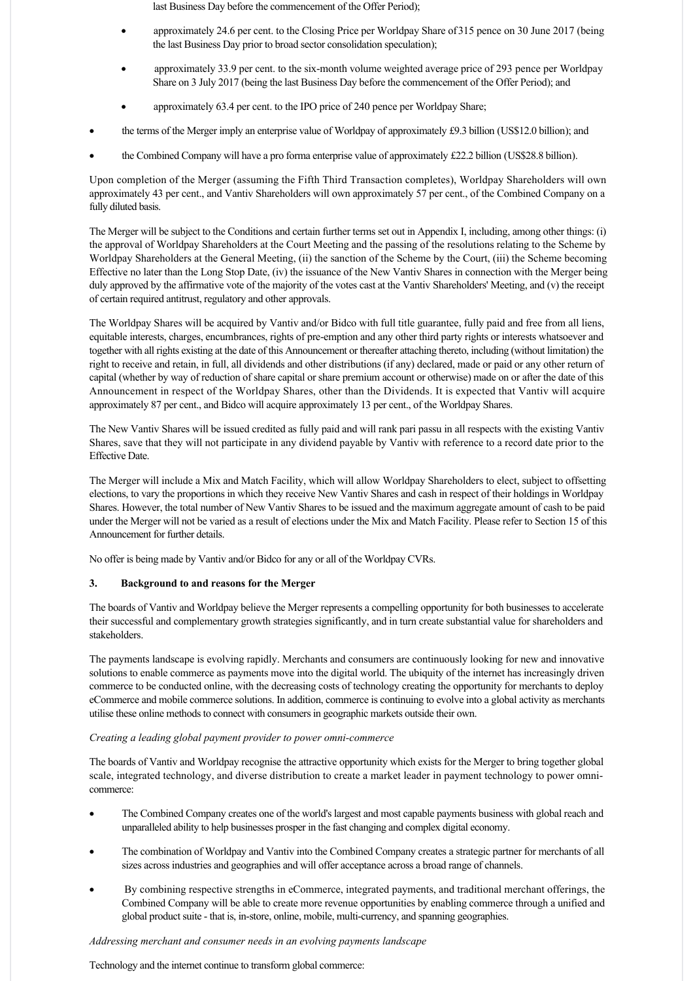last Business Day before the commencement of the Offer Period);

- approximately 24.6 per cent. to the Closing Price per Worldpay Share of 315 pence on 30 June 2017 (being the last Business Day prior to broad sector consolidation speculation);
- approximately 33.9 per cent. to the six-month volume weighted average price of 293 pence per Worldpay Share on 3 July 2017 (being the last Business Day before the commencement of the Offer Period); and
- approximately 63.4 per cent. to the IPO price of 240 pence per Worldpay Share;
- the terms of the Merger imply an enterprise value of Worldpay of approximately £9.3 billion (US\$12.0 billion); and
- the Combined Company will have a pro forma enterprise value of approximately £22.2 billion (US\$28.8 billion).

Upon completion of the Merger (assuming the Fifth Third Transaction completes), Worldpay Shareholders will own approximately 43 per cent., and Vantiv Shareholders will own approximately 57 per cent., of the Combined Company on a fully diluted basis.

The Merger will be subject to the Conditions and certain further terms set out in Appendix I, including, among other things: (i) the approval of Worldpay Shareholders at the Court Meeting and the passing of the resolutions relating to the Scheme by Worldpay Shareholders at the General Meeting, (ii) the sanction of the Scheme by the Court, (iii) the Scheme becoming Effective no later than the Long Stop Date, (iv) the issuance of the New Vantiv Shares in connection with the Merger being duly approved by the affirmative vote of the majority of the votes cast at the Vantiv Shareholders' Meeting, and (v) the receipt of certain required antitrust, regulatory and other approvals.

The Worldpay Shares will be acquired by Vantiv and/or Bidco with full title guarantee, fully paid and free from all liens, equitable interests, charges, encumbrances, rights of pre-emption and any other third party rights or interests whatsoever and together with all rights existing at the date of this Announcement or thereafter attaching thereto, including (without limitation) the right to receive and retain, in full, all dividends and other distributions (if any) declared, made or paid or any other return of capital (whether by way of reduction of share capital or share premium account or otherwise) made on or after the date of this Announcement in respect of the Worldpay Shares, other than the Dividends. It is expected that Vantiv will acquire approximately 87 per cent., and Bidco will acquire approximately 13 per cent., of the Worldpay Shares.

The New Vantiv Shares will be issued credited as fully paid and will rank pari passu in all respects with the existing Vantiv Shares, save that they will not participate in any dividend payable by Vantiv with reference to a record date prior to the Effective Date.

The Merger will include a Mix and Match Facility, which will allow Worldpay Shareholders to elect, subject to offsetting elections, to vary the proportions in which they receive New Vantiv Shares and cash in respect of their holdings in Worldpay Shares. However, the total number of New Vantiv Shares to be issued and the maximum aggregate amount of cash to be paid under the Merger will not be varied as a result of elections under the Mix and Match Facility. Please refer to Section 15 of this Announcement for further details.

No offer is being made by Vantiv and/or Bidco for any or all of the Worldpay CVRs.

# **3. Background to and reasons for the Merger**

The boards of Vantiv and Worldpay believe the Merger represents a compelling opportunity for both businesses to accelerate their successful and complementary growth strategies significantly, and in turn create substantial value for shareholders and stakeholders.

The payments landscape is evolving rapidly. Merchants and consumers are continuously looking for new and innovative solutions to enable commerce as payments move into the digital world. The ubiquity of the internet has increasingly driven commerce to be conducted online, with the decreasing costs of technology creating the opportunity for merchants to deploy eCommerce and mobile commerce solutions. In addition, commerce is continuing to evolve into a global activity as merchants utilise these online methods to connect with consumers in geographic markets outside their own.

#### *Creating a leading global payment provider to power omnicommerce*

The boards of Vantiv and Worldpay recognise the attractive opportunity which exists for the Merger to bring together global scale, integrated technology, and diverse distribution to create a market leader in payment technology to power omnicommerce:

- · The Combined Company creates one of the world's largest and most capable payments business with global reach and unparalleled ability to help businesses prosper in the fast changing and complex digital economy.
- · The combination of Worldpay and Vantiv into the Combined Company creates a strategic partner for merchants of all sizes across industries and geographies and will offer acceptance across a broad range of channels.
- · By combining respective strengths in eCommerce, integrated payments, and traditional merchant offerings, the Combined Company will be able to create more revenue opportunities by enabling commerce through a unified and global product suite - that is, in-store, online, mobile, multi-currency, and spanning geographies.

#### *Addressing merchant and consumer needs in an evolving payments landscape*

Technology and the internet continue to transform global commerce: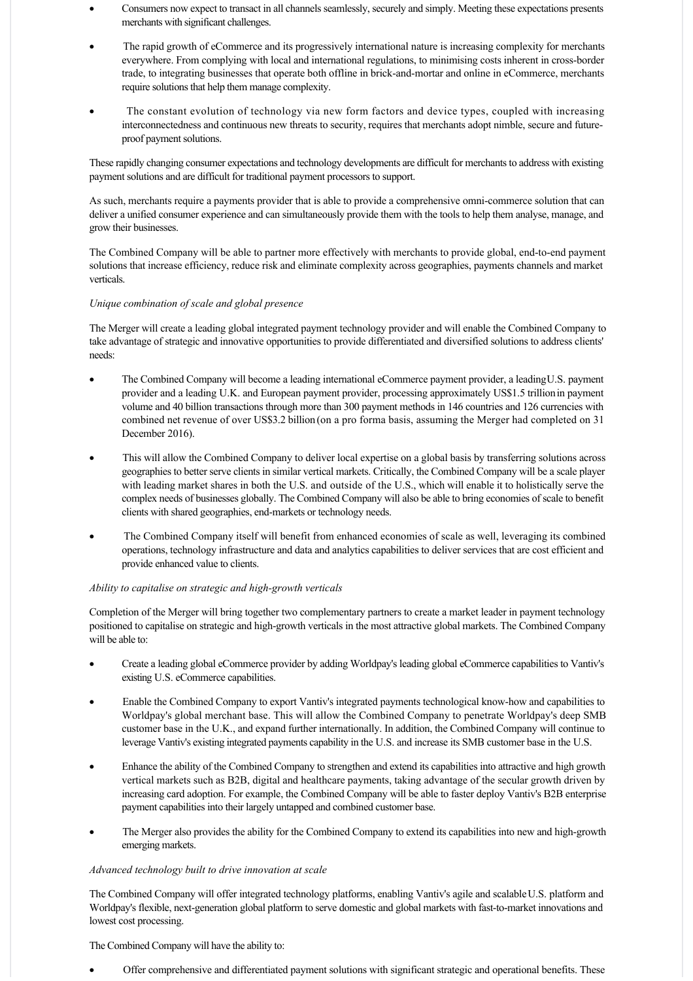- · Consumers now expect to transact in all channels seamlessly, securely and simply. Meeting these expectations presents merchants with significant challenges.
- The rapid growth of eCommerce and its progressively international nature is increasing complexity for merchants everywhere. From complying with local and international regulations, to minimising costs inherent in cross-border trade, to integrating businesses that operate both offline in brick-and-mortar and online in eCommerce, merchants require solutions that help them manage complexity.
- · The constant evolution of technology via new form factors and device types, coupled with increasing interconnectedness and continuous new threats to security, requires that merchants adopt nimble, secure and futureproof payment solutions.

These rapidly changing consumer expectations and technology developments are difficult for merchants to address with existing payment solutions and are difficult for traditional payment processors to support.

As such, merchants require a payments provider that is able to provide a comprehensive omni-commerce solution that can deliver a unified consumer experience and can simultaneously provide them with the tools to help them analyse, manage, and grow their businesses.

The Combined Company will be able to partner more effectively with merchants to provide global, end-to-end payment solutions that increase efficiency, reduce risk and eliminate complexity across geographies, payments channels and market verticals.

# *Unique combination of scale and global presence*

The Merger will create a leading global integrated payment technology provider and will enable the Combined Company to take advantage of strategic and innovative opportunities to provide differentiated and diversified solutions to address clients' needs:

- · The Combined Company will become a leading international eCommerce payment provider, a leading U.S. payment provider and a leading U.K. and European payment provider, processing approximately US\$1.5 trillion in payment volume and 40 billion transactions through more than 300 payment methods in 146 countries and 126 currencies with combined net revenue of over US\$3.2 billion (on a pro forma basis, assuming the Merger had completed on 31 December 2016).
- · This will allow the Combined Company to deliver local expertise on a global basis by transferring solutions across geographies to better serve clients in similar vertical markets. Critically, the Combined Company will be a scale player with leading market shares in both the U.S. and outside of the U.S., which will enable it to holistically serve the complex needs of businesses globally. The Combined Company will also be able to bring economies of scale to benefit clients with shared geographies, end-markets or technology needs.
- The Combined Company itself will benefit from enhanced economies of scale as well, leveraging its combined operations, technology infrastructure and data and analytics capabilities to deliver services that are cost efficient and provide enhanced value to clients.

# *Ability to capitalise on strategic and high-growth verticals*

Completion of the Merger will bring together two complementary partners to create a market leader in payment technology positioned to capitalise on strategic and high-growth verticals in the most attractive global markets. The Combined Company will be able to:

- · Create a leading global eCommerce provider by adding Worldpay's leading global eCommerce capabilities to Vantiv's existing U.S. eCommerce capabilities.
- Enable the Combined Company to export Vantiv's integrated payments technological know-how and capabilities to Worldpay's global merchant base. This will allow the Combined Company to penetrate Worldpay's deep SMB customer base in the U.K., and expand further internationally. In addition, the Combined Company will continue to leverage Vantiv's existing integrated payments capability in the U.S. and increase its SMB customer base in the U.S.
- Enhance the ability of the Combined Company to strengthen and extend its capabilities into attractive and high growth vertical markets such as B2B, digital and healthcare payments, taking advantage of the secular growth driven by increasing card adoption. For example, the Combined Company will be able to faster deploy Vantiv's B2B enterprise payment capabilities into their largely untapped and combined customer base.
- The Merger also provides the ability for the Combined Company to extend its capabilities into new and high-growth emerging markets.

# *Advanced technology built to drive innovation at scale*

The Combined Company will offer integrated technology platforms, enabling Vantiv's agile and scalable U.S. platform and Worldpay's flexible, next-generation global platform to serve domestic and global markets with fast-to-market innovations and lowest cost processing.

The Combined Company will have the ability to:

· Offer comprehensive and differentiated payment solutions with significant strategic and operational benefits. These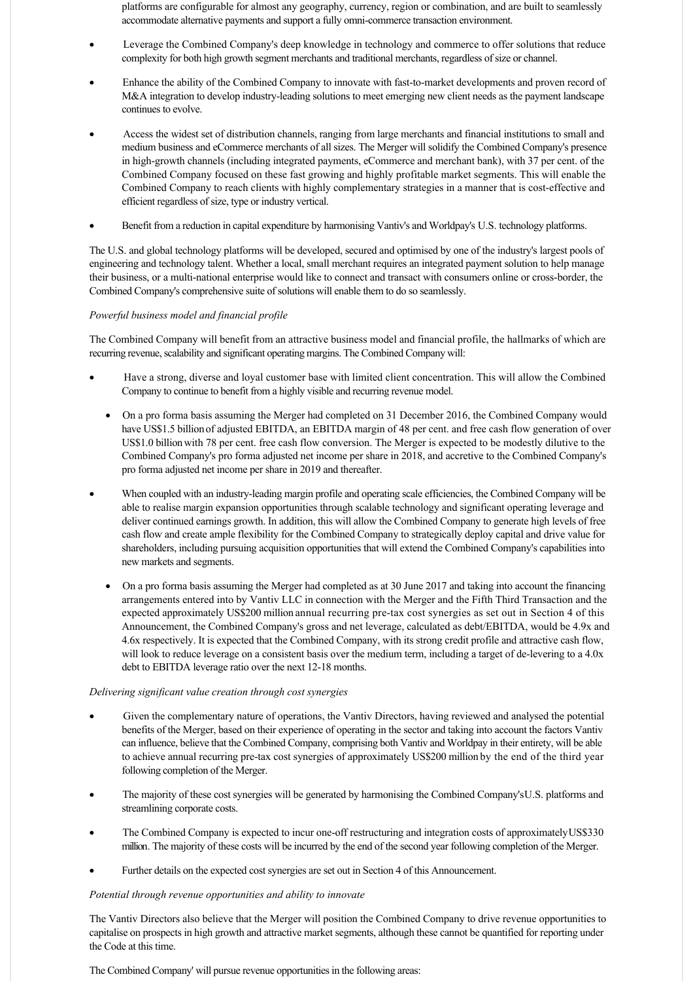platforms are configurable for almost any geography, currency, region or combination, and are built to seamlessly accommodate alternative payments and support a fully omni-commerce transaction environment.

- Leverage the Combined Company's deep knowledge in technology and commerce to offer solutions that reduce complexity for both high growth segment merchants and traditional merchants, regardless of size or channel.
- Enhance the ability of the Combined Company to innovate with fast-to-market developments and proven record of M&A integration to develop industry-leading solutions to meet emerging new client needs as the payment landscape continues to evolve.
- Access the widest set of distribution channels, ranging from large merchants and financial institutions to small and medium business and eCommerce merchants of all sizes. The Merger will solidify the Combined Company's presence in high-growth channels (including integrated payments, eCommerce and merchant bank), with 37 per cent. of the Combined Company focused on these fast growing and highly profitable market segments. This will enable the Combined Company to reach clients with highly complementary strategies in a manner that is costeffective and efficient regardless of size, type or industry vertical.
- · Benefit from a reduction in capital expenditure by harmonising Vantiv's and Worldpay's U.S. technology platforms.

The U.S. and global technology platforms will be developed, secured and optimised by one of the industry's largest pools of engineering and technology talent. Whether a local, small merchant requires an integrated payment solution to help manage their business, or a multinational enterprise would like to connect and transact with consumers online or crossborder, the Combined Company's comprehensive suite of solutions will enable them to do so seamlessly.

# *Powerful business model and financial profile*

The Combined Company will benefit from an attractive business model and financial profile, the hallmarks of which are recurring revenue, scalability and significant operating margins. The Combined Company will:

- Have a strong, diverse and loyal customer base with limited client concentration. This will allow the Combined Company to continue to benefit from a highly visible and recurring revenue model.
	- · On a pro forma basis assuming the Merger had completed on 31 December 2016, the Combined Company would have US\$1.5 billion of adjusted EBITDA, an EBITDA margin of 48 per cent. and free cash flow generation of over US\$1.0 billion with 78 per cent. free cash flow conversion. The Merger is expected to be modestly dilutive to the Combined Company's pro forma adjusted net income per share in 2018, and accretive to the Combined Company's pro forma adjusted net income per share in 2019 and thereafter.
- When coupled with an industry-leading margin profile and operating scale efficiencies, the Combined Company will be able to realise margin expansion opportunities through scalable technology and significant operating leverage and deliver continued earnings growth. In addition, this will allow the Combined Company to generate high levels of free cash flow and create ample flexibility for the Combined Company to strategically deploy capital and drive value for shareholders, including pursuing acquisition opportunities that will extend the Combined Company's capabilities into new markets and segments.
	- On a pro forma basis assuming the Merger had completed as at 30 June 2017 and taking into account the financing arrangements entered into by Vantiv LLC in connection with the Merger and the Fifth Third Transaction and the expected approximately US\$200 million annual recurring pre-tax cost synergies as set out in Section 4 of this Announcement, the Combined Company's gross and net leverage, calculated as debt/EBITDA, would be 4.9x and 4.6x respectively. It is expected that the Combined Company, with its strong credit profile and attractive cash flow, will look to reduce leverage on a consistent basis over the medium term, including a target of de-levering to a 4.0x debt to EBITDA leverage ratio over the next 12-18 months.

# *Delivering significant value creation through cost synergies*

- Given the complementary nature of operations, the Vantiv Directors, having reviewed and analysed the potential benefits of the Merger, based on their experience of operating in the sector and taking into account the factors Vantiv can influence, believe that the Combined Company, comprising both Vantiv and Worldpay in their entirety, will be able to achieve annual recurring pre-tax cost synergies of approximately US\$200 million by the end of the third year following completion of the Merger.
- The majority of these cost synergies will be generated by harmonising the Combined Company's U.S. platforms and streamlining corporate costs.
- The Combined Company is expected to incur one-off restructuring and integration costs of approximately US\$330 million. The majority of these costs will be incurred by the end of the second year following completion of the Merger.
- Further details on the expected cost synergies are set out in Section 4 of this Announcement.

# *Potential through revenue opportunities and ability to innovate*

The Vantiv Directors also believe that the Merger will position the Combined Company to drive revenue opportunities to capitalise on prospects in high growth and attractive market segments, although these cannot be quantified for reporting under the Code at this time.

The Combined Company' will pursue revenue opportunities in the following areas: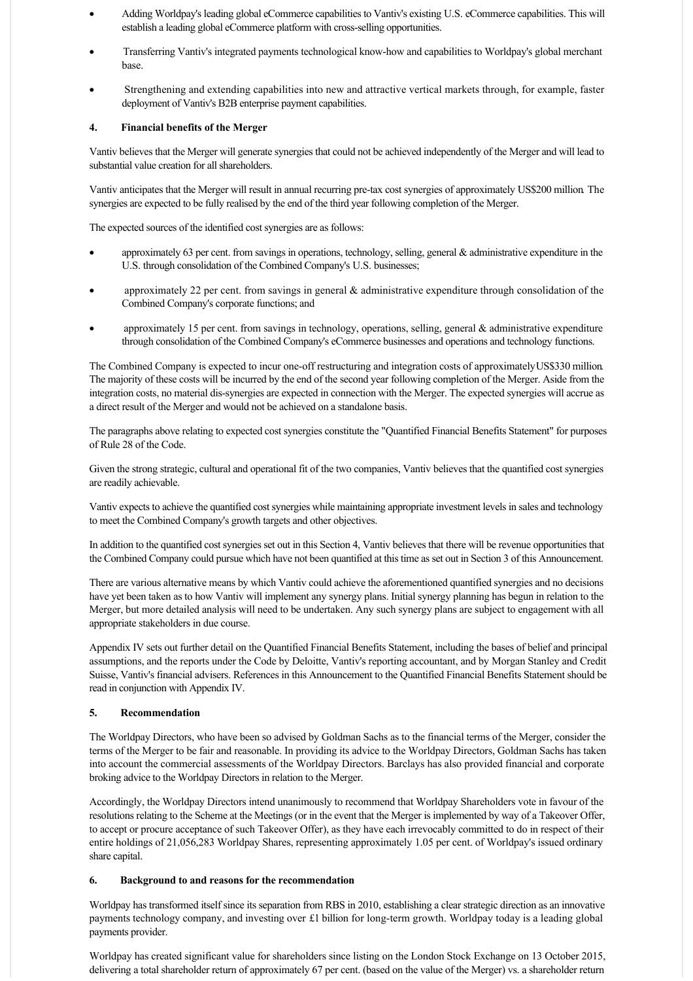- · Adding Worldpay's leading global eCommerce capabilities to Vantiv's existing U.S. eCommerce capabilities. This will establish a leading global eCommerce platform with cross-selling opportunities.
- · Transferring Vantiv's integrated payments technological knowhow and capabilities to Worldpay's global merchant base.
- Strengthening and extending capabilities into new and attractive vertical markets through, for example, faster deployment of Vantiv's B2B enterprise payment capabilities.

# **4. Financial benefits of the Merger**

Vantiv believes that the Merger will generate synergies that could not be achieved independently of the Merger and will lead to substantial value creation for all shareholders.

Vantiv anticipates that the Merger will result in annual recurring pre-tax cost synergies of approximately US\$200 million. The synergies are expected to be fully realised by the end of the third year following completion of the Merger.

The expected sources of the identified cost synergies are as follows:

- approximately 63 per cent. from savings in operations, technology, selling, general  $\&$  administrative expenditure in the U.S. through consolidation of the Combined Company's U.S. businesses;
- approximately 22 per cent. from savings in general  $\&$  administrative expenditure through consolidation of the Combined Company's corporate functions; and
- approximately 15 per cent. from savings in technology, operations, selling, general  $\&$  administrative expenditure through consolidation of the Combined Company's eCommerce businesses and operations and technology functions.

The Combined Company is expected to incur one-off restructuring and integration costs of approximately US\$330 million. The majority of these costs will be incurred by the end of the second year following completion of the Merger. Aside from the integration costs, no material dis-synergies are expected in connection with the Merger. The expected synergies will accrue as a direct result of the Merger and would not be achieved on a standalone basis.

The paragraphs above relating to expected cost synergies constitute the "Quantified Financial Benefits Statement" for purposes of Rule 28 of the Code.

Given the strong strategic, cultural and operational fit of the two companies, Vantiv believes that the quantified cost synergies are readily achievable.

Vantiv expects to achieve the quantified cost synergies while maintaining appropriate investment levels in sales and technology to meet the Combined Company's growth targets and other objectives.

In addition to the quantified cost synergies set out in this Section 4, Vantiv believes that there will be revenue opportunities that the Combined Company could pursue which have not been quantified at this time as set out in Section 3 of this Announcement.

There are various alternative means by which Vantiv could achieve the aforementioned quantified synergies and no decisions have yet been taken as to how Vantiv will implement any synergy plans. Initial synergy planning has begun in relation to the Merger, but more detailed analysis will need to be undertaken. Any such synergy plans are subject to engagement with all appropriate stakeholders in due course.

Appendix IV sets out further detail on the Quantified Financial Benefits Statement, including the bases of belief and principal assumptions, and the reports under the Code by Deloitte, Vantiv's reporting accountant, and by Morgan Stanley and Credit Suisse, Vantiv's financial advisers. References in this Announcement to the Quantified Financial Benefits Statement should be read in conjunction with Appendix IV.

# **5. Recommendation**

The Worldpay Directors, who have been so advised by Goldman Sachs as to the financial terms of the Merger, consider the terms of the Merger to be fair and reasonable. In providing its advice to the Worldpay Directors, Goldman Sachs has taken into account the commercial assessments of the Worldpay Directors. Barclays has also provided financial and corporate broking advice to the Worldpay Directors in relation to the Merger.

Accordingly, the Worldpay Directors intend unanimously to recommend that Worldpay Shareholders vote in favour of the resolutions relating to the Scheme at the Meetings (or in the event that the Merger is implemented by way of a Takeover Offer, to accept or procure acceptance of such Takeover Offer), as they have each irrevocably committed to do in respect of their entire holdings of 21,056,283 Worldpay Shares, representing approximately 1.05 per cent. of Worldpay's issued ordinary share capital.

# **6. Background to and reasons for the recommendation**

Worldpay has transformed itself since its separation from RBS in 2010, establishing a clear strategic direction as an innovative payments technology company, and investing over  $\pounds$ 1 billion for long-term growth. Worldpay today is a leading global payments provider.

Worldpay has created significant value for shareholders since listing on the London Stock Exchange on 13 October 2015, delivering a total shareholder return of approximately 67 per cent. (based on the value of the Merger) vs. a shareholder return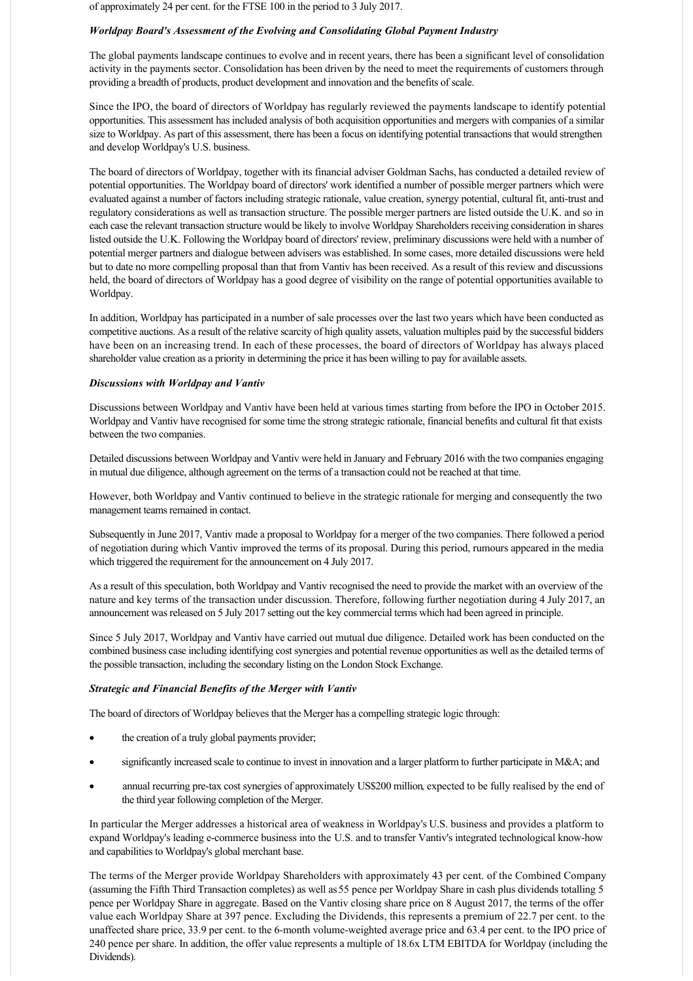of approximately 24 per cent. for the FTSE 100 in the period to 3 July 2017.

### *Worldpay Board's Assessment of the Evolving and Consolidating Global Payment Industry*

The global payments landscape continues to evolve and in recent years, there has been a significant level of consolidation activity in the payments sector. Consolidation has been driven by the need to meet the requirements of customers through providing a breadth of products, product development and innovation and the benefits of scale.

Since the IPO, the board of directors of Worldpay has regularly reviewed the payments landscape to identify potential opportunities. This assessment has included analysis of both acquisition opportunities and mergers with companies of a similar size to Worldpay. As part of this assessment, there has been a focus on identifying potential transactions that would strengthen and develop Worldpay's U.S. business.

The board of directors of Worldpay, together with its financial adviser Goldman Sachs, has conducted a detailed review of potential opportunities. The Worldpay board of directors' work identified a number of possible merger partners which were evaluated against a number of factors including strategic rationale, value creation, synergy potential, cultural fit, anti-trust and regulatory considerations as well as transaction structure. The possible merger partners are listed outside the U.K. and so in each case the relevant transaction structure would be likely to involve Worldpay Shareholders receiving consideration in shares listed outside the U.K. Following the Worldpay board of directors' review, preliminary discussions were held with a number of potential merger partners and dialogue between advisers was established. In some cases, more detailed discussions were held but to date no more compelling proposal than that from Vantiv has been received. As a result of this review and discussions held, the board of directors of Worldpay has a good degree of visibility on the range of potential opportunities available to Worldpay.

In addition, Worldpay has participated in a number of sale processes over the last two years which have been conducted as competitive auctions. As a result of the relative scarcity of high quality assets, valuation multiples paid by the successful bidders have been on an increasing trend. In each of these processes, the board of directors of Worldpay has always placed shareholder value creation as a priority in determining the price it has been willing to pay for available assets.

### *Discussions with Worldpay and Vantiv*

Discussions between Worldpay and Vantiv have been held at various times starting from before the IPO in October 2015. Worldpay and Vantiv have recognised for some time the strong strategic rationale, financial benefits and cultural fit that exists between the two companies.

Detailed discussions between Worldpay and Vantiv were held in January and February 2016 with the two companies engaging in mutual due diligence, although agreement on the terms of a transaction could not be reached at that time.

However, both Worldpay and Vantiv continued to believe in the strategic rationale for merging and consequently the two management teams remained in contact.

Subsequently in June 2017, Vantiv made a proposal to Worldpay for a merger of the two companies. There followed a period of negotiation during which Vantiv improved the terms of its proposal. During this period, rumours appeared in the media which triggered the requirement for the announcement on 4 July 2017.

As a result of this speculation, both Worldpay and Vantiv recognised the need to provide the market with an overview of the nature and key terms of the transaction under discussion. Therefore, following further negotiation during 4 July 2017, an announcement was released on 5 July 2017 setting out the key commercial terms which had been agreed in principle.

Since 5 July 2017, Worldpay and Vantiv have carried out mutual due diligence. Detailed work has been conducted on the combined business case including identifying cost synergies and potential revenue opportunities as well as the detailed terms of the possible transaction, including the secondary listing on the London Stock Exchange.

#### *Strategic and Financial Benefits of the Merger with Vantiv*

The board of directors of Worldpay believes that the Merger has a compelling strategic logic through:

- the creation of a truly global payments provider;
- significantly increased scale to continue to invest in innovation and a larger platform to further participate in M&A; and
- annual recurring pre-tax cost synergies of approximately US\$200 million, expected to be fully realised by the end of the third year following completion of the Merger.

In particular the Merger addresses a historical area of weakness in Worldpay's U.S. business and provides a platform to expand Worldpay's leading e-commerce business into the U.S. and to transfer Vantiv's integrated technological know-how and capabilities to Worldpay's global merchant base.

The terms of the Merger provide Worldpay Shareholders with approximately 43 per cent. of the Combined Company (assuming the Fifth Third Transaction completes) as well as 55 pence per Worldpay Share in cash plus dividends totalling 5 pence per Worldpay Share in aggregate. Based on the Vantiv closing share price on 8 August 2017, the terms of the offer value each Worldpay Share at 397 pence. Excluding the Dividends, this represents a premium of 22.7 per cent. to the unaffected share price, 33.9 per cent. to the 6-month volume-weighted average price and 63.4 per cent. to the IPO price of 240 pence per share. In addition, the offer value represents a multiple of 18.6x LTM EBITDA for Worldpay (including the Dividends).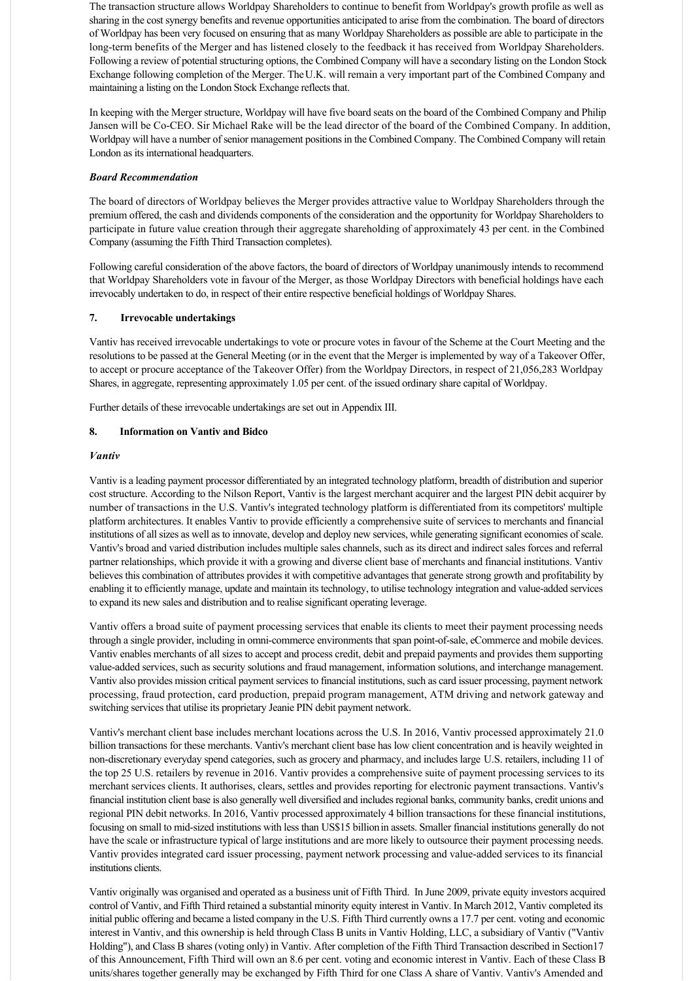The transaction structure allows Worldpay Shareholders to continue to benefit from Worldpay's growth profile as well as sharing in the cost synergy benefits and revenue opportunities anticipated to arise from the combination. The board of directors of Worldpay has been very focused on ensuring that as many Worldpay Shareholders as possible are able to participate in the long-term benefits of the Merger and has listened closely to the feedback it has received from Worldpay Shareholders. Following a review of potential structuring options, the Combined Company will have a secondary listing on the London Stock Exchange following completion of the Merger. The U.K. will remain a very important part of the Combined Company and maintaining a listing on the London Stock Exchange reflects that.

In keeping with the Merger structure, Worldpay will have five board seats on the board of the Combined Company and Philip Jansen will be Co-CEO. Sir Michael Rake will be the lead director of the board of the Combined Company. In addition, Worldpay will have a number of senior management positions in the Combined Company. The Combined Company will retain London as its international headquarters.

# *Board Recommendation*

The board of directors of Worldpay believes the Merger provides attractive value to Worldpay Shareholders through the premium offered, the cash and dividends components of the consideration and the opportunity for Worldpay Shareholders to participate in future value creation through their aggregate shareholding of approximately 43 per cent. in the Combined Company (assuming the Fifth Third Transaction completes).

Following careful consideration of the above factors, the board of directors of Worldpay unanimously intends to recommend that Worldpay Shareholders vote in favour of the Merger, as those Worldpay Directors with beneficial holdings have each irrevocably undertaken to do, in respect of their entire respective beneficial holdings of Worldpay Shares.

# **7. Irrevocable undertakings**

Vantiv has received irrevocable undertakings to vote or procure votes in favour of the Scheme at the Court Meeting and the resolutions to be passed at the General Meeting (or in the event that the Merger is implemented by way of a Takeover Offer, to accept or procure acceptance of the Takeover Offer) from the Worldpay Directors, in respect of 21,056,283 Worldpay Shares, in aggregate, representing approximately 1.05 per cent. of the issued ordinary share capital of Worldpay.

Further details of these irrevocable undertakings are set out in Appendix III.

# **8. Information on Vantiv and Bidco**

# *Vantiv*

Vantiv is a leading payment processor differentiated by an integrated technology platform, breadth of distribution and superior cost structure. According to the Nilson Report, Vantiv is the largest merchant acquirer and the largest PIN debit acquirer by number of transactions in the U.S. Vantiv's integrated technology platform is differentiated from its competitors' multiple platform architectures. It enables Vantiv to provide efficiently a comprehensive suite of services to merchants and financial institutions of all sizes as well as to innovate, develop and deploy new services, while generating significant economies of scale. Vantiv's broad and varied distribution includes multiple sales channels, such as its direct and indirect sales forces and referral partner relationships, which provide it with a growing and diverse client base of merchants and financial institutions. Vantiv believes this combination of attributes provides it with competitive advantages that generate strong growth and profitability by enabling it to efficiently manage, update and maintain its technology, to utilise technology integration and value-added services to expand its new sales and distribution and to realise significant operating leverage.

Vantiv offers a broad suite of payment processing services that enable its clients to meet their payment processing needs through a single provider, including in omni-commerce environments that span point-of-sale, eCommerce and mobile devices. Vantiv enables merchants of all sizes to accept and process credit, debit and prepaid payments and provides them supporting value-added services, such as security solutions and fraud management, information solutions, and interchange management. Vantiv also provides mission critical payment services to financial institutions, such as card issuer processing, payment network processing, fraud protection, card production, prepaid program management, ATM driving and network gateway and switching services that utilise its proprietary Jeanie PIN debit payment network.

Vantiv's merchant client base includes merchant locations across the U.S. In 2016, Vantiv processed approximately 21.0 billion transactions for these merchants. Vantiv's merchant client base has low client concentration and is heavily weighted in non-discretionary everyday spend categories, such as grocery and pharmacy, and includes large U.S. retailers, including 11 of the top 25 U.S. retailers by revenue in 2016. Vantiv provides a comprehensive suite of payment processing services to its merchant services clients. It authorises, clears, settles and provides reporting for electronic payment transactions. Vantiv's financial institution client base is also generally well diversified and includes regional banks, community banks, credit unions and regional PIN debit networks. In 2016, Vantiv processed approximately 4 billion transactions for these financial institutions, focusing on small to midsized institutions with less than US\$15 billion in assets. Smaller financial institutions generally do not have the scale or infrastructure typical of large institutions and are more likely to outsource their payment processing needs. Vantiv provides integrated card issuer processing, payment network processing and value-added services to its financial institutions clients.

Vantiv originally was organised and operated as a business unit of Fifth Third. In June 2009, private equity investors acquired control of Vantiv, and Fifth Third retained a substantial minority equity interest in Vantiv. In March 2012, Vantiv completed its initial public offering and became a listed company in the U.S. Fifth Third currently owns a 17.7 per cent. voting and economic interest in Vantiv, and this ownership is held through Class B units in Vantiv Holding, LLC, a subsidiary of Vantiv ("Vantiv Holding"), and Class B shares (voting only) in Vantiv. After completion of the Fifth Third Transaction described in Section 17 of this Announcement, Fifth Third will own an 8.6 per cent. voting and economic interest in Vantiv. Each of these Class B units/shares together generally may be exchanged by Fifth Third for one Class A share of Vantiv. Vantiv's Amended and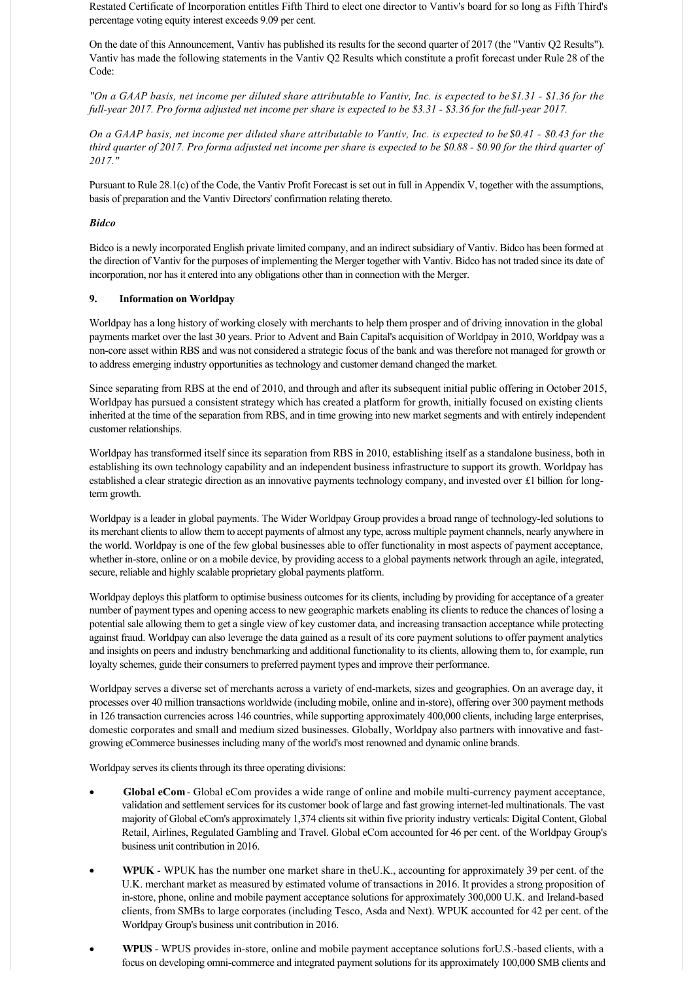Restated Certificate of Incorporation entitles Fifth Third to elect one director to Vantiv's board for so long as Fifth Third's percentage voting equity interest exceeds 9.09 per cent.

On the date of this Announcement, Vantiv has published its results for the second quarter of 2017 (the "Vantiv Q2 Results"). Vantiv has made the following statements in the Vantiv Q2 Results which constitute a profit forecast under Rule 28 of the Code:

*"On a GAAP basis, net income per diluted share attributable to Vantiv, Inc. is expected to be \$1.31 \$1.36 for the full-year 2017. Pro forma adjusted net income per share is expected to be \$3.31 - \$3.36 for the full-year 2017.* 

*On a GAAP basis, net income per diluted share attributable to Vantiv, Inc. is expected to be \$0.41 \$0.43 for the third quarter of 2017. Pro forma adjusted net income per share is expected to be \$0.88 - \$0.90 for the third quarter of 2017."*

Pursuant to Rule 28.1(c) of the Code, the Vantiv Profit Forecast is set out in full in Appendix V, together with the assumptions, basis of preparation and the Vantiv Directors' confirmation relating thereto.

# *Bidco*

Bidco is a newly incorporated English private limited company, and an indirect subsidiary of Vantiv. Bidco has been formed at the direction of Vantiv for the purposes of implementing the Merger together with Vantiv. Bidco has not traded since its date of incorporation, nor has it entered into any obligations other than in connection with the Merger.

# **9. Information on Worldpay**

Worldpay has a long history of working closely with merchants to help them prosper and of driving innovation in the global payments market over the last 30 years. Prior to Advent and Bain Capital's acquisition of Worldpay in 2010, Worldpay was a non-core asset within RBS and was not considered a strategic focus of the bank and was therefore not managed for growth or to address emerging industry opportunities as technology and customer demand changed the market.

Since separating from RBS at the end of 2010, and through and after its subsequent initial public offering in October 2015, Worldpay has pursued a consistent strategy which has created a platform for growth, initially focused on existing clients inherited at the time of the separation from RBS, and in time growing into new market segments and with entirely independent customer relationships.

Worldpay has transformed itself since its separation from RBS in 2010, establishing itself as a standalone business, both in establishing its own technology capability and an independent business infrastructure to support its growth. Worldpay has established a clear strategic direction as an innovative payments technology company, and invested over £1 billion for longterm growth.

Worldpay is a leader in global payments. The Wider Worldpay Group provides a broad range of technology-led solutions to its merchant clients to allow them to accept payments of almost any type, across multiple payment channels, nearly anywhere in the world. Worldpay is one of the few global businesses able to offer functionality in most aspects of payment acceptance, whether in-store, online or on a mobile device, by providing access to a global payments network through an agile, integrated, secure, reliable and highly scalable proprietary global payments platform.

Worldpay deploys this platform to optimise business outcomes for its clients, including by providing for acceptance of a greater number of payment types and opening access to new geographic markets enabling its clients to reduce the chances of losing a potential sale allowing them to get a single view of key customer data, and increasing transaction acceptance while protecting against fraud. Worldpay can also leverage the data gained as a result of its core payment solutions to offer payment analytics and insights on peers and industry benchmarking and additional functionality to its clients, allowing them to, for example, run loyalty schemes, guide their consumers to preferred payment types and improve their performance.

Worldpay serves a diverse set of merchants across a variety of end-markets, sizes and geographies. On an average day, it processes over 40 million transactions worldwide (including mobile, online and instore), offering over 300 payment methods in 126 transaction currencies across 146 countries, while supporting approximately 400,000 clients, including large enterprises, domestic corporates and small and medium sized businesses. Globally, Worldpay also partners with innovative and fastgrowing eCommerce businesses including many of the world's most renowned and dynamic online brands.

Worldpay serves its clients through its three operating divisions:

- Global eCom **Global eCom** provides a wide range of online and mobile multi-currency payment acceptance, validation and settlement services for its customer book of large and fast growing internet-led multinationals. The vast majority of Global eCom's approximately 1,374 clients sit within five priority industry verticals: Digital Content, Global Retail, Airlines, Regulated Gambling and Travel. Global eCom accounted for 46 per cent. of the Worldpay Group's business unit contribution in 2016.
- WPUK WPUK has the number one market share in the U.K., accounting for approximately 39 per cent. of the U.K. merchant market as measured by estimated volume of transactions in 2016. It provides a strong proposition of in-store, phone, online and mobile payment acceptance solutions for approximately 300,000 U.K. and Ireland-based clients, from SMBs to large corporates (including Tesco, Asda and Next). WPUK accounted for 42 per cent. of the Worldpay Group's business unit contribution in 2016.
- WPUS WPUS provides in-store, online and mobile payment acceptance solutions for U.S.-based clients, with a focus on developing omni-commerce and integrated payment solutions for its approximately 100,000 SMB clients and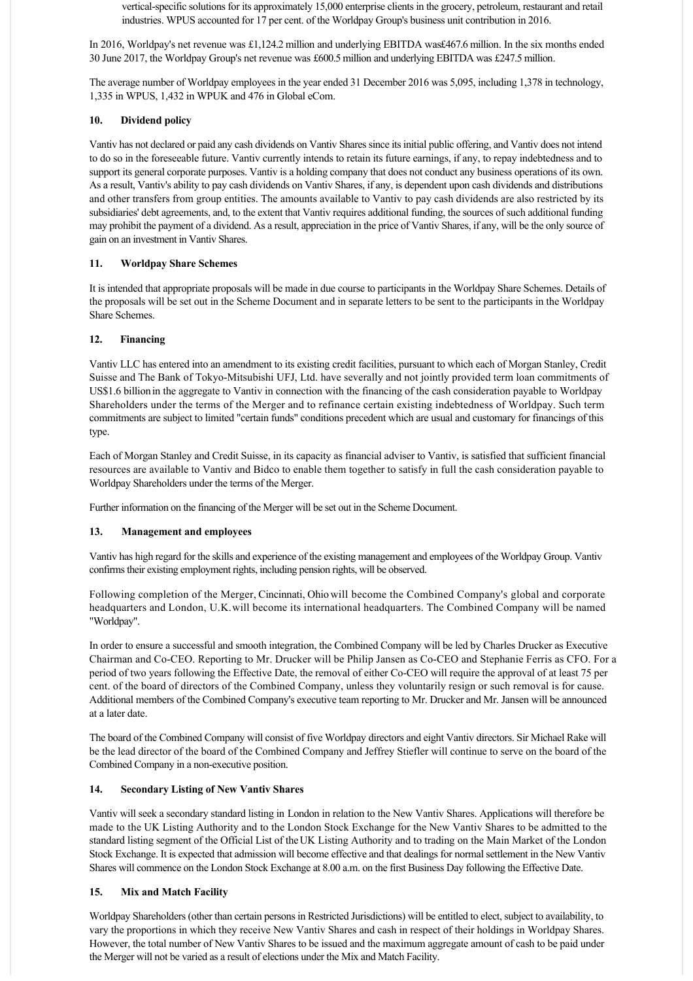vertical-specific solutions for its approximately 15,000 enterprise clients in the grocery, petroleum, restaurant and retail industries. WPUS accounted for 17 per cent. of the Worldpay Group's business unit contribution in 2016.

In 2016, Worldpay's net revenue was £1,124.2 million and underlying EBITDA was £467.6 million. In the six months ended 30 June 2017, the Worldpay Group's net revenue was £600.5 million and underlying EBITDA was £247.5 million.

The average number of Worldpay employees in the year ended 31 December 2016 was 5,095, including 1,378 in technology, 1,335 in WPUS, 1,432 in WPUK and 476 in Global eCom.

# **10. Dividend policy**

Vantiv has not declared or paid any cash dividends on Vantiv Shares since its initial public offering, and Vantiv does not intend to do so in the foreseeable future. Vantiv currently intends to retain its future earnings, if any, to repay indebtedness and to support its general corporate purposes. Vantiv is a holding company that does not conduct any business operations of its own. As a result, Vantiv's ability to pay cash dividends on Vantiv Shares, if any, is dependent upon cash dividends and distributions and other transfers from group entities. The amounts available to Vantiv to pay cash dividends are also restricted by its subsidiaries' debt agreements, and, to the extent that Vantiv requires additional funding, the sources of such additional funding may prohibit the payment of a dividend. As a result, appreciation in the price of Vantiv Shares, if any, will be the only source of gain on an investment in Vantiv Shares.

# **11. Worldpay Share Schemes**

It is intended that appropriate proposals will be made in due course to participants in the Worldpay Share Schemes. Details of the proposals will be set out in the Scheme Document and in separate letters to be sent to the participants in the Worldpay Share Schemes.

# **12. Financing**

Vantiv LLC has entered into an amendment to its existing credit facilities, pursuant to which each of Morgan Stanley, Credit Suisse and The Bank of Tokyo-Mitsubishi UFJ, Ltd. have severally and not jointly provided term loan commitments of US\$1.6 billion in the aggregate to Vantiv in connection with the financing of the cash consideration payable to Worldpay Shareholders under the terms of the Merger and to refinance certain existing indebtedness of Worldpay. Such term commitments are subject to limited "certain funds" conditions precedent which are usual and customary for financings of this type.

Each of Morgan Stanley and Credit Suisse, in its capacity as financial adviser to Vantiv, is satisfied that sufficient financial resources are available to Vantiv and Bidco to enable them together to satisfy in full the cash consideration payable to Worldpay Shareholders under the terms of the Merger.

Further information on the financing of the Merger will be set out in the Scheme Document.

# **13. Management and employees**

Vantiv has high regard for the skills and experience of the existing management and employees of the Worldpay Group. Vantiv confirms their existing employment rights, including pension rights, will be observed.

Following completion of the Merger, Cincinnati, Ohio will become the Combined Company's global and corporate headquarters and London, U.K. will become its international headquarters. The Combined Company will be named "Worldpay".

In order to ensure a successful and smooth integration, the Combined Company will be led by Charles Drucker as Executive Chairman and CoCEO. Reporting to Mr. Drucker will be Philip Jansen as CoCEO and Stephanie Ferris as CFO. For a period of two years following the Effective Date, the removal of either Co-CEO will require the approval of at least 75 per cent. of the board of directors of the Combined Company, unless they voluntarily resign or such removal is for cause. Additional members of the Combined Company's executive team reporting to Mr. Drucker and Mr. Jansen will be announced at a later date.

The board of the Combined Company will consist of five Worldpay directors and eight Vantiv directors. Sir Michael Rake will be the lead director of the board of the Combined Company and Jeffrey Stiefler will continue to serve on the board of the Combined Company in a non-executive position.

# **14. Secondary Listing of New Vantiv Shares**

Vantiv will seek a secondary standard listing in London in relation to the New Vantiv Shares. Applications will therefore be made to the UK Listing Authority and to the London Stock Exchange for the New Vantiv Shares to be admitted to the standard listing segment of the Official List of the UK Listing Authority and to trading on the Main Market of the London Stock Exchange. It is expected that admission will become effective and that dealings for normal settlement in the New Vantiv Shares will commence on the London Stock Exchange at 8.00 a.m. on the first Business Day following the Effective Date.

# **15. Mix and Match Facility**

Worldpay Shareholders (other than certain persons in Restricted Jurisdictions) will be entitled to elect, subject to availability, to vary the proportions in which they receive New Vantiv Shares and cash in respect of their holdings in Worldpay Shares. However, the total number of New Vantiv Shares to be issued and the maximum aggregate amount of cash to be paid under the Merger will not be varied as a result of elections under the Mix and Match Facility.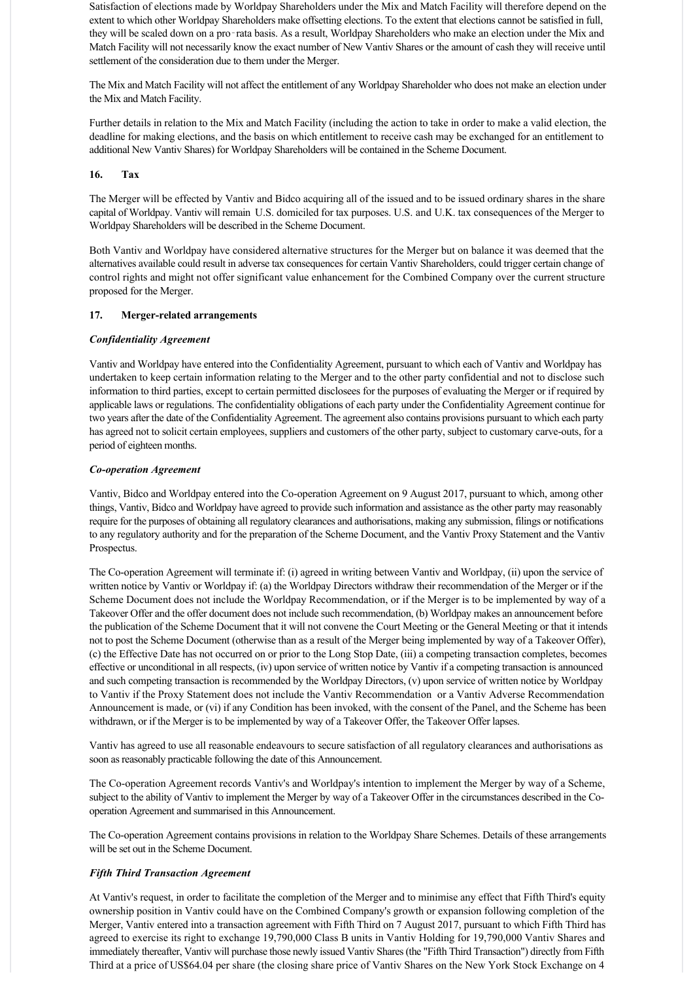Satisfaction of elections made by Worldpay Shareholders under the Mix and Match Facility will therefore depend on the extent to which other Worldpay Shareholders make offsetting elections. To the extent that elections cannot be satisfied in full, they will be scaled down on a pro‑rata basis. As a result, Worldpay Shareholders who make an election under the Mix and Match Facility will not necessarily know the exact number of New Vantiv Shares or the amount of cash they will receive until settlement of the consideration due to them under the Merger.

The Mix and Match Facility will not affect the entitlement of any Worldpay Shareholder who does not make an election under the Mix and Match Facility.

Further details in relation to the Mix and Match Facility (including the action to take in order to make a valid election, the deadline for making elections, and the basis on which entitlement to receive cash may be exchanged for an entitlement to additional New Vantiv Shares) for Worldpay Shareholders will be contained in the Scheme Document.

# **16. Tax**

The Merger will be effected by Vantiv and Bidco acquiring all of the issued and to be issued ordinary shares in the share capital of Worldpay. Vantiv will remain U.S. domiciled for tax purposes. U.S. and U.K. tax consequences of the Merger to Worldpay Shareholders will be described in the Scheme Document.

Both Vantiv and Worldpay have considered alternative structures for the Merger but on balance it was deemed that the alternatives available could result in adverse tax consequences for certain Vantiv Shareholders, could trigger certain change of control rights and might not offer significant value enhancement for the Combined Company over the current structure proposed for the Merger.

# 17. Merger-related arrangements

# *Confidentiality Agreement*

Vantiv and Worldpay have entered into the Confidentiality Agreement, pursuant to which each of Vantiv and Worldpay has undertaken to keep certain information relating to the Merger and to the other party confidential and not to disclose such information to third parties, except to certain permitted disclosees for the purposes of evaluating the Merger or if required by applicable laws or regulations. The confidentiality obligations of each party under the Confidentiality Agreement continue for two years after the date of the Confidentiality Agreement. The agreement also contains provisions pursuant to which each party has agreed not to solicit certain employees, suppliers and customers of the other party, subject to customary carve-outs, for a period of eighteen months.

# *Co-operation Agreement*

Vantiv, Bidco and Worldpay entered into the Cooperation Agreement on 9 August 2017, pursuant to which, among other things, Vantiv, Bidco and Worldpay have agreed to provide such information and assistance as the other party may reasonably require for the purposes of obtaining all regulatory clearances and authorisations, making any submission, filings or notifications to any regulatory authority and for the preparation of the Scheme Document, and the Vantiv Proxy Statement and the Vantiv Prospectus.

The Co-operation Agreement will terminate if: (i) agreed in writing between Vantiv and Worldpay, (ii) upon the service of written notice by Vantiv or Worldpay if: (a) the Worldpay Directors withdraw their recommendation of the Merger or if the Scheme Document does not include the Worldpay Recommendation, or if the Merger is to be implemented by way of a Takeover Offer and the offer document does not include such recommendation, (b) Worldpay makes an announcement before the publication of the Scheme Document that it will not convene the Court Meeting or the General Meeting or that it intends not to post the Scheme Document (otherwise than as a result of the Merger being implemented by way of a Takeover Offer), (c) the Effective Date has not occurred on or prior to the Long Stop Date, (iii) a competing transaction completes, becomes effective or unconditional in all respects, (iv) upon service of written notice by Vantiv if a competing transaction is announced and such competing transaction is recommended by the Worldpay Directors, (v) upon service of written notice by Worldpay to Vantiv if the Proxy Statement does not include the Vantiv Recommendation or a Vantiv Adverse Recommendation Announcement is made, or (vi) if any Condition has been invoked, with the consent of the Panel, and the Scheme has been withdrawn, or if the Merger is to be implemented by way of a Takeover Offer, the Takeover Offer lapses.

Vantiv has agreed to use all reasonable endeavours to secure satisfaction of all regulatory clearances and authorisations as soon as reasonably practicable following the date of this Announcement.

The Co-operation Agreement records Vantiv's and Worldpay's intention to implement the Merger by way of a Scheme, subject to the ability of Vantiv to implement the Merger by way of a Takeover Offer in the circumstances described in the Cooperation Agreement and summarised in this Announcement.

The Co-operation Agreement contains provisions in relation to the Worldpay Share Schemes. Details of these arrangements will be set out in the Scheme Document.

# *Fifth Third Transaction Agreement*

At Vantiv's request, in order to facilitate the completion of the Merger and to minimise any effect that Fifth Third's equity ownership position in Vantiv could have on the Combined Company's growth or expansion following completion of the Merger, Vantiv entered into a transaction agreement with Fifth Third on 7 August 2017, pursuant to which Fifth Third has agreed to exercise its right to exchange 19,790,000 Class B units in Vantiv Holding for 19,790,000 Vantiv Shares and immediately thereafter, Vantiv will purchase those newly issued Vantiv Shares (the "Fifth Third Transaction") directly from Fifth Third at a price of US\$64.04 per share (the closing share price of Vantiv Shares on the New York Stock Exchange on 4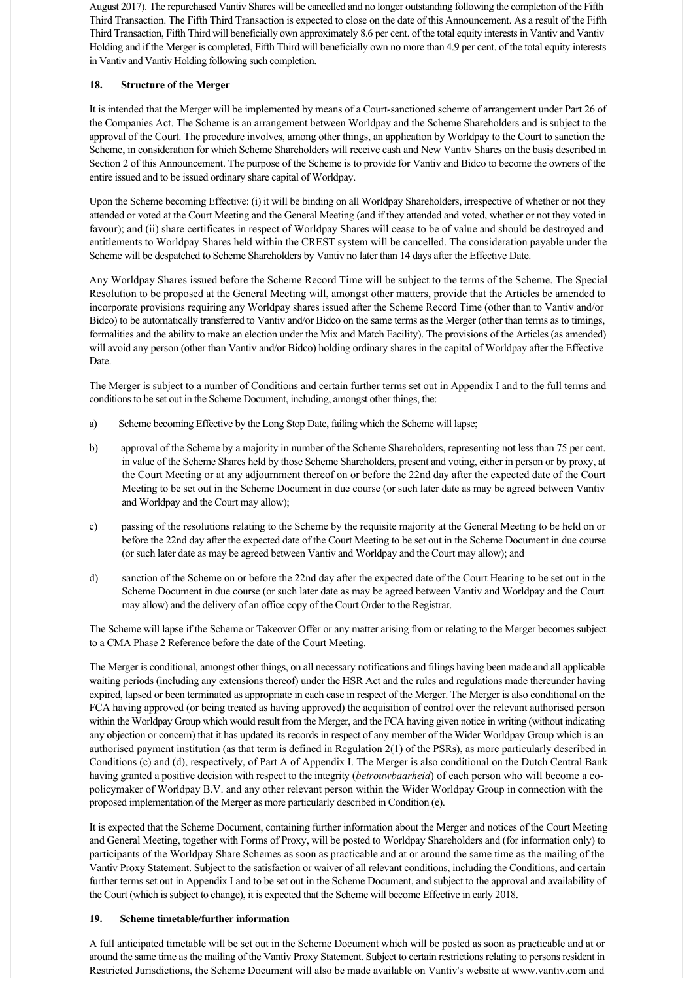August 2017). The repurchased Vantiv Shares will be cancelled and no longer outstanding following the completion of the Fifth Third Transaction. The Fifth Third Transaction is expected to close on the date of this Announcement. As a result of the Fifth Third Transaction, Fifth Third will beneficially own approximately 8.6 per cent. of the total equity interests in Vantiv and Vantiv Holding and if the Merger is completed, Fifth Third will beneficially own no more than 4.9 per cent. of the total equity interests in Vantiv and Vantiv Holding following such completion.

# **18. Structure of the Merger**

It is intended that the Merger will be implemented by means of a Court-sanctioned scheme of arrangement under Part 26 of the Companies Act. The Scheme is an arrangement between Worldpay and the Scheme Shareholders and is subject to the approval of the Court. The procedure involves, among other things, an application by Worldpay to the Court to sanction the Scheme, in consideration for which Scheme Shareholders will receive cash and New Vantiv Shares on the basis described in Section 2 of this Announcement. The purpose of the Scheme is to provide for Vantiv and Bidco to become the owners of the entire issued and to be issued ordinary share capital of Worldpay.

Upon the Scheme becoming Effective: (i) it will be binding on all Worldpay Shareholders, irrespective of whether or not they attended or voted at the Court Meeting and the General Meeting (and if they attended and voted, whether or not they voted in favour); and (ii) share certificates in respect of Worldpay Shares will cease to be of value and should be destroyed and entitlements to Worldpay Shares held within the CREST system will be cancelled. The consideration payable under the Scheme will be despatched to Scheme Shareholders by Vantiv no later than 14 days after the Effective Date.

Any Worldpay Shares issued before the Scheme Record Time will be subject to the terms of the Scheme. The Special Resolution to be proposed at the General Meeting will, amongst other matters, provide that the Articles be amended to incorporate provisions requiring any Worldpay shares issued after the Scheme Record Time (other than to Vantiv and/or Bidco) to be automatically transferred to Vantiv and/or Bidco on the same terms as the Merger (other than terms as to timings, formalities and the ability to make an election under the Mix and Match Facility). The provisions of the Articles (as amended) will avoid any person (other than Vantiv and/or Bidco) holding ordinary shares in the capital of Worldpay after the Effective Date.

The Merger is subject to a number of Conditions and certain further terms set out in Appendix I and to the full terms and conditions to be set out in the Scheme Document, including, amongst other things, the:

- a) Scheme becoming Effective by the Long Stop Date, failing which the Scheme will lapse;
- b) approval of the Scheme by a majority in number of the Scheme Shareholders, representing not less than 75 per cent. in value of the Scheme Shares held by those Scheme Shareholders, present and voting, either in person or by proxy, at the Court Meeting or at any adjournment thereof on or before the 22nd day after the expected date of the Court Meeting to be set out in the Scheme Document in due course (or such later date as may be agreed between Vantiv and Worldpay and the Court may allow);
- c) passing of the resolutions relating to the Scheme by the requisite majority at the General Meeting to be held on or before the 22nd day after the expected date of the Court Meeting to be set out in the Scheme Document in due course (or such later date as may be agreed between Vantiv and Worldpay and the Court may allow); and
- d) sanction of the Scheme on or before the 22nd day after the expected date of the Court Hearing to be set out in the Scheme Document in due course (or such later date as may be agreed between Vantiv and Worldpay and the Court may allow) and the delivery of an office copy of the Court Order to the Registrar.

The Scheme will lapse if the Scheme or Takeover Offer or any matter arising from or relating to the Merger becomes subject to a CMA Phase 2 Reference before the date of the Court Meeting.

The Merger is conditional, amongst other things, on all necessary notifications and filings having been made and all applicable waiting periods (including any extensions thereof) under the HSR Act and the rules and regulations made thereunder having expired, lapsed or been terminated as appropriate in each case in respect of the Merger. The Merger is also conditional on the FCA having approved (or being treated as having approved) the acquisition of control over the relevant authorised person within the Worldpay Group which would result from the Merger, and the FCA having given notice in writing (without indicating any objection or concern) that it has updated its records in respect of any member of the Wider Worldpay Group which is an authorised payment institution (as that term is defined in Regulation 2(1) of the PSRs), as more particularly described in Conditions (c) and (d), respectively, of Part A of Appendix I. The Merger is also conditional on the Dutch Central Bank having granted a positive decision with respect to the integrity (*betrouwbaarheid*) of each person who will become a copolicymaker of Worldpay B.V. and any other relevant person within the Wider Worldpay Group in connection with the proposed implementation of the Merger as more particularly described in Condition (e).

It is expected that the Scheme Document, containing further information about the Merger and notices of the Court Meeting and General Meeting, together with Forms of Proxy, will be posted to Worldpay Shareholders and (for information only) to participants of the Worldpay Share Schemes as soon as practicable and at or around the same time as the mailing of the Vantiv Proxy Statement. Subject to the satisfaction or waiver of all relevant conditions, including the Conditions, and certain further terms set out in Appendix I and to be set out in the Scheme Document, and subject to the approval and availability of the Court (which is subject to change), it is expected that the Scheme will become Effective in early 2018.

# **19. Scheme timetable/further information**

A full anticipated timetable will be set out in the Scheme Document which will be posted as soon as practicable and at or around the same time as the mailing of the Vantiv Proxy Statement. Subject to certain restrictions relating to persons resident in Restricted Jurisdictions, the Scheme Document will also be made available on Vantiv's website at www.vantiv.com and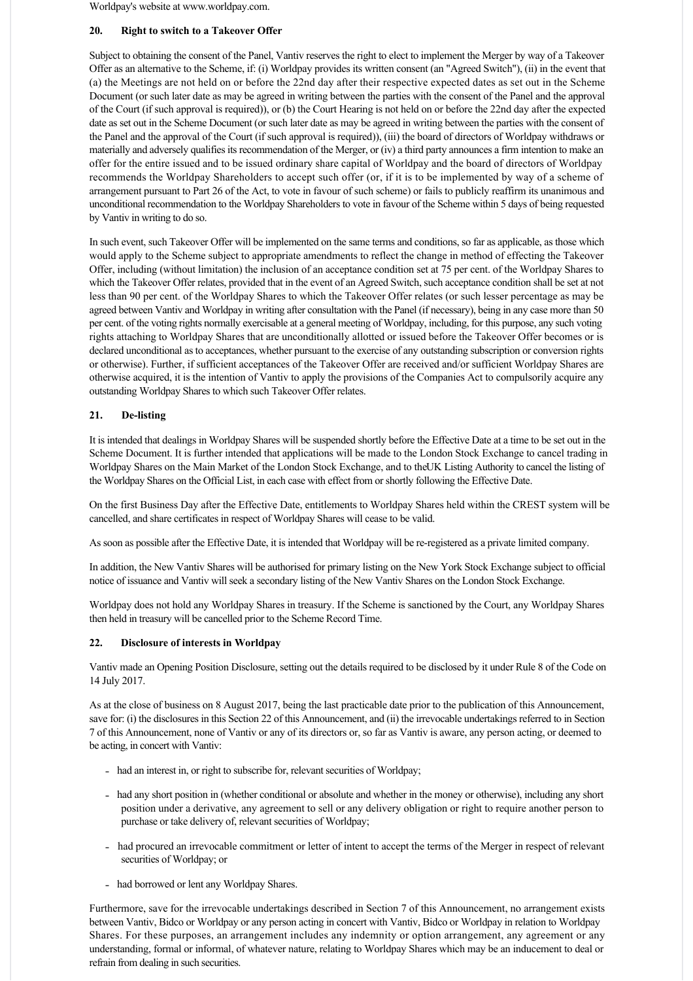Worldpay's website at www.worldpay.com.

# **20. Right to switch to a Takeover Offer**

Subject to obtaining the consent of the Panel, Vantiv reserves the right to elect to implement the Merger by way of a Takeover Offer as an alternative to the Scheme, if: (i) Worldpay provides its written consent (an "Agreed Switch"), (ii) in the event that (a) the Meetings are not held on or before the 22nd day after their respective expected dates as set out in the Scheme Document (or such later date as may be agreed in writing between the parties with the consent of the Panel and the approval of the Court (if such approval is required)), or (b) the Court Hearing is not held on or before the 22nd day after the expected date as set out in the Scheme Document (or such later date as may be agreed in writing between the parties with the consent of the Panel and the approval of the Court (if such approval is required)), (iii) the board of directors of Worldpay withdraws or materially and adversely qualifies its recommendation of the Merger, or (iv) a third party announces a firm intention to make an offer for the entire issued and to be issued ordinary share capital of Worldpay and the board of directors of Worldpay recommends the Worldpay Shareholders to accept such offer (or, if it is to be implemented by way of a scheme of arrangement pursuant to Part 26 of the Act, to vote in favour of such scheme) or fails to publicly reaffirm its unanimous and unconditional recommendation to the Worldpay Shareholders to vote in favour of the Scheme within 5 days of being requested by Vantiv in writing to do so.

In such event, such Takeover Offer will be implemented on the same terms and conditions, so far as applicable, as those which would apply to the Scheme subject to appropriate amendments to reflect the change in method of effecting the Takeover Offer, including (without limitation) the inclusion of an acceptance condition set at 75 per cent. of the Worldpay Shares to which the Takeover Offer relates, provided that in the event of an Agreed Switch, such acceptance condition shall be set at not less than 90 per cent. of the Worldpay Shares to which the Takeover Offer relates (or such lesser percentage as may be agreed between Vantiv and Worldpay in writing after consultation with the Panel (if necessary), being in any case more than 50 per cent. of the voting rights normally exercisable at a general meeting of Worldpay, including, for this purpose, any such voting rights attaching to Worldpay Shares that are unconditionally allotted or issued before the Takeover Offer becomes or is declared unconditional as to acceptances, whether pursuant to the exercise of any outstanding subscription or conversion rights or otherwise). Further, if sufficient acceptances of the Takeover Offer are received and/or sufficient Worldpay Shares are otherwise acquired, it is the intention of Vantiv to apply the provisions of the Companies Act to compulsorily acquire any outstanding Worldpay Shares to which such Takeover Offer relates.

# **21. Delisting**

It is intended that dealings in Worldpay Shares will be suspended shortly before the Effective Date at a time to be set out in the Scheme Document. It is further intended that applications will be made to the London Stock Exchange to cancel trading in Worldpay Shares on the Main Market of the London Stock Exchange, and to the UK Listing Authority to cancel the listing of the Worldpay Shares on the Official List, in each case with effect from or shortly following the Effective Date.

On the first Business Day after the Effective Date, entitlements to Worldpay Shares held within the CREST system will be cancelled, and share certificates in respect of Worldpay Shares will cease to be valid.

As soon as possible after the Effective Date, it is intended that Worldpay will be reregistered as a private limited company.

In addition, the New Vantiv Shares will be authorised for primary listing on the New York Stock Exchange subject to official notice of issuance and Vantiv will seek a secondary listing of the New Vantiv Shares on the London Stock Exchange.

Worldpay does not hold any Worldpay Shares in treasury. If the Scheme is sanctioned by the Court, any Worldpay Shares then held in treasury will be cancelled prior to the Scheme Record Time.

# **22. Disclosure of interests in Worldpay**

Vantiv made an Opening Position Disclosure, setting out the details required to be disclosed by it under Rule 8 of the Code on 14 July 2017.

As at the close of business on 8 August 2017, being the last practicable date prior to the publication of this Announcement, save for: (i) the disclosures in this Section 22 of this Announcement, and (ii) the irrevocable undertakings referred to in Section 7 of this Announcement, none of Vantiv or any of its directors or, so far as Vantiv is aware, any person acting, or deemed to be acting, in concert with Vantiv:

- had an interest in, or right to subscribe for, relevant securities of Worldpay;
- had any short position in (whether conditional or absolute and whether in the money or otherwise), including any short position under a derivative, any agreement to sell or any delivery obligation or right to require another person to purchase or take delivery of, relevant securities of Worldpay;
- had procured an irrevocable commitment or letter of intent to accept the terms of the Merger in respect of relevant securities of Worldpay; or
- had borrowed or lent any Worldpay Shares.

Furthermore, save for the irrevocable undertakings described in Section 7 of this Announcement, no arrangement exists between Vantiv, Bidco or Worldpay or any person acting in concert with Vantiv, Bidco or Worldpay in relation to Worldpay Shares. For these purposes, an arrangement includes any indemnity or option arrangement, any agreement or any understanding, formal or informal, of whatever nature, relating to Worldpay Shares which may be an inducement to deal or refrain from dealing in such securities.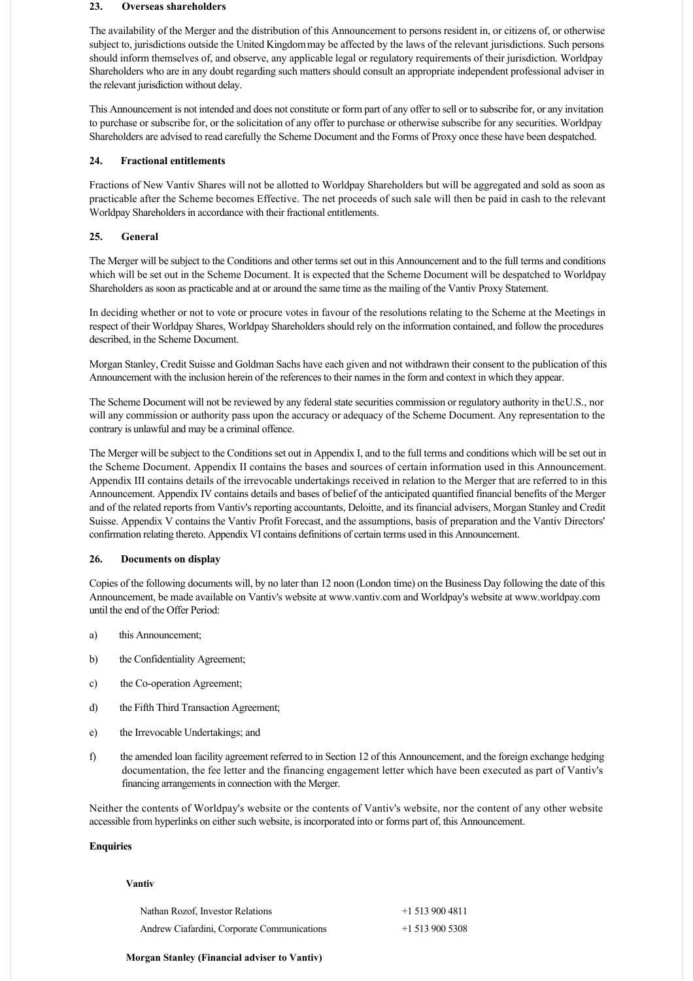# **23. Overseas shareholders**

The availability of the Merger and the distribution of this Announcement to persons resident in, or citizens of, or otherwise subject to, jurisdictions outside the United Kingdom may be affected by the laws of the relevant jurisdictions. Such persons should inform themselves of, and observe, any applicable legal or regulatory requirements of their jurisdiction. Worldpay Shareholders who are in any doubt regarding such matters should consult an appropriate independent professional adviser in the relevant jurisdiction without delay.

This Announcement is not intended and does not constitute or form part of any offer to sell or to subscribe for, or any invitation to purchase or subscribe for, or the solicitation of any offer to purchase or otherwise subscribe for any securities. Worldpay Shareholders are advised to read carefully the Scheme Document and the Forms of Proxy once these have been despatched.

### **24. Fractional entitlements**

Fractions of New Vantiv Shares will not be allotted to Worldpay Shareholders but will be aggregated and sold as soon as practicable after the Scheme becomes Effective. The net proceeds of such sale will then be paid in cash to the relevant Worldpay Shareholders in accordance with their fractional entitlements.

# **25. General**

The Merger will be subject to the Conditions and other terms set out in this Announcement and to the full terms and conditions which will be set out in the Scheme Document. It is expected that the Scheme Document will be despatched to Worldpay Shareholders as soon as practicable and at or around the same time as the mailing of the Vantiv Proxy Statement.

In deciding whether or not to vote or procure votes in favour of the resolutions relating to the Scheme at the Meetings in respect of their Worldpay Shares, Worldpay Shareholders should rely on the information contained, and follow the procedures described, in the Scheme Document.

Morgan Stanley, Credit Suisse and Goldman Sachs have each given and not withdrawn their consent to the publication of this Announcement with the inclusion herein of the references to their names in the form and context in which they appear.

The Scheme Document will not be reviewed by any federal state securities commission or regulatory authority in the U.S., nor will any commission or authority pass upon the accuracy or adequacy of the Scheme Document. Any representation to the contrary is unlawful and may be a criminal offence.

The Merger will be subject to the Conditions set out in Appendix I, and to the full terms and conditions which will be set out in the Scheme Document. Appendix II contains the bases and sources of certain information used in this Announcement. Appendix III contains details of the irrevocable undertakings received in relation to the Merger that are referred to in this Announcement. Appendix IV contains details and bases of belief of the anticipated quantified financial benefits of the Merger and of the related reports from Vantiv's reporting accountants, Deloitte, and its financial advisers, Morgan Stanley and Credit Suisse. Appendix V contains the Vantiv Profit Forecast, and the assumptions, basis of preparation and the Vantiv Directors' confirmation relating thereto. Appendix VI contains definitions of certain terms used in this Announcement.

#### **26. Documents on display**

Copies of the following documents will, by no later than 12 noon (London time) on the Business Day following the date of this Announcement, be made available on Vantiv's website at www.vantiv.com and Worldpay's website at www.worldpay.com until the end of the Offer Period:

- a) this Announcement:
- b) the Confidentiality Agreement;
- c) the Co-operation Agreement;
- d) the Fifth Third Transaction Agreement;
- e) the Irrevocable Undertakings; and
- f) the amended loan facility agreement referred to in Section 12 of this Announcement, and the foreign exchange hedging documentation, the fee letter and the financing engagement letter which have been executed as part of Vantiv's financing arrangements in connection with the Merger.

Neither the contents of Worldpay's website or the contents of Vantiv's website, nor the content of any other website accessible from hyperlinks on either such website, is incorporated into or forms part of, this Announcement.

# **Enquiries**

#### **Vantiv**

| Nathan Rozof, Investor Relations            | $+15139004811$ |
|---------------------------------------------|----------------|
| Andrew Ciafardini, Corporate Communications | $+15139005308$ |

### **Morgan Stanley (Financial adviser to Vantiv)**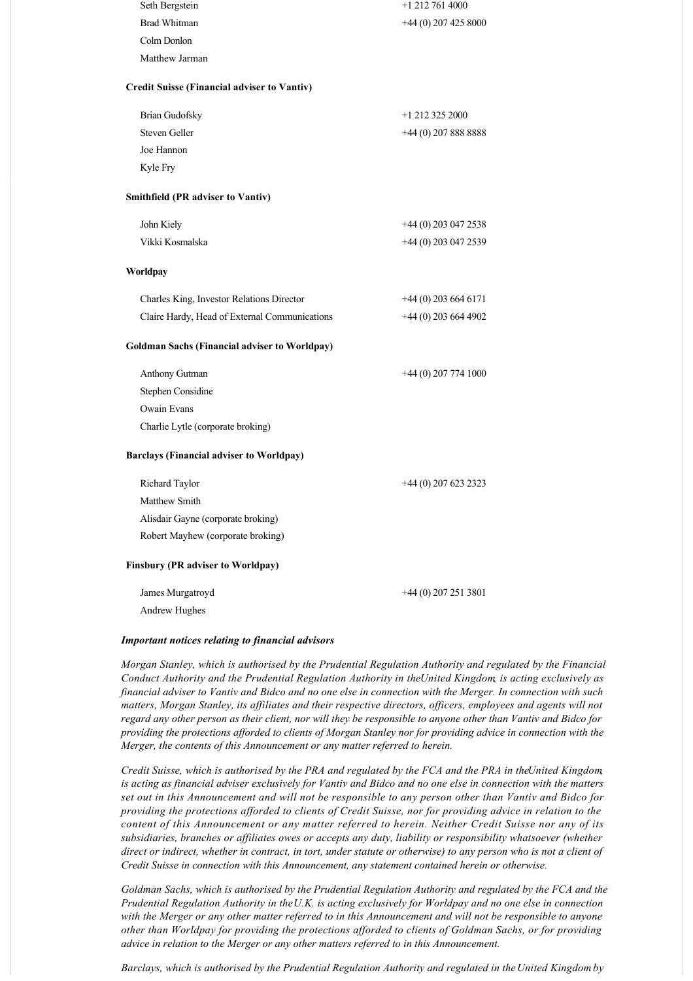| Seth Bergstein                                       | $+1$ 212 761 4000      |
|------------------------------------------------------|------------------------|
| <b>Brad Whitman</b>                                  | $+44(0)$ 207 425 8000  |
| Colm Donlon                                          |                        |
| Matthew Jarman                                       |                        |
| <b>Credit Suisse (Financial adviser to Vantiv)</b>   |                        |
| <b>Brian Gudofsky</b>                                | $+1$ 212 325 2000      |
| Steven Geller                                        | $+44$ (0) 207 888 8888 |
| Joe Hannon                                           |                        |
| Kyle Fry                                             |                        |
| <b>Smithfield (PR adviser to Vantiv)</b>             |                        |
| John Kiely                                           | +44 (0) 203 047 2538   |
| Vikki Kosmalska                                      | $+44(0)$ 203 047 2539  |
| Worldpay                                             |                        |
| Charles King, Investor Relations Director            | $+44(0)$ 203 664 6171  |
| Claire Hardy, Head of External Communications        | $+44(0)$ 203 664 4902  |
| <b>Goldman Sachs (Financial adviser to Worldpay)</b> |                        |
| Anthony Gutman                                       | $+44(0)$ 207 774 1000  |
| Stephen Considine                                    |                        |
| Owain Evans                                          |                        |
|                                                      |                        |

### **Barclays (Financial adviser to Worldpay)**

Charlie Lytle (corporate broking)

| Richard Taylor                           | $+44(0)$ 207 623 2323 |
|------------------------------------------|-----------------------|
| Matthew Smith                            |                       |
| Alisdair Gayne (corporate broking)       |                       |
| Robert Mayhew (corporate broking)        |                       |
| <b>Finsbury (PR adviser to Worldpay)</b> |                       |

James Murgatroyd Andrew Hughes

#### *Important notices relating to financial advisors*

*Morgan Stanley, which is authorised by the Prudential Regulation Authority and regulated by the Financial Conduct Authority and the Prudential Regulation Authority in the United Kingdom, is acting exclusively as financial adviser to Vantiv and Bidco and no one else in connection with the Merger. In connection with such matters, Morgan Stanley, its affiliates and their respective directors, officers, employees and agents will not regard any other person as their client, nor will they be responsible to anyone other than Vantiv and Bidco for providing the protections afforded to clients of Morgan Stanley nor for providing advice in connection with the Merger, the contents of this Announcement or any matter referred to herein.*

+44 (0) 207 251 3801

*Credit Suisse, which is authorised by the PRA and regulated by the FCA and the PRA in the United Kingdom, is acting as financial adviser exclusively for Vantiv and Bidco and no one else in connection with the matters set out in this Announcement and will not be responsible to any person other than Vantiv and Bidco for providing the protections afforded to clients of Credit Suisse, nor for providing advice in relation to the content of this Announcement or any matter referred to herein. Neither Credit Suisse nor any of its subsidiaries, branches or affiliates owes or accepts any duty, liability or responsibility whatsoever (whether direct or indirect, whether in contract, in tort, under statute or otherwise) to any person who is not a client of Credit Suisse in connection with this Announcement, any statement contained herein or otherwise.*

*Goldman Sachs, which is authorised by the Prudential Regulation Authority and regulated by the FCA and the Prudential Regulation Authority in the U.K. is acting exclusively for Worldpay and no one else in connection with the Merger or any other matter referred to in this Announcement and will not be responsible to anyone other than Worldpay for providing the protections afforded to clients of Goldman Sachs, or for providing advice in relation to the Merger or any other matters referred to in this Announcement.*

*Barclays, which is authorised by the Prudential Regulation Authority and regulated in the United Kingdom by*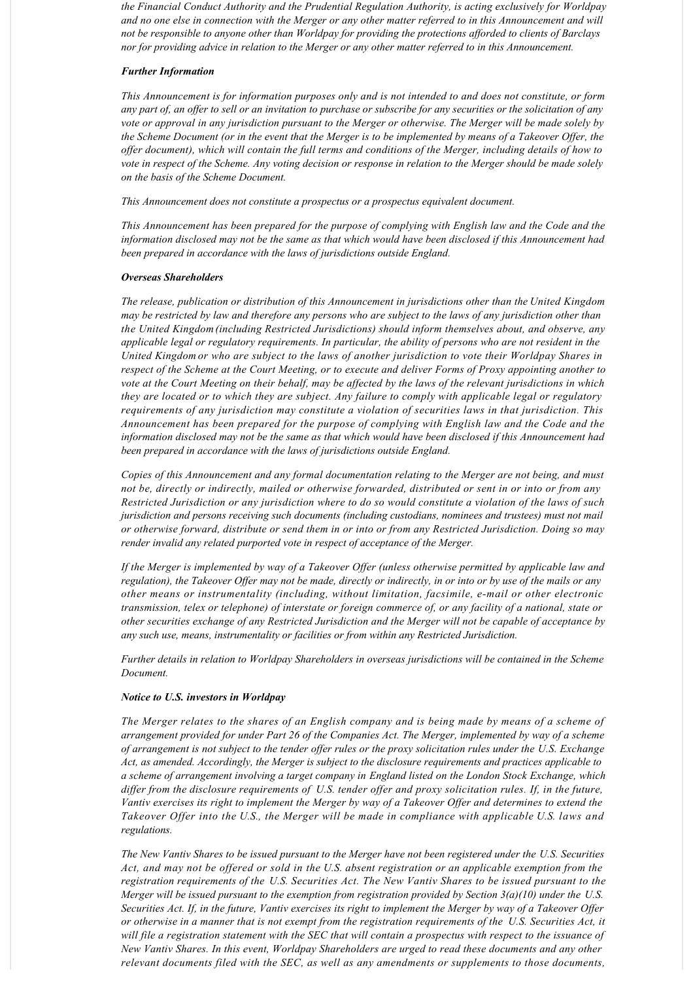*the Financial Conduct Authority and the Prudential Regulation Authority, is acting exclusively for Worldpay and no one else in connection with the Merger or any other matter referred to in this Announcement and will not be responsible to anyone other than Worldpay for providing the protections afforded to clients of Barclays nor for providing advice in relation to the Merger or any other matter referred to in this Announcement.*

### *Further Information*

*This Announcement is for information purposes only and is not intended to and does not constitute, or form any part of, an offer to sell or an invitation to purchase or subscribe for any securities or the solicitation of any vote or approval in any jurisdiction pursuant to the Merger or otherwise. The Merger will be made solely by the Scheme Document (or in the event that the Merger is to be implemented by means of a Takeover Offer, the offer document), which will contain the full terms and conditions of the Merger, including details of how to vote in respect of the Scheme. Any voting decision or response in relation to the Merger should be made solely on the basis of the Scheme Document.*

*This Announcement does not constitute a prospectus or a prospectus equivalent document.*

*This Announcement has been prepared for the purpose of complying with English law and the Code and the information disclosed may not be the same as that which would have been disclosed if this Announcement had been prepared in accordance with the laws of jurisdictions outside England.*

### *Overseas Shareholders*

*The release, publication or distribution of this Announcement in jurisdictions other than the United Kingdom may be restricted by law and therefore any persons who are subject to the laws of any jurisdiction other than the United Kingdom (including Restricted Jurisdictions) should inform themselves about, and observe, any applicable legal or regulatory requirements. In particular, the ability of persons who are not resident in the United Kingdom or who are subject to the laws of another jurisdiction to vote their Worldpay Shares in respect of the Scheme at the Court Meeting, or to execute and deliver Forms of Proxy appointing another to vote at the Court Meeting on their behalf, may be affected by the laws of the relevant jurisdictions in which they are located or to which they are subject. Any failure to comply with applicable legal or regulatory requirements of any jurisdiction may constitute a violation of securities laws in that jurisdiction. This Announcement has been prepared for the purpose of complying with English law and the Code and the information disclosed may not be the same as that which would have been disclosed if this Announcement had been prepared in accordance with the laws of jurisdictions outside England.*

*Copies of this Announcement and any formal documentation relating to the Merger are not being, and must not be, directly or indirectly, mailed or otherwise forwarded, distributed or sent in or into or from any Restricted Jurisdiction or any jurisdiction where to do so would constitute a violation of the laws of such jurisdiction and persons receiving such documents (including custodians, nominees and trustees) must not mail or otherwise forward, distribute or send them in or into or from any Restricted Jurisdiction. Doing so may render invalid any related purported vote in respect of acceptance of the Merger.*

*If the Merger is implemented by way of a Takeover Offer (unless otherwise permitted by applicable law and regulation), the Takeover Offer may not be made, directly or indirectly, in or into or by use of the mails or any other means or instrumentality (including, without limitation, facsimile, email or other electronic transmission, telex or telephone) of interstate or foreign commerce of, or any facility of a national, state or other securities exchange of any Restricted Jurisdiction and the Merger will not be capable of acceptance by any such use, means, instrumentality or facilities or from within any Restricted Jurisdiction.*

*Further details in relation to Worldpay Shareholders in overseas jurisdictions will be contained in the Scheme Document.*

### *Notice to U.S. investors in Worldpay*

*The Merger relates to the shares of an English company and is being made by means of a scheme of arrangement provided for under Part 26 of the Companies Act. The Merger, implemented by way of a scheme of arrangement is not subject to the tender offer rules or the proxy solicitation rules under the U.S. Exchange Act, as amended. Accordingly, the Merger is subject to the disclosure requirements and practices applicable to a scheme of arrangement involving a target company in England listed on the London Stock Exchange, which differ from the disclosure requirements of U.S. tender offer and proxy solicitation rules. If, in the future, Vantiv exercises its right to implement the Merger by way of a Takeover Offer and determines to extend the Takeover Offer into the U.S., the Merger will be made in compliance with applicable U.S. laws and regulations.*

*The New Vantiv Shares to be issued pursuant to the Merger have not been registered under the U.S. Securities Act, and may not be offered or sold in the U.S. absent registration or an applicable exemption from the registration requirements of the U.S. Securities Act. The New Vantiv Shares to be issued pursuant to the Merger will be issued pursuant to the exemption from registration provided by Section 3(a)(10) under the U.S. Securities Act. If, in the future, Vantiv exercises its right to implement the Merger by way of a Takeover Offer or otherwise in a manner that is not exempt from the registration requirements of the U.S. Securities Act, it will file a registration statement with the SEC that will contain a prospectus with respect to the issuance of New Vantiv Shares. In this event, Worldpay Shareholders are urged to read these documents and any other relevant documents filed with the SEC, as well as any amendments or supplements to those documents,*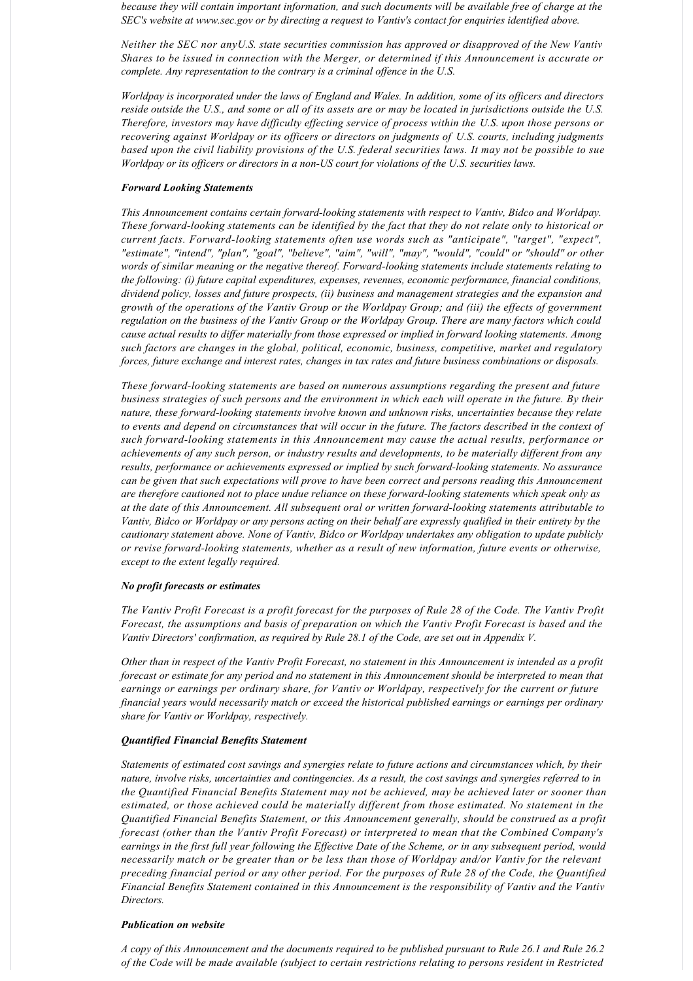*because they will contain important information, and such documents will be available free of charge at the SEC's website at www.sec.gov or by directing a request to Vantiv's contact for enquiries identified above.*

*Neither the SEC nor any U.S. state securities commission has approved or disapproved of the New Vantiv Shares to be issued in connection with the Merger, or determined if this Announcement is accurate or complete. Any representation to the contrary is a criminal offence in the U.S.*

*Worldpay is incorporated under the laws of England and Wales. In addition, some of its officers and directors reside outside the U.S., and some or all of its assets are or may be located in jurisdictions outside the U.S. Therefore, investors may have difficulty effecting service of process within the U.S. upon those persons or recovering against Worldpay or its officers or directors on judgments of U.S. courts, including judgments based upon the civil liability provisions of the U.S. federal securities laws. It may not be possible to sue Worldpay or its officers or directors in a non-US court for violations of the U.S. securities laws.* 

### *Forward Looking Statements*

*This Announcement contains certain forward-looking statements with respect to Vantiv, Bidco and Worldpay. These forwardlooking statements can be identified by the fact that they do not relate only to historical or current facts. Forwardlooking statements often use words such as "anticipate", "target", "expect", "estimate", "intend", "plan", "goal", "believe", "aim", "will", "may", "would", "could" or "should" or other words of similar meaning or the negative thereof. Forward-looking statements include statements relating to the following: (i) future capital expenditures, expenses, revenues, economic performance, financial conditions, dividend policy, losses and future prospects, (ii) business and management strategies and the expansion and growth of the operations of the Vantiv Group or the Worldpay Group; and (iii) the effects of government regulation on the business of the Vantiv Group or the Worldpay Group. There are many factors which could cause actual results to differ materially from those expressed or implied in forward looking statements. Among such factors are changes in the global, political, economic, business, competitive, market and regulatory forces, future exchange and interest rates, changes in tax rates and future business combinations or disposals.*

*These forwardlooking statements are based on numerous assumptions regarding the present and future business strategies of such persons and the environment in which each will operate in the future. By their nature, these forward-looking statements involve known and unknown risks, uncertainties because they relate to events and depend on circumstances that will occur in the future. The factors described in the context of such forwardlooking statements in this Announcement may cause the actual results, performance or achievements of any such person, or industry results and developments, to be materially different from any* results, performance or achievements expressed or implied by such forward-looking statements. No assurance *can be given that such expectations will prove to have been correct and persons reading this Announcement are therefore cautioned not to place undue reliance on these forwardlooking statements which speak only as at the date of this Announcement. All subsequent oral or written forwardlooking statements attributable to Vantiv, Bidco or Worldpay or any persons acting on their behalf are expressly qualified in their entirety by the cautionary statement above. None of Vantiv, Bidco or Worldpay undertakes any obligation to update publicly or revise forwardlooking statements, whether as a result of new information, future events or otherwise, except to the extent legally required.*

### *No profit forecasts or estimates*

*The Vantiv Profit Forecast is a profit forecast for the purposes of Rule 28 of the Code. The Vantiv Profit Forecast, the assumptions and basis of preparation on which the Vantiv Profit Forecast is based and the Vantiv Directors' confirmation, as required by Rule 28.1 of the Code, are set out in Appendix V.*

*Other than in respect of the Vantiv Profit Forecast, no statement in this Announcement is intended as a profit forecast or estimate for any period and no statement in this Announcement should be interpreted to mean that earnings or earnings per ordinary share, for Vantiv or Worldpay, respectively for the current or future financial years would necessarily match or exceed the historical published earnings or earnings per ordinary share for Vantiv or Worldpay, respectively.*

#### *Quantified Financial Benefits Statement*

*Statements of estimated cost savings and synergies relate to future actions and circumstances which, by their nature, involve risks, uncertainties and contingencies. As a result, the cost savings and synergies referred to in the Quantified Financial Benefits Statement may not be achieved, may be achieved later or sooner than estimated, or those achieved could be materially different from those estimated. No statement in the Quantified Financial Benefits Statement, or this Announcement generally, should be construed as a profit forecast (other than the Vantiv Profit Forecast) or interpreted to mean that the Combined Company's earnings in the first full year following the Effective Date of the Scheme, or in any subsequent period, would necessarily match or be greater than or be less than those of Worldpay and/or Vantiv for the relevant preceding financial period or any other period. For the purposes of Rule 28 of the Code, the Quantified Financial Benefits Statement contained in this Announcement is the responsibility of Vantiv and the Vantiv Directors.*

#### *Publication on website*

*A copy of this Announcement and the documents required to be published pursuant to Rule 26.1 and Rule 26.2 of the Code will be made available (subject to certain restrictions relating to persons resident in Restricted*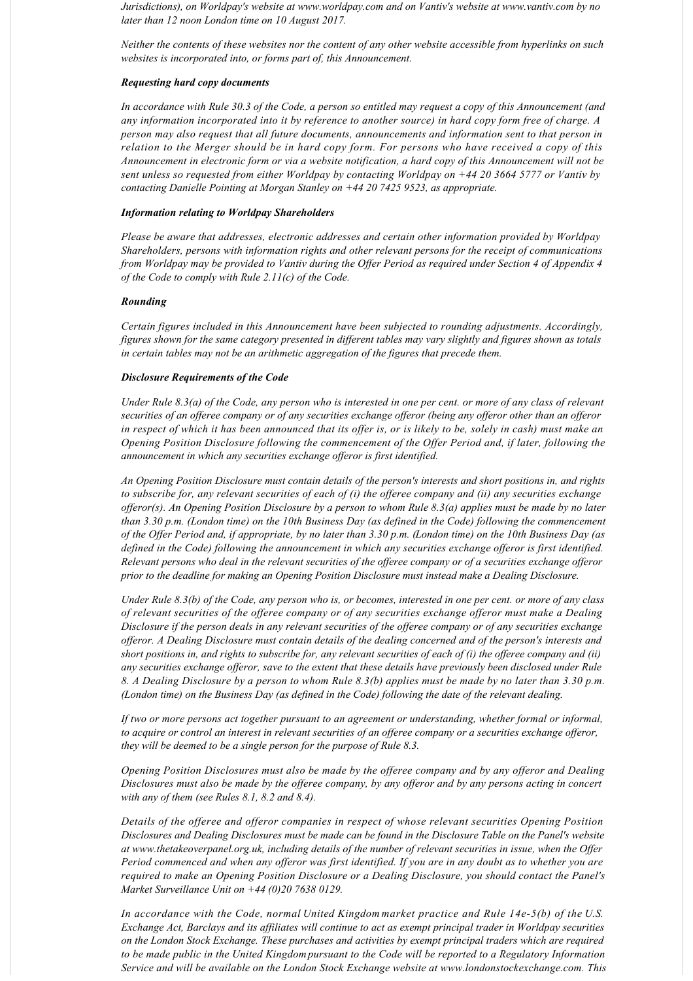*Jurisdictions), on Worldpay's website at www.worldpay.com and on Vantiv's website at www.vantiv.com by no later than 12 noon London time on 10 August 2017.*

*Neither the contents of these websites nor the content of any other website accessible from hyperlinks on such websites is incorporated into, or forms part of, this Announcement.*

#### *Requesting hard copy documents*

*In accordance with Rule 30.3 of the Code, a person so entitled may request a copy of this Announcement (and any information incorporated into it by reference to another source) in hard copy form free of charge. A person may also request that all future documents, announcements and information sent to that person in relation to the Merger should be in hard copy form. For persons who have received a copy of this Announcement in electronic form or via a website notification, a hard copy of this Announcement will not be sent unless so requested from either Worldpay by contacting Worldpay on +44 20 3664 5777 or Vantiv by contacting Danielle Pointing at Morgan Stanley on +44 20 7425 9523, as appropriate.*

### *Information relating to Worldpay Shareholders*

*Please be aware that addresses, electronic addresses and certain other information provided by Worldpay Shareholders, persons with information rights and other relevant persons for the receipt of communications from Worldpay may be provided to Vantiv during the Offer Period as required under Section 4 of Appendix 4 of the Code to comply with Rule 2.11(c) of the Code.*

### *Rounding*

*Certain figures included in this Announcement have been subjected to rounding adjustments. Accordingly, figures shown for the same category presented in different tables may vary slightly and figures shown as totals in certain tables may not be an arithmetic aggregation of the figures that precede them.*

### *Disclosure Requirements of the Code*

*Under Rule 8.3(a) of the Code, any person who is interested in one per cent. or more of any class of relevant securities of an offeree company or of any securities exchange offeror (being any offeror other than an offeror in respect of which it has been announced that its offer is, or is likely to be, solely in cash) must make an Opening Position Disclosure following the commencement of the Offer Period and, if later, following the announcement in which any securities exchange offeror is first identified.*

*An Opening Position Disclosure must contain details of the person's interests and short positions in, and rights to subscribe for, any relevant securities of each of (i) the offeree company and (ii) any securities exchange offeror(s). An Opening Position Disclosure by a person to whom Rule 8.3(a) applies must be made by no later than 3.30 p.m. (London time) on the 10th Business Day (as defined in the Code) following the commencement of the Offer Period and, if appropriate, by no later than 3.30 p.m. (London time) on the 10th Business Day (as defined in the Code) following the announcement in which any securities exchange offeror is first identified. Relevant persons who deal in the relevant securities of the offeree company or of a securities exchange offeror prior to the deadline for making an Opening Position Disclosure must instead make a Dealing Disclosure.*

*Under Rule 8.3(b) of the Code, any person who is, or becomes, interested in one per cent. or more of any class of relevant securities of the offeree company or of any securities exchange offeror must make a Dealing Disclosure if the person deals in any relevant securities of the offeree company or of any securities exchange offeror. A Dealing Disclosure must contain details of the dealing concerned and of the person's interests and short positions in, and rights to subscribe for, any relevant securities of each of (i) the offeree company and (ii) any securities exchange offeror, save to the extent that these details have previously been disclosed under Rule 8. A Dealing Disclosure by a person to whom Rule 8.3(b) applies must be made by no later than 3.30 p.m. (London time) on the Business Day (as defined in the Code) following the date of the relevant dealing.*

*If two or more persons act together pursuant to an agreement or understanding, whether formal or informal, to acquire or control an interest in relevant securities of an offeree company or a securities exchange offeror, they will be deemed to be a single person for the purpose of Rule 8.3.*

*Opening Position Disclosures must also be made by the offeree company and by any offeror and Dealing Disclosures must also be made by the offeree company, by any offeror and by any persons acting in concert with any of them (see Rules 8.1, 8.2 and 8.4).*

*Details of the offeree and offeror companies in respect of whose relevant securities Opening Position Disclosures and Dealing Disclosures must be made can be found in the Disclosure Table on the Panel's website at www.thetakeoverpanel.org.uk, including details of the number of relevant securities in issue, when the Offer Period commenced and when any offeror was first identified. If you are in any doubt as to whether you are required to make an Opening Position Disclosure or a Dealing Disclosure, you should contact the Panel's Market Surveillance Unit on +44 (0)20 7638 0129.*

*In accordance with the Code, normal United Kingdom market practice and Rule 14e5(b) of the U.S. Exchange Act, Barclays and its affiliates will continue to act as exempt principal trader in Worldpay securities on the London Stock Exchange. These purchases and activities by exempt principal traders which are required to be made public in the United Kingdom pursuant to the Code will be reported to a Regulatory Information Service and will be available on the London Stock Exchange website at www.londonstockexchange.com. This*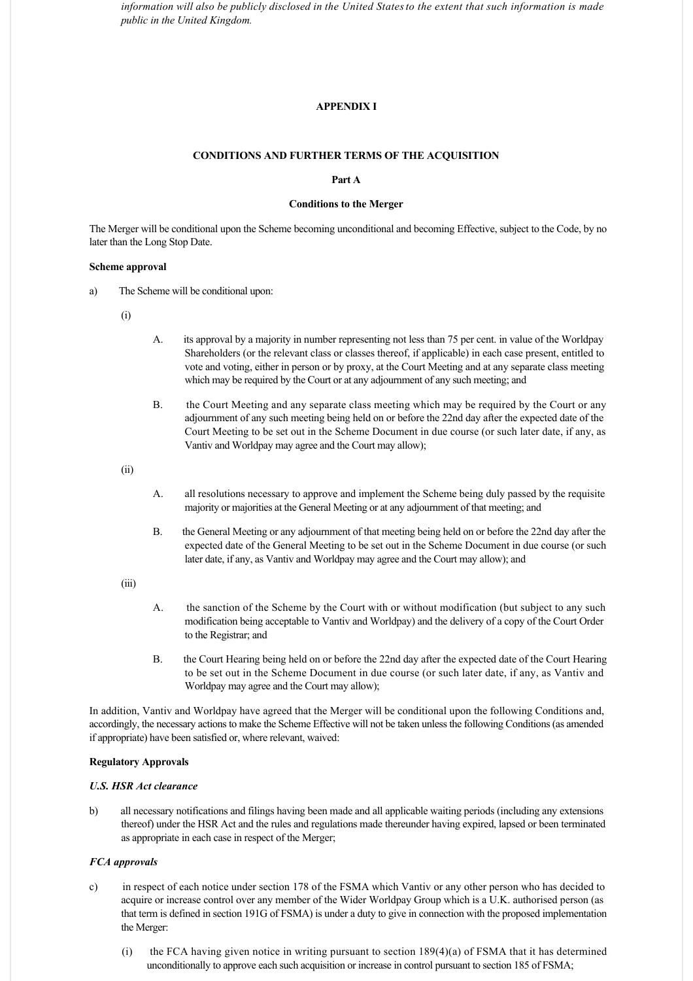*information will also be publicly disclosed in the United States to the extent that such information is made public in the United Kingdom.*

# **APPENDIX I**

#### **CONDITIONS AND FURTHER TERMS OF THE ACQUISITION**

# **Part A**

# **Conditions to the Merger**

The Merger will be conditional upon the Scheme becoming unconditional and becoming Effective, subject to the Code, by no later than the Long Stop Date.

### **Scheme approval**

- a) The Scheme will be conditional upon:
	- (i)
- A. its approval by a majority in number representing not less than 75 per cent. in value of the Worldpay Shareholders (or the relevant class or classes thereof, if applicable) in each case present, entitled to vote and voting, either in person or by proxy, at the Court Meeting and at any separate class meeting which may be required by the Court or at any adjournment of any such meeting; and
- B. the Court Meeting and any separate class meeting which may be required by the Court or any adjournment of any such meeting being held on or before the 22nd day after the expected date of the Court Meeting to be set out in the Scheme Document in due course (or such later date, if any, as Vantiv and Worldpay may agree and the Court may allow);

(ii)

- A. all resolutions necessary to approve and implement the Scheme being duly passed by the requisite majority or majorities at the General Meeting or at any adjournment of that meeting; and
- B. the General Meeting or any adjournment of that meeting being held on or before the 22nd day after the expected date of the General Meeting to be set out in the Scheme Document in due course (or such later date, if any, as Vantiv and Worldpay may agree and the Court may allow); and

(iii)

- A. the sanction of the Scheme by the Court with or without modification (but subject to any such modification being acceptable to Vantiv and Worldpay) and the delivery of a copy of the Court Order to the Registrar; and
- B. the Court Hearing being held on or before the 22nd day after the expected date of the Court Hearing to be set out in the Scheme Document in due course (or such later date, if any, as Vantiv and Worldpay may agree and the Court may allow);

In addition, Vantiv and Worldpay have agreed that the Merger will be conditional upon the following Conditions and, accordingly, the necessary actions to make the Scheme Effective will not be taken unless the following Conditions (as amended if appropriate) have been satisfied or, where relevant, waived:

# **Regulatory Approvals**

# *U.S. HSR Act clearance*

b) all necessary notifications and filings having been made and all applicable waiting periods (including any extensions thereof) under the HSR Act and the rules and regulations made thereunder having expired, lapsed or been terminated as appropriate in each case in respect of the Merger;

### *FCA approvals*

- c) in respect of each notice under section 178 of the FSMA which Vantiv or any other person who has decided to acquire or increase control over any member of the Wider Worldpay Group which is a U.K. authorised person (as that term is defined in section 191G of FSMA) is under a duty to give in connection with the proposed implementation the Merger:
	- (i) the FCA having given notice in writing pursuant to section  $189(4)(a)$  of FSMA that it has determined unconditionally to approve each such acquisition or increase in control pursuant to section 185 of FSMA;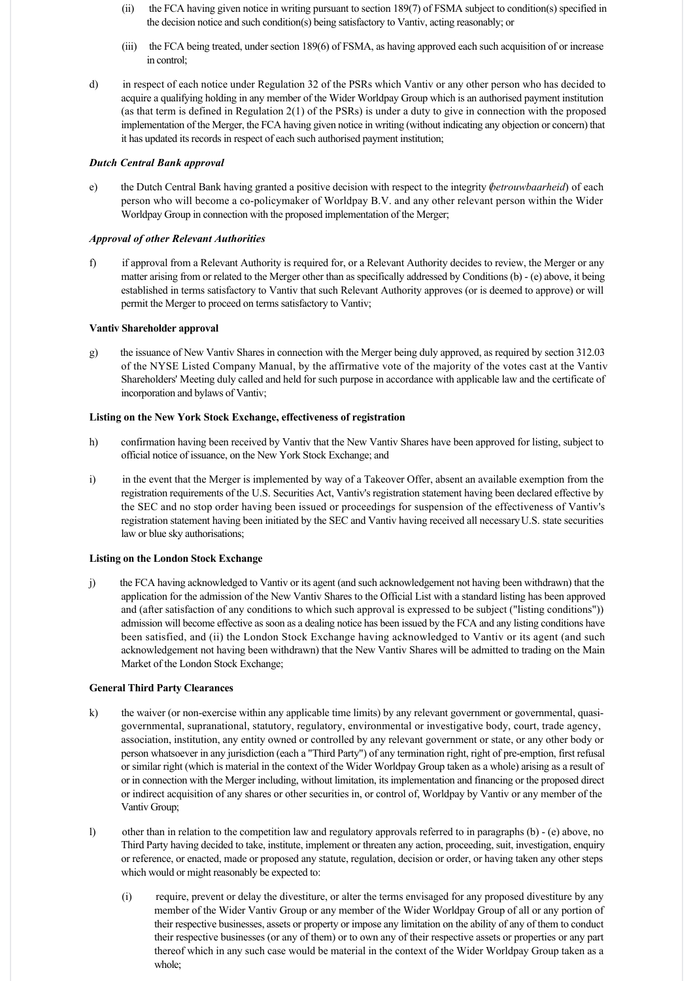- (ii) the FCA having given notice in writing pursuant to section 189(7) of FSMA subject to condition(s) specified in the decision notice and such condition(s) being satisfactory to Vantiv, acting reasonably; or
- (iii) the FCA being treated, under section 189(6) of FSMA, as having approved each such acquisition of or increase in control;
- d) in respect of each notice under Regulation 32 of the PSRs which Vantiv or any other person who has decided to acquire a qualifying holding in any member of the Wider Worldpay Group which is an authorised payment institution (as that term is defined in Regulation 2(1) of the PSRs) is under a duty to give in connection with the proposed implementation of the Merger, the FCA having given notice in writing (without indicating any objection or concern) that it has updated its records in respect of each such authorised payment institution;

# *Dutch Central Bank approval*

e) the Dutch Central Bank having granted a positive decision with respect to the integrity (*betrouwbaarheid*) of each person who will become a copolicymaker of Worldpay B.V. and any other relevant person within the Wider Worldpay Group in connection with the proposed implementation of the Merger;

# *Approval of other Relevant Authorities*

f) if approval from a Relevant Authority is required for, or a Relevant Authority decides to review, the Merger or any matter arising from or related to the Merger other than as specifically addressed by Conditions (b) (e) above, it being established in terms satisfactory to Vantiv that such Relevant Authority approves (or is deemed to approve) or will permit the Merger to proceed on terms satisfactory to Vantiv;

# **Vantiv Shareholder approval**

g) the issuance of New Vantiv Shares in connection with the Merger being duly approved, as required by section 312.03 of the NYSE Listed Company Manual, by the affirmative vote of the majority of the votes cast at the Vantiv Shareholders' Meeting duly called and held for such purpose in accordance with applicable law and the certificate of incorporation and bylaws of Vantiv;

# **Listing on the New York Stock Exchange, effectiveness of registration**

- h) confirmation having been received by Vantiv that the New Vantiv Shares have been approved for listing, subject to official notice of issuance, on the New York Stock Exchange; and
- i) in the event that the Merger is implemented by way of a Takeover Offer, absent an available exemption from the registration requirements of the U.S. Securities Act, Vantiv's registration statement having been declared effective by the SEC and no stop order having been issued or proceedings for suspension of the effectiveness of Vantiv's registration statement having been initiated by the SEC and Vantiv having received all necessary U.S. state securities law or blue sky authorisations;

# **Listing on the London Stock Exchange**

j) the FCA having acknowledged to Vantiv or its agent (and such acknowledgement not having been withdrawn) that the application for the admission of the New Vantiv Shares to the Official List with a standard listing has been approved and (after satisfaction of any conditions to which such approval is expressed to be subject ("listing conditions")) admission will become effective as soon as a dealing notice has been issued by the FCA and any listing conditions have been satisfied, and (ii) the London Stock Exchange having acknowledged to Vantiv or its agent (and such acknowledgement not having been withdrawn) that the New Vantiv Shares will be admitted to trading on the Main Market of the London Stock Exchange;

# **General Third Party Clearances**

- k) the waiver (or non-exercise within any applicable time limits) by any relevant government or governmental, quasigovernmental, supranational, statutory, regulatory, environmental or investigative body, court, trade agency, association, institution, any entity owned or controlled by any relevant government or state, or any other body or person whatsoever in any jurisdiction (each a "Third Party") of any termination right, right of pre-emption, first refusal or similar right (which is material in the context of the Wider Worldpay Group taken as a whole) arising as a result of or in connection with the Merger including, without limitation, its implementation and financing or the proposed direct or indirect acquisition of any shares or other securities in, or control of, Worldpay by Vantiv or any member of the Vantiv Group;
- l) other than in relation to the competition law and regulatory approvals referred to in paragraphs (b) (e) above, no Third Party having decided to take, institute, implement or threaten any action, proceeding, suit, investigation, enquiry or reference, or enacted, made or proposed any statute, regulation, decision or order, or having taken any other steps which would or might reasonably be expected to:
	- (i) require, prevent or delay the divestiture, or alter the terms envisaged for any proposed divestiture by any member of the Wider Vantiv Group or any member of the Wider Worldpay Group of all or any portion of their respective businesses, assets or property or impose any limitation on the ability of any of them to conduct their respective businesses (or any of them) or to own any of their respective assets or properties or any part thereof which in any such case would be material in the context of the Wider Worldpay Group taken as a whole;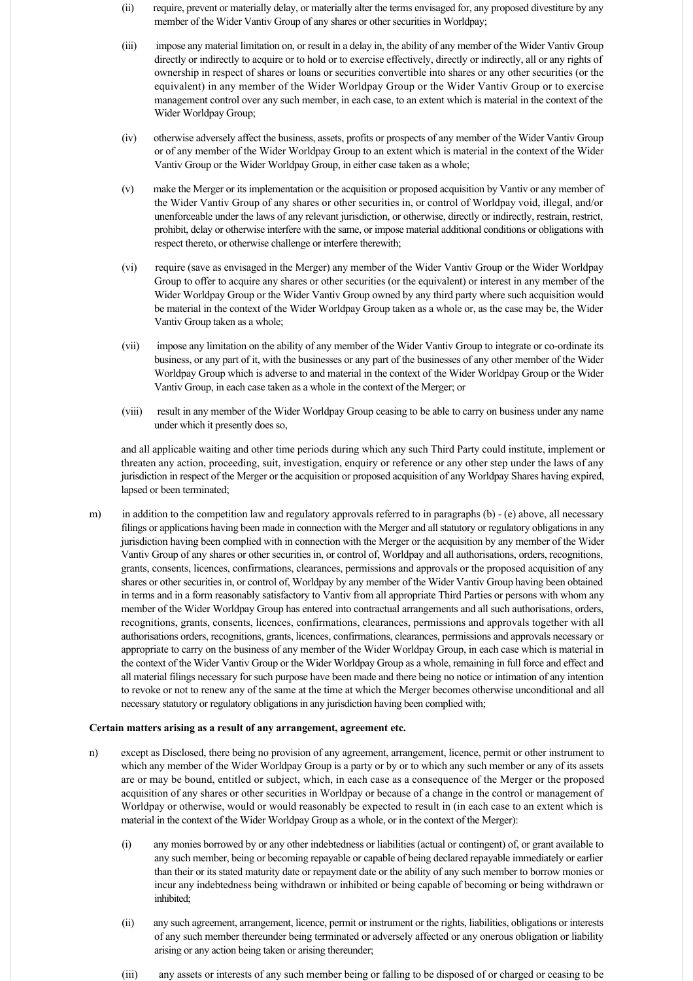- (ii) require, prevent or materially delay, or materially alter the terms envisaged for, any proposed divestiture by any member of the Wider Vantiv Group of any shares or other securities in Worldpay;
- (iii) impose any material limitation on, or result in a delay in, the ability of any member of the Wider Vantiv Group directly or indirectly to acquire or to hold or to exercise effectively, directly or indirectly, all or any rights of ownership in respect of shares or loans or securities convertible into shares or any other securities (or the equivalent) in any member of the Wider Worldpay Group or the Wider Vantiv Group or to exercise management control over any such member, in each case, to an extent which is material in the context of the Wider Worldpay Group;
- (iv) otherwise adversely affect the business, assets, profits or prospects of any member of the Wider Vantiv Group or of any member of the Wider Worldpay Group to an extent which is material in the context of the Wider Vantiv Group or the Wider Worldpay Group, in either case taken as a whole;
- (v) make the Merger or its implementation or the acquisition or proposed acquisition by Vantiv or any member of the Wider Vantiv Group of any shares or other securities in, or control of Worldpay void, illegal, and/or unenforceable under the laws of any relevant jurisdiction, or otherwise, directly or indirectly, restrain, restrict, prohibit, delay or otherwise interfere with the same, or impose material additional conditions or obligations with respect thereto, or otherwise challenge or interfere therewith;
- (vi) require (save as envisaged in the Merger) any member of the Wider Vantiv Group or the Wider Worldpay Group to offer to acquire any shares or other securities (or the equivalent) or interest in any member of the Wider Worldpay Group or the Wider Vantiv Group owned by any third party where such acquisition would be material in the context of the Wider Worldpay Group taken as a whole or, as the case may be, the Wider Vantiv Group taken as a whole;
- (vii) impose any limitation on the ability of any member of the Wider Vantiv Group to integrate or co-ordinate its business, or any part of it, with the businesses or any part of the businesses of any other member of the Wider Worldpay Group which is adverse to and material in the context of the Wider Worldpay Group or the Wider Vantiv Group, in each case taken as a whole in the context of the Merger; or
- (viii) result in any member of the Wider Worldpay Group ceasing to be able to carry on business under any name under which it presently does so,

and all applicable waiting and other time periods during which any such Third Party could institute, implement or threaten any action, proceeding, suit, investigation, enquiry or reference or any other step under the laws of any jurisdiction in respect of the Merger or the acquisition or proposed acquisition of any Worldpay Shares having expired, lapsed or been terminated;

m) in addition to the competition law and regulatory approvals referred to in paragraphs (b) - (e) above, all necessary filings or applications having been made in connection with the Merger and all statutory or regulatory obligations in any jurisdiction having been complied with in connection with the Merger or the acquisition by any member of the Wider Vantiv Group of any shares or other securities in, or control of, Worldpay and all authorisations, orders, recognitions, grants, consents, licences, confirmations, clearances, permissions and approvals or the proposed acquisition of any shares or other securities in, or control of, Worldpay by any member of the Wider Vantiv Group having been obtained in terms and in a form reasonably satisfactory to Vantiv from all appropriate Third Parties or persons with whom any member of the Wider Worldpay Group has entered into contractual arrangements and all such authorisations, orders, recognitions, grants, consents, licences, confirmations, clearances, permissions and approvals together with all authorisations orders, recognitions, grants, licences, confirmations, clearances, permissions and approvals necessary or appropriate to carry on the business of any member of the Wider Worldpay Group, in each case which is material in the context of the Wider Vantiv Group or the Wider Worldpay Group as a whole, remaining in full force and effect and all material filings necessary for such purpose have been made and there being no notice or intimation of any intention to revoke or not to renew any of the same at the time at which the Merger becomes otherwise unconditional and all necessary statutory or regulatory obligations in any jurisdiction having been complied with;

#### **Certain matters arising as a result of any arrangement, agreement etc.**

- n) except as Disclosed, there being no provision of any agreement, arrangement, licence, permit or other instrument to which any member of the Wider Worldpay Group is a party or by or to which any such member or any of its assets are or may be bound, entitled or subject, which, in each case as a consequence of the Merger or the proposed acquisition of any shares or other securities in Worldpay or because of a change in the control or management of Worldpay or otherwise, would or would reasonably be expected to result in (in each case to an extent which is material in the context of the Wider Worldpay Group as a whole, or in the context of the Merger):
	- (i) any monies borrowed by or any other indebtedness or liabilities (actual or contingent) of, or grant available to any such member, being or becoming repayable or capable of being declared repayable immediately or earlier than their or its stated maturity date or repayment date or the ability of any such member to borrow monies or incur any indebtedness being withdrawn or inhibited or being capable of becoming or being withdrawn or inhibited;
	- (ii) any such agreement, arrangement, licence, permit or instrument or the rights, liabilities, obligations or interests of any such member thereunder being terminated or adversely affected or any onerous obligation or liability arising or any action being taken or arising thereunder;
	- (iii) any assets or interests of any such member being or falling to be disposed of or charged or ceasing to be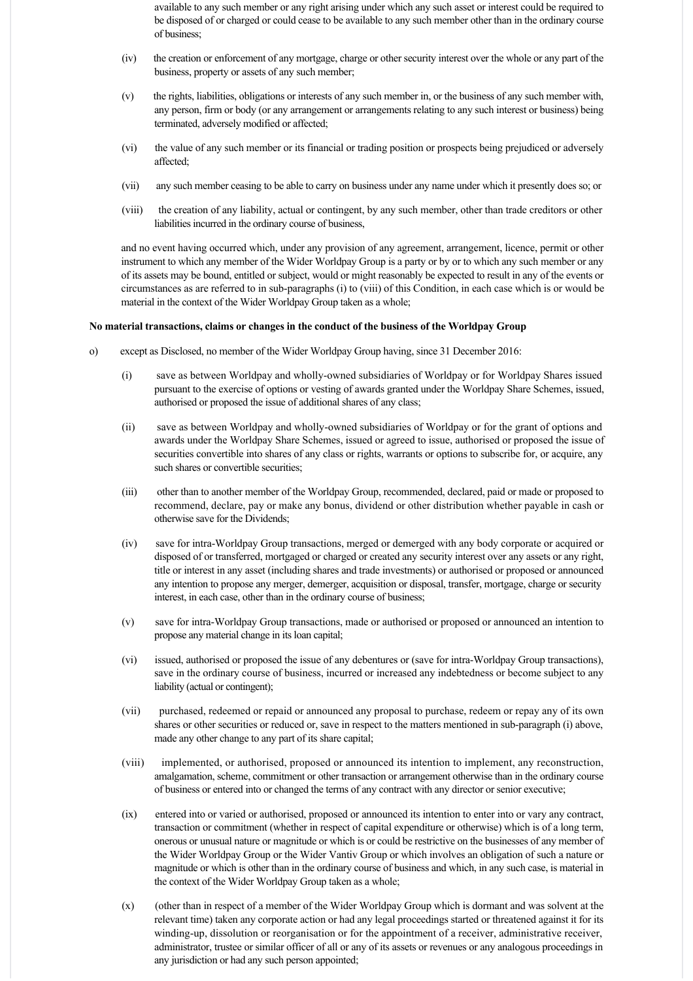available to any such member or any right arising under which any such asset or interest could be required to be disposed of or charged or could cease to be available to any such member other than in the ordinary course of business;

- (iv) the creation or enforcement of any mortgage, charge or other security interest over the whole or any part of the business, property or assets of any such member;
- (v) the rights, liabilities, obligations or interests of any such member in, or the business of any such member with, any person, firm or body (or any arrangement or arrangements relating to any such interest or business) being terminated, adversely modified or affected;
- (vi) the value of any such member or its financial or trading position or prospects being prejudiced or adversely affected;
- (vii) any such member ceasing to be able to carry on business under any name under which it presently does so; or
- (viii) the creation of any liability, actual or contingent, by any such member, other than trade creditors or other liabilities incurred in the ordinary course of business,

and no event having occurred which, under any provision of any agreement, arrangement, licence, permit or other instrument to which any member of the Wider Worldpay Group is a party or by or to which any such member or any of its assets may be bound, entitled or subject, would or might reasonably be expected to result in any of the events or circumstances as are referred to in sub-paragraphs (i) to (viii) of this Condition, in each case which is or would be material in the context of the Wider Worldpay Group taken as a whole;

# **No material transactions, claims or changes in the conduct of the business of the Worldpay Group**

- o) except as Disclosed, no member of the Wider Worldpay Group having, since 31 December 2016:
	- (i) save as between Worldpay and wholly-owned subsidiaries of Worldpay or for Worldpay Shares issued pursuant to the exercise of options or vesting of awards granted under the Worldpay Share Schemes, issued, authorised or proposed the issue of additional shares of any class;
	- (ii) save as between Worldpay and wholly-owned subsidiaries of Worldpay or for the grant of options and awards under the Worldpay Share Schemes, issued or agreed to issue, authorised or proposed the issue of securities convertible into shares of any class or rights, warrants or options to subscribe for, or acquire, any such shares or convertible securities:
	- (iii) other than to another member of the Worldpay Group, recommended, declared, paid or made or proposed to recommend, declare, pay or make any bonus, dividend or other distribution whether payable in cash or otherwise save for the Dividends;
	- (iv) save for intraWorldpay Group transactions, merged or demerged with any body corporate or acquired or disposed of or transferred, mortgaged or charged or created any security interest over any assets or any right, title or interest in any asset (including shares and trade investments) or authorised or proposed or announced any intention to propose any merger, demerger, acquisition or disposal, transfer, mortgage, charge or security interest, in each case, other than in the ordinary course of business;
	- (v) save for intraWorldpay Group transactions, made or authorised or proposed or announced an intention to propose any material change in its loan capital;
	- (vi) issued, authorised or proposed the issue of any debentures or (save for intra-Worldpay Group transactions), save in the ordinary course of business, incurred or increased any indebtedness or become subject to any liability (actual or contingent);
	- (vii) purchased, redeemed or repaid or announced any proposal to purchase, redeem or repay any of its own shares or other securities or reduced or, save in respect to the matters mentioned in sub-paragraph (i) above, made any other change to any part of its share capital;
	- (viii) implemented, or authorised, proposed or announced its intention to implement, any reconstruction, amalgamation, scheme, commitment or other transaction or arrangement otherwise than in the ordinary course of business or entered into or changed the terms of any contract with any director or senior executive;
	- (ix) entered into or varied or authorised, proposed or announced its intention to enter into or vary any contract, transaction or commitment (whether in respect of capital expenditure or otherwise) which is of a long term, onerous or unusual nature or magnitude or which is or could be restrictive on the businesses of any member of the Wider Worldpay Group or the Wider Vantiv Group or which involves an obligation of such a nature or magnitude or which is other than in the ordinary course of business and which, in any such case, is material in the context of the Wider Worldpay Group taken as a whole;
	- (x) (other than in respect of a member of the Wider Worldpay Group which is dormant and was solvent at the relevant time) taken any corporate action or had any legal proceedings started or threatened against it for its winding-up, dissolution or reorganisation or for the appointment of a receiver, administrative receiver, administrator, trustee or similar officer of all or any of its assets or revenues or any analogous proceedings in any jurisdiction or had any such person appointed;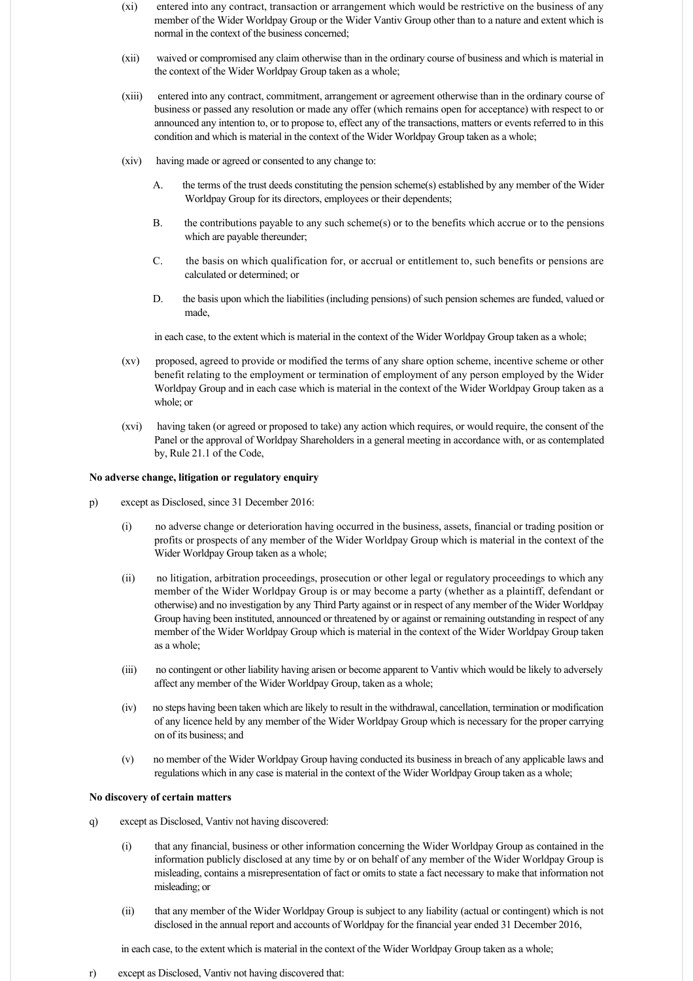- (xi) entered into any contract, transaction or arrangement which would be restrictive on the business of any member of the Wider Worldpay Group or the Wider Vantiv Group other than to a nature and extent which is normal in the context of the business concerned;
- (xii) waived or compromised any claim otherwise than in the ordinary course of business and which is material in the context of the Wider Worldpay Group taken as a whole;
- (xiii) entered into any contract, commitment, arrangement or agreement otherwise than in the ordinary course of business or passed any resolution or made any offer (which remains open for acceptance) with respect to or announced any intention to, or to propose to, effect any of the transactions, matters or events referred to in this condition and which is material in the context of the Wider Worldpay Group taken as a whole;
- (xiv) having made or agreed or consented to any change to:
	- A. the terms of the trust deeds constituting the pension scheme(s) established by any member of the Wider Worldpay Group for its directors, employees or their dependents;
	- B. the contributions payable to any such scheme(s) or to the benefits which accrue or to the pensions which are payable thereunder;
	- C. the basis on which qualification for, or accrual or entitlement to, such benefits or pensions are calculated or determined; or
	- D. the basis upon which the liabilities (including pensions) of such pension schemes are funded, valued or made,

in each case, to the extent which is material in the context of the Wider Worldpay Group taken as a whole;

- (xv) proposed, agreed to provide or modified the terms of any share option scheme, incentive scheme or other benefit relating to the employment or termination of employment of any person employed by the Wider Worldpay Group and in each case which is material in the context of the Wider Worldpay Group taken as a whole; or
- (xvi) having taken (or agreed or proposed to take) any action which requires, or would require, the consent of the Panel or the approval of Worldpay Shareholders in a general meeting in accordance with, or as contemplated by, Rule 21.1 of the Code,

### **No adverse change, litigation or regulatory enquiry**

- p) except as Disclosed, since 31 December 2016:
	- (i) no adverse change or deterioration having occurred in the business, assets, financial or trading position or profits or prospects of any member of the Wider Worldpay Group which is material in the context of the Wider Worldpay Group taken as a whole;
	- (ii) no litigation, arbitration proceedings, prosecution or other legal or regulatory proceedings to which any member of the Wider Worldpay Group is or may become a party (whether as a plaintiff, defendant or otherwise) and no investigation by any Third Party against or in respect of any member of the Wider Worldpay Group having been instituted, announced or threatened by or against or remaining outstanding in respect of any member of the Wider Worldpay Group which is material in the context of the Wider Worldpay Group taken as a whole;
	- (iii) no contingent or other liability having arisen or become apparent to Vantiv which would be likely to adversely affect any member of the Wider Worldpay Group, taken as a whole;
	- (iv) no steps having been taken which are likely to result in the withdrawal, cancellation, termination or modification of any licence held by any member of the Wider Worldpay Group which is necessary for the proper carrying on of its business; and
	- (v) no member of the Wider Worldpay Group having conducted its business in breach of any applicable laws and regulations which in any case is material in the context of the Wider Worldpay Group taken as a whole;

# **No discovery of certain matters**

- q) except as Disclosed, Vantiv not having discovered:
	- (i) that any financial, business or other information concerning the Wider Worldpay Group as contained in the information publicly disclosed at any time by or on behalf of any member of the Wider Worldpay Group is misleading, contains a misrepresentation of fact or omits to state a fact necessary to make that information not misleading; or
	- (ii) that any member of the Wider Worldpay Group is subject to any liability (actual or contingent) which is not disclosed in the annual report and accounts of Worldpay for the financial year ended 31 December 2016,

in each case, to the extent which is material in the context of the Wider Worldpay Group taken as a whole;

r) except as Disclosed, Vantiv not having discovered that: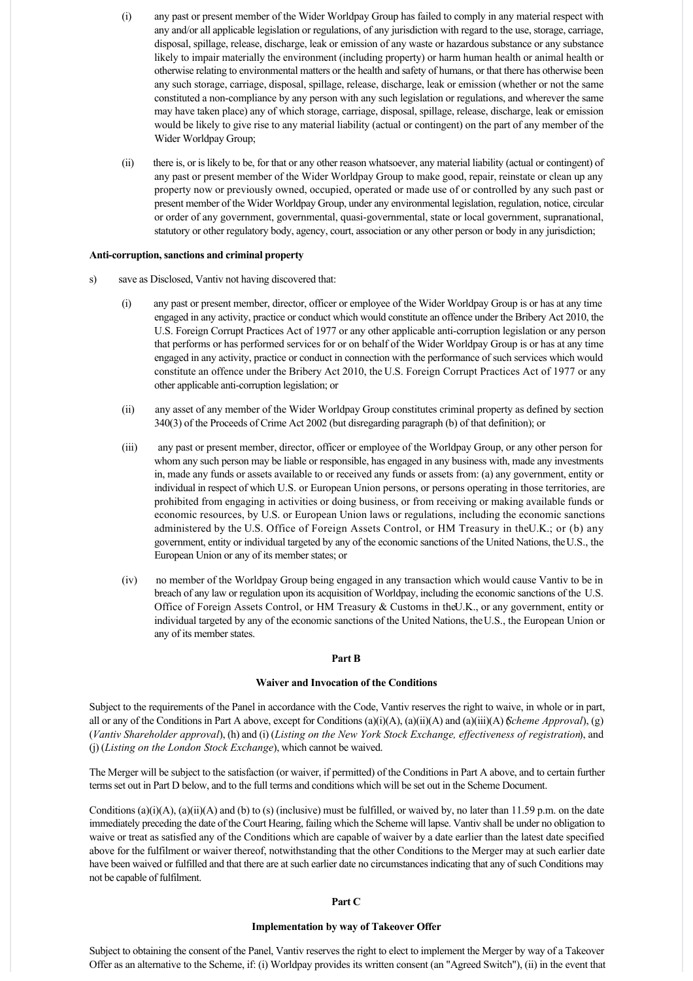- (i) any past or present member of the Wider Worldpay Group has failed to comply in any material respect with any and/or all applicable legislation or regulations, of any jurisdiction with regard to the use, storage, carriage, disposal, spillage, release, discharge, leak or emission of any waste or hazardous substance or any substance likely to impair materially the environment (including property) or harm human health or animal health or otherwise relating to environmental matters or the health and safety of humans, or that there has otherwise been any such storage, carriage, disposal, spillage, release, discharge, leak or emission (whether or not the same constituted a non-compliance by any person with any such legislation or regulations, and wherever the same may have taken place) any of which storage, carriage, disposal, spillage, release, discharge, leak or emission would be likely to give rise to any material liability (actual or contingent) on the part of any member of the Wider Worldpay Group;
- (ii) there is, or is likely to be, for that or any other reason whatsoever, any material liability (actual or contingent) of any past or present member of the Wider Worldpay Group to make good, repair, reinstate or clean up any property now or previously owned, occupied, operated or made use of or controlled by any such past or present member of the Wider Worldpay Group, under any environmental legislation, regulation, notice, circular or order of any government, governmental, quasi-governmental, state or local government, supranational, statutory or other regulatory body, agency, court, association or any other person or body in any jurisdiction;

#### Anti-corruption, sanctions and criminal property

- s) save as Disclosed, Vantiv not having discovered that:
	- (i) any past or present member, director, officer or employee of the Wider Worldpay Group is or has at any time engaged in any activity, practice or conduct which would constitute an offence under the Bribery Act 2010, the U.S. Foreign Corrupt Practices Act of 1977 or any other applicable anti-corruption legislation or any person that performs or has performed services for or on behalf of the Wider Worldpay Group is or has at any time engaged in any activity, practice or conduct in connection with the performance of such services which would constitute an offence under the Bribery Act 2010, the U.S. Foreign Corrupt Practices Act of 1977 or any other applicable anti-corruption legislation; or
	- (ii) any asset of any member of the Wider Worldpay Group constitutes criminal property as defined by section 340(3) of the Proceeds of Crime Act 2002 (but disregarding paragraph (b) of that definition); or
	- (iii) any past or present member, director, officer or employee of the Worldpay Group, or any other person for whom any such person may be liable or responsible, has engaged in any business with, made any investments in, made any funds or assets available to or received any funds or assets from: (a) any government, entity or individual in respect of which U.S. or European Union persons, or persons operating in those territories, are prohibited from engaging in activities or doing business, or from receiving or making available funds or economic resources, by U.S. or European Union laws or regulations, including the economic sanctions administered by the U.S. Office of Foreign Assets Control, or HM Treasury in the U.K.; or (b) any government, entity or individual targeted by any of the economic sanctions of the United Nations, the U.S., the European Union or any of its member states; or
	- (iv) no member of the Worldpay Group being engaged in any transaction which would cause Vantiv to be in breach of any law or regulation upon its acquisition of Worldpay, including the economic sanctions of the U.S. Office of Foreign Assets Control, or HM Treasury & Customs in the U.K., or any government, entity or individual targeted by any of the economic sanctions of the United Nations, the U.S., the European Union or any of its member states.

# **Part B**

### **Waiver and Invocation of the Conditions**

Subject to the requirements of the Panel in accordance with the Code, Vantiv reserves the right to waive, in whole or in part, all or any of the Conditions in Part A above, except for Conditions (a)(i)(A), (a)(ii)(A) and (a)(iii)(A) (*Scheme Approval*), (g) (*Vantiv Shareholder approval*), (h) and (i) (*Listing on the New York Stock Exchange, effectiveness of registration*), and (j) (*Listing on the London Stock Exchange*), which cannot be waived.

The Merger will be subject to the satisfaction (or waiver, if permitted) of the Conditions in Part A above, and to certain further terms set out in Part D below, and to the full terms and conditions which will be set out in the Scheme Document.

Conditions (a)(i)(A), (a)(ii)(A) and (b) to (s) (inclusive) must be fulfilled, or waived by, no later than 11.59 p.m. on the date immediately preceding the date of the Court Hearing, failing which the Scheme will lapse. Vantiv shall be under no obligation to waive or treat as satisfied any of the Conditions which are capable of waiver by a date earlier than the latest date specified above for the fulfilment or waiver thereof, notwithstanding that the other Conditions to the Merger may at such earlier date have been waived or fulfilled and that there are at such earlier date no circumstances indicating that any of such Conditions may not be capable of fulfilment.

#### **Part C**

### **Implementation by way of Takeover Offer**

Subject to obtaining the consent of the Panel, Vantiv reserves the right to elect to implement the Merger by way of a Takeover Offer as an alternative to the Scheme, if: (i) Worldpay provides its written consent (an "Agreed Switch"), (ii) in the event that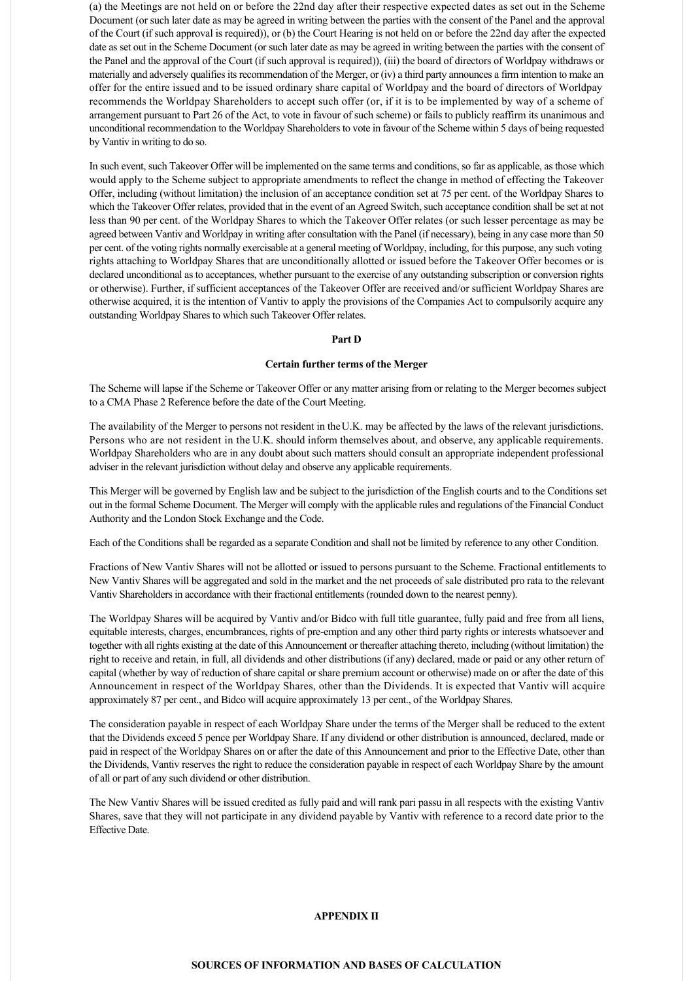(a) the Meetings are not held on or before the 22nd day after their respective expected dates as set out in the Scheme Document (or such later date as may be agreed in writing between the parties with the consent of the Panel and the approval of the Court (if such approval is required)), or (b) the Court Hearing is not held on or before the 22nd day after the expected date as set out in the Scheme Document (or such later date as may be agreed in writing between the parties with the consent of the Panel and the approval of the Court (if such approval is required)), (iii) the board of directors of Worldpay withdraws or materially and adversely qualifies its recommendation of the Merger, or (iv) a third party announces a firm intention to make an offer for the entire issued and to be issued ordinary share capital of Worldpay and the board of directors of Worldpay recommends the Worldpay Shareholders to accept such offer (or, if it is to be implemented by way of a scheme of arrangement pursuant to Part 26 of the Act, to vote in favour of such scheme) or fails to publicly reaffirm its unanimous and unconditional recommendation to the Worldpay Shareholders to vote in favour of the Scheme within 5 days of being requested by Vantiv in writing to do so.

In such event, such Takeover Offer will be implemented on the same terms and conditions, so far as applicable, as those which would apply to the Scheme subject to appropriate amendments to reflect the change in method of effecting the Takeover Offer, including (without limitation) the inclusion of an acceptance condition set at 75 per cent. of the Worldpay Shares to which the Takeover Offer relates, provided that in the event of an Agreed Switch, such acceptance condition shall be set at not less than 90 per cent. of the Worldpay Shares to which the Takeover Offer relates (or such lesser percentage as may be agreed between Vantiv and Worldpay in writing after consultation with the Panel (if necessary), being in any case more than 50 per cent. of the voting rights normally exercisable at a general meeting of Worldpay, including, for this purpose, any such voting rights attaching to Worldpay Shares that are unconditionally allotted or issued before the Takeover Offer becomes or is declared unconditional as to acceptances, whether pursuant to the exercise of any outstanding subscription or conversion rights or otherwise). Further, if sufficient acceptances of the Takeover Offer are received and/or sufficient Worldpay Shares are otherwise acquired, it is the intention of Vantiv to apply the provisions of the Companies Act to compulsorily acquire any outstanding Worldpay Shares to which such Takeover Offer relates.

# **Part D**

### **Certain further terms of the Merger**

The Scheme will lapse if the Scheme or Takeover Offer or any matter arising from or relating to the Merger becomes subject to a CMA Phase 2 Reference before the date of the Court Meeting.

The availability of the Merger to persons not resident in the U.K. may be affected by the laws of the relevant jurisdictions. Persons who are not resident in the U.K. should inform themselves about, and observe, any applicable requirements. Worldpay Shareholders who are in any doubt about such matters should consult an appropriate independent professional adviser in the relevant jurisdiction without delay and observe any applicable requirements.

This Merger will be governed by English law and be subject to the jurisdiction of the English courts and to the Conditions set out in the formal Scheme Document. The Merger will comply with the applicable rules and regulations of the Financial Conduct Authority and the London Stock Exchange and the Code.

Each of the Conditions shall be regarded as a separate Condition and shall not be limited by reference to any other Condition.

Fractions of New Vantiv Shares will not be allotted or issued to persons pursuant to the Scheme. Fractional entitlements to New Vantiv Shares will be aggregated and sold in the market and the net proceeds of sale distributed pro rata to the relevant Vantiv Shareholders in accordance with their fractional entitlements (rounded down to the nearest penny).

The Worldpay Shares will be acquired by Vantiv and/or Bidco with full title guarantee, fully paid and free from all liens, equitable interests, charges, encumbrances, rights of pre-emption and any other third party rights or interests whatsoever and together with all rights existing at the date of this Announcement or thereafter attaching thereto, including (without limitation) the right to receive and retain, in full, all dividends and other distributions (if any) declared, made or paid or any other return of capital (whether by way of reduction of share capital or share premium account or otherwise) made on or after the date of this Announcement in respect of the Worldpay Shares, other than the Dividends. It is expected that Vantiv will acquire approximately 87 per cent., and Bidco will acquire approximately 13 per cent., of the Worldpay Shares.

The consideration payable in respect of each Worldpay Share under the terms of the Merger shall be reduced to the extent that the Dividends exceed 5 pence per Worldpay Share. If any dividend or other distribution is announced, declared, made or paid in respect of the Worldpay Shares on or after the date of this Announcement and prior to the Effective Date, other than the Dividends, Vantiv reserves the right to reduce the consideration payable in respect of each Worldpay Share by the amount of all or part of any such dividend or other distribution.

The New Vantiv Shares will be issued credited as fully paid and will rank pari passu in all respects with the existing Vantiv Shares, save that they will not participate in any dividend payable by Vantiv with reference to a record date prior to the Effective Date.

# **APPENDIX II**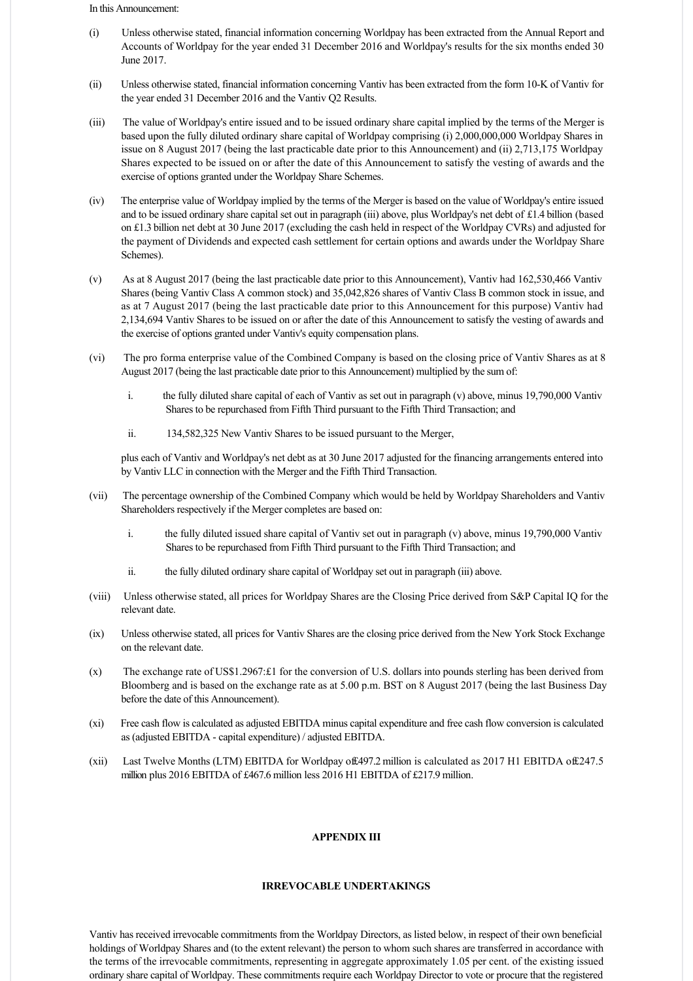In this Announcement:

- (i) Unless otherwise stated, financial information concerning Worldpay has been extracted from the Annual Report and Accounts of Worldpay for the year ended 31 December 2016 and Worldpay's results for the six months ended 30 June 2017.
- (ii) Unless otherwise stated, financial information concerning Vantiv has been extracted from the form 10K of Vantiv for the year ended 31 December 2016 and the Vantiv Q2 Results.
- (iii) The value of Worldpay's entire issued and to be issued ordinary share capital implied by the terms of the Merger is based upon the fully diluted ordinary share capital of Worldpay comprising (i) 2,000,000,000 Worldpay Shares in issue on 8 August 2017 (being the last practicable date prior to this Announcement) and (ii) 2,713,175 Worldpay Shares expected to be issued on or after the date of this Announcement to satisfy the vesting of awards and the exercise of options granted under the Worldpay Share Schemes.
- (iv) The enterprise value of Worldpay implied by the terms of the Merger is based on the value of Worldpay's entire issued and to be issued ordinary share capital set out in paragraph (iii) above, plus Worldpay's net debt of £1.4 billion (based on £1.3 billion net debt at 30 June 2017 (excluding the cash held in respect of the Worldpay CVRs) and adjusted for the payment of Dividends and expected cash settlement for certain options and awards under the Worldpay Share Schemes).
- (v) As at 8 August 2017 (being the last practicable date prior to this Announcement), Vantiv had 162,530,466 Vantiv Shares (being Vantiv Class A common stock) and 35,042,826 shares of Vantiv Class B common stock in issue, and as at 7 August 2017 (being the last practicable date prior to this Announcement for this purpose) Vantiv had 2,134,694 Vantiv Shares to be issued on or after the date of this Announcement to satisfy the vesting of awards and the exercise of options granted under Vantiv's equity compensation plans.
- (vi) The pro forma enterprise value of the Combined Company is based on the closing price of Vantiv Shares as at 8 August 2017 (being the last practicable date prior to this Announcement) multiplied by the sum of:
	- i. the fully diluted share capital of each of Vantiv as set out in paragraph (v) above, minus 19,790,000 Vantiv Shares to be repurchased from Fifth Third pursuant to the Fifth Third Transaction; and
	- ii. 134,582,325 New Vantiv Shares to be issued pursuant to the Merger,

plus each of Vantiv and Worldpay's net debt as at 30 June 2017 adjusted for the financing arrangements entered into by Vantiv LLC in connection with the Merger and the Fifth Third Transaction.

- (vii) The percentage ownership of the Combined Company which would be held by Worldpay Shareholders and Vantiv Shareholders respectively if the Merger completes are based on:
	- i. the fully diluted issued share capital of Vantiv set out in paragraph (v) above, minus 19,790,000 Vantiv Shares to be repurchased from Fifth Third pursuant to the Fifth Third Transaction; and
	- ii. the fully diluted ordinary share capital of Worldpay set out in paragraph (iii) above.
- (viii) Unless otherwise stated, all prices for Worldpay Shares are the Closing Price derived from S&P Capital IQ for the relevant date.
- (ix) Unless otherwise stated, all prices for Vantiv Shares are the closing price derived from the New York Stock Exchange on the relevant date.
- $(x)$  The exchange rate of US\$1.2967: $\pounds$ 1 for the conversion of U.S. dollars into pounds sterling has been derived from Bloomberg and is based on the exchange rate as at 5.00 p.m. BST on 8 August 2017 (being the last Business Day before the date of this Announcement).
- (xi) Free cash flow is calculated as adjusted EBITDA minus capital expenditure and free cash flow conversion is calculated as (adjusted EBITDA - capital expenditure) / adjusted EBITDA.
- (xii) Last Twelve Months (LTM) EBITDA for Worldpay of £497.2 million is calculated as 2017 H1 EBITDA of £247.5 million plus 2016 EBITDA of £467.6 million less 2016 H1 EBITDA of £217.9 million.

# **APPENDIX III**

### **IRREVOCABLE UNDERTAKINGS**

Vantiv has received irrevocable commitments from the Worldpay Directors, as listed below, in respect of their own beneficial holdings of Worldpay Shares and (to the extent relevant) the person to whom such shares are transferred in accordance with the terms of the irrevocable commitments, representing in aggregate approximately 1.05 per cent. of the existing issued ordinary share capital of Worldpay. These commitments require each Worldpay Director to vote or procure that the registered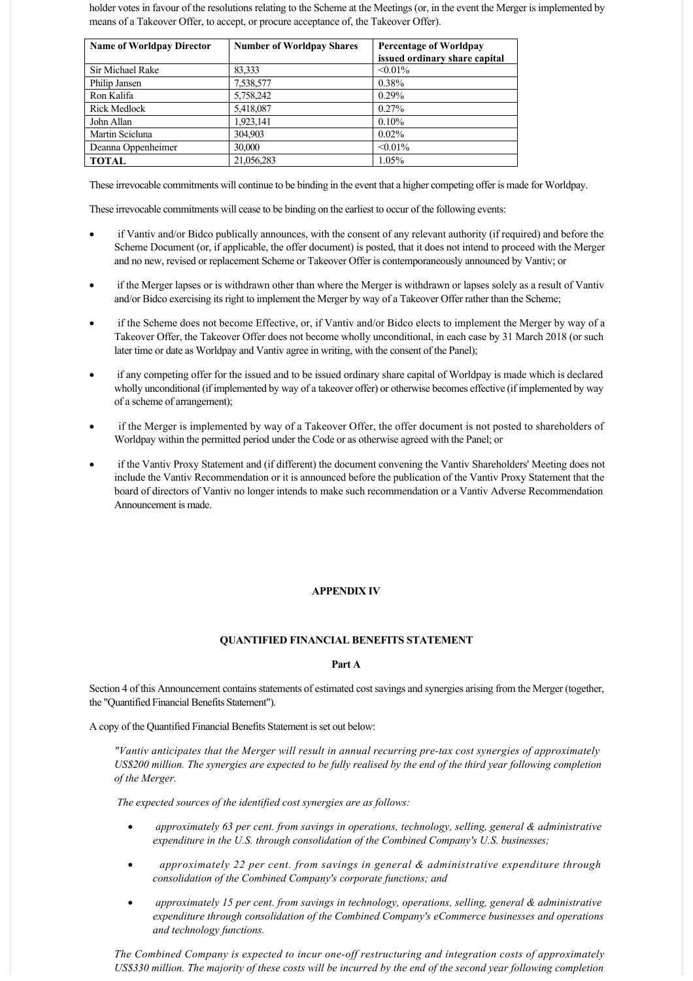holder votes in favour of the resolutions relating to the Scheme at the Meetings (or, in the event the Merger is implemented by means of a Takeover Offer, to accept, or procure acceptance of, the Takeover Offer).

| <b>Name of Worldpay Director</b> | <b>Number of Worldpay Shares</b> | <b>Percentage of Worldpay</b> |
|----------------------------------|----------------------------------|-------------------------------|
|                                  |                                  | issued ordinary share capital |
| Sir Michael Rake                 | 83,333                           | $< 0.01\%$                    |
| Philip Jansen                    | 7,538,577                        | 0.38%                         |
| Ron Kalifa                       | 5,758,242                        | $0.29\%$                      |
| <b>Rick Medlock</b>              | 5,418,087                        | $0.27\%$                      |
| John Allan                       | 1,923,141                        | 0.10%                         |
| Martin Scicluna                  | 304,903                          | $0.02\%$                      |
| Deanna Oppenheimer               | 30,000                           | $< 0.01\%$                    |
| <b>TOTAL</b>                     | 21,056,283                       | 1.05%                         |

These irrevocable commitments will continue to be binding in the event that a higher competing offer is made for Worldpay.

These irrevocable commitments will cease to be binding on the earliest to occur of the following events:

- if Vantiv and/or Bidco publically announces, with the consent of any relevant authority (if required) and before the Scheme Document (or, if applicable, the offer document) is posted, that it does not intend to proceed with the Merger and no new, revised or replacement Scheme or Takeover Offer is contemporaneously announced by Vantiv; or
- if the Merger lapses or is withdrawn other than where the Merger is withdrawn or lapses solely as a result of Vantiv and/or Bidco exercising its right to implement the Merger by way of a Takeover Offer rather than the Scheme;
- if the Scheme does not become Effective, or, if Vantiv and/or Bidco elects to implement the Merger by way of a Takeover Offer, the Takeover Offer does not become wholly unconditional, in each case by 31 March 2018 (or such later time or date as Worldpay and Vantiv agree in writing, with the consent of the Panel);
- if any competing offer for the issued and to be issued ordinary share capital of Worldpay is made which is declared wholly unconditional (if implemented by way of a takeover offer) or otherwise becomes effective (if implemented by way of a scheme of arrangement);
- if the Merger is implemented by way of a Takeover Offer, the offer document is not posted to shareholders of Worldpay within the permitted period under the Code or as otherwise agreed with the Panel; or
- · if the Vantiv Proxy Statement and (if different) the document convening the Vantiv Shareholders' Meeting does not include the Vantiv Recommendation or it is announced before the publication of the Vantiv Proxy Statement that the board of directors of Vantiv no longer intends to make such recommendation or a Vantiv Adverse Recommendation Announcement is made.

# **APPENDIX IV**

# **QUANTIFIED FINANCIAL BENEFITS STATEMENT**

# **Part A**

Section 4 of this Announcement contains statements of estimated cost savings and synergies arising from the Merger (together, the "Quantified Financial Benefits Statement").

A copy of the Quantified Financial Benefits Statement is set out below:

*"Vantiv anticipates that the Merger will result in annual recurring pretax cost synergies of approximately US\$200 million. The synergies are expected to be fully realised by the end of the third year following completion of the Merger.*

 *The expected sources of the identified cost synergies are as follows:*

- · *approximately 63 per cent. from savings in operations, technology, selling, general & administrative expenditure in the U.S. through consolidation of the Combined Company's U.S. businesses;*
- · *approximately 22 per cent. from savings in general & administrative expenditure through consolidation of the Combined Company's corporate functions; and*
- · *approximately 15 per cent. from savings in technology, operations, selling, general & administrative expenditure through consolidation of the Combined Company's eCommerce businesses and operations and technology functions.*

The Combined Company is expected to incur one-off restructuring and integration costs of approximately *US\$330 million. The majority of these costs will be incurred by the end of the second year following completion*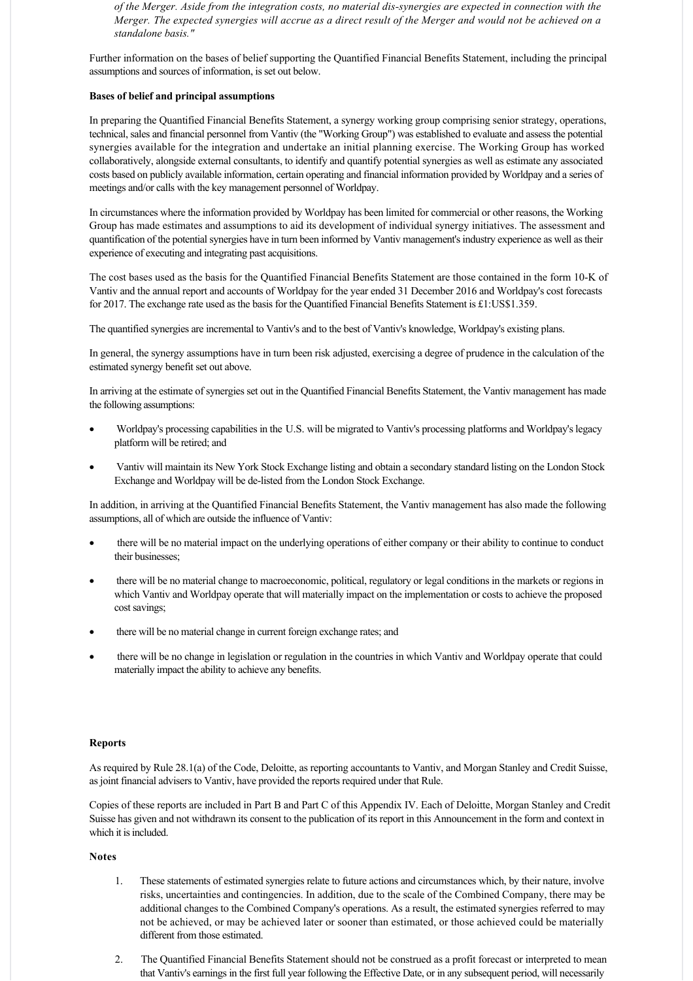*of the Merger. Aside from the integration costs, no material dissynergies are expected in connection with the Merger. The expected synergies will accrue as a direct result of the Merger and would not be achieved on a standalone basis."*

Further information on the bases of belief supporting the Quantified Financial Benefits Statement, including the principal assumptions and sources of information, is set out below.

### **Bases of belief and principal assumptions**

In preparing the Quantified Financial Benefits Statement, a synergy working group comprising senior strategy, operations, technical, sales and financial personnel from Vantiv (the "Working Group") was established to evaluate and assess the potential synergies available for the integration and undertake an initial planning exercise. The Working Group has worked collaboratively, alongside external consultants, to identify and quantify potential synergies as well as estimate any associated costs based on publicly available information, certain operating and financial information provided by Worldpay and a series of meetings and/or calls with the key management personnel of Worldpay.

In circumstances where the information provided by Worldpay has been limited for commercial or other reasons, the Working Group has made estimates and assumptions to aid its development of individual synergy initiatives. The assessment and quantification of the potential synergies have in turn been informed by Vantiv management's industry experience as well as their experience of executing and integrating past acquisitions.

The cost bases used as the basis for the Quantified Financial Benefits Statement are those contained in the form 10-K of Vantiv and the annual report and accounts of Worldpay for the year ended 31 December 2016 and Worldpay's cost forecasts for 2017. The exchange rate used as the basis for the Quantified Financial Benefits Statement is £1:US\$1.359.

The quantified synergies are incremental to Vantiv's and to the best of Vantiv's knowledge, Worldpay's existing plans.

In general, the synergy assumptions have in turn been risk adjusted, exercising a degree of prudence in the calculation of the estimated synergy benefit set out above.

In arriving at the estimate of synergies set out in the Quantified Financial Benefits Statement, the Vantiv management has made the following assumptions:

- · Worldpay's processing capabilities in the U.S. will be migrated to Vantiv's processing platforms and Worldpay's legacy platform will be retired; and
- · Vantiv will maintain its New York Stock Exchange listing and obtain a secondary standard listing on the London Stock Exchange and Worldpay will be de-listed from the London Stock Exchange.

In addition, in arriving at the Quantified Financial Benefits Statement, the Vantiv management has also made the following assumptions, all of which are outside the influence of Vantiv:

- there will be no material impact on the underlying operations of either company or their ability to continue to conduct their businesses;
- there will be no material change to macroeconomic, political, regulatory or legal conditions in the markets or regions in which Vantiv and Worldpay operate that will materially impact on the implementation or costs to achieve the proposed cost savings;
- there will be no material change in current foreign exchange rates; and
- there will be no change in legislation or regulation in the countries in which Vantiv and Worldpay operate that could materially impact the ability to achieve any benefits.

# **Reports**

As required by Rule 28.1(a) of the Code, Deloitte, as reporting accountants to Vantiv, and Morgan Stanley and Credit Suisse, as joint financial advisers to Vantiv, have provided the reports required under that Rule.

Copies of these reports are included in Part B and Part C of this Appendix IV. Each of Deloitte, Morgan Stanley and Credit Suisse has given and not withdrawn its consent to the publication of its report in this Announcement in the form and context in which it is included.

# **Notes**

- 1. These statements of estimated synergies relate to future actions and circumstances which, by their nature, involve risks, uncertainties and contingencies. In addition, due to the scale of the Combined Company, there may be additional changes to the Combined Company's operations. As a result, the estimated synergies referred to may not be achieved, or may be achieved later or sooner than estimated, or those achieved could be materially different from those estimated.
- 2. The Quantified Financial Benefits Statement should not be construed as a profit forecast or interpreted to mean that Vantiv's earnings in the first full year following the Effective Date, or in any subsequent period, will necessarily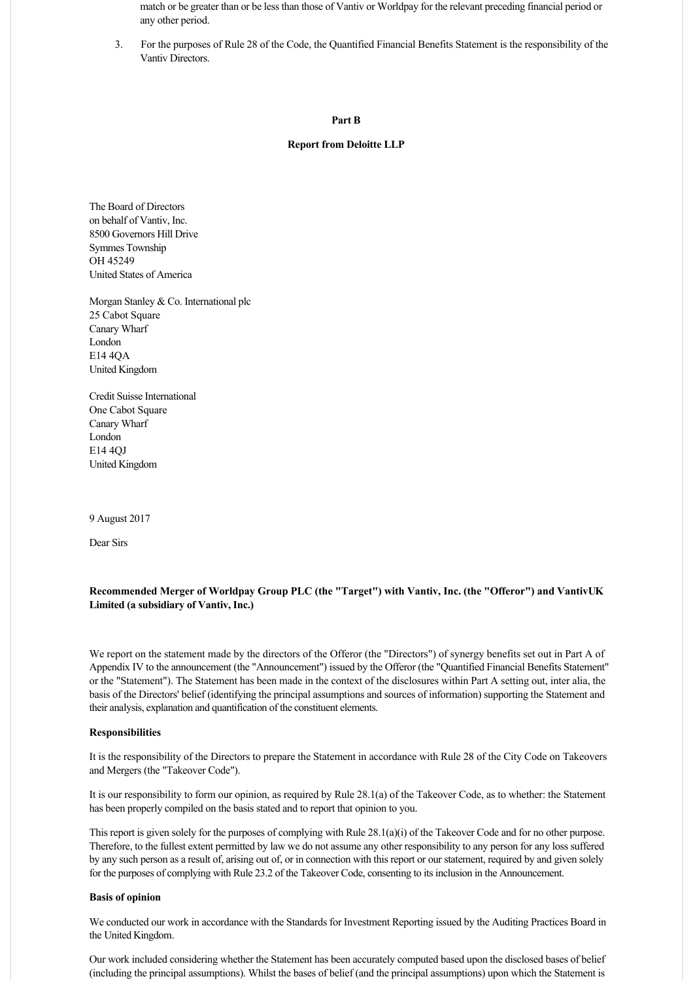match or be greater than or be less than those of Vantiv or Worldpay for the relevant preceding financial period or any other period.

3. For the purposes of Rule 28 of the Code, the Quantified Financial Benefits Statement is the responsibility of the Vantiv Directors.

### **Part B**

# **Report from Deloitte LLP**

The Board of Directors on behalf of Vantiv, Inc. 8500 Governors Hill Drive Symmes Township OH 45249 United States of America

Morgan Stanley & Co. International plc 25 Cabot Square Canary Wharf London E14 4QA United Kingdom

Credit Suisse International One Cabot Square Canary Wharf London E14 4QJ United Kingdom

9 August 2017

Dear Sirs

# **Recommended Merger of Worldpay Group PLC (the "Target") with Vantiv, Inc. (the "Offeror") and Vantiv UK Limited (a subsidiary of Vantiv, Inc.)**

We report on the statement made by the directors of the Offeror (the "Directors") of synergy benefits set out in Part A of Appendix IV to the announcement (the "Announcement") issued by the Offeror (the "Quantified Financial Benefits Statement" or the "Statement"). The Statement has been made in the context of the disclosures within Part A setting out, inter alia, the basis of the Directors' belief (identifying the principal assumptions and sources of information) supporting the Statement and their analysis, explanation and quantification of the constituent elements.

### **Responsibilities**

It is the responsibility of the Directors to prepare the Statement in accordance with Rule 28 of the City Code on Takeovers and Mergers (the "Takeover Code").

It is our responsibility to form our opinion, as required by Rule 28.1(a) of the Takeover Code, as to whether: the Statement has been properly compiled on the basis stated and to report that opinion to you.

This report is given solely for the purposes of complying with Rule 28.1(a)(i) of the Takeover Code and for no other purpose. Therefore, to the fullest extent permitted by law we do not assume any other responsibility to any person for any loss suffered by any such person as a result of, arising out of, or in connection with this report or our statement, required by and given solely for the purposes of complying with Rule 23.2 of the Takeover Code, consenting to its inclusion in the Announcement.

#### **Basis of opinion**

We conducted our work in accordance with the Standards for Investment Reporting issued by the Auditing Practices Board in the United Kingdom.

Our work included considering whether the Statement has been accurately computed based upon the disclosed bases of belief (including the principal assumptions). Whilst the bases of belief (and the principal assumptions) upon which the Statement is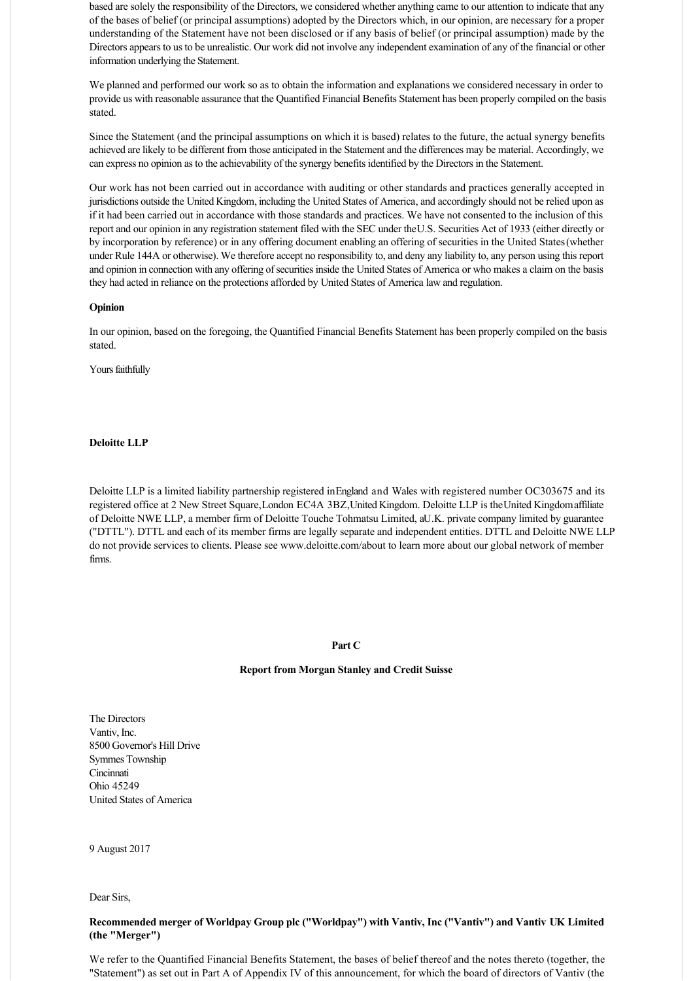based are solely the responsibility of the Directors, we considered whether anything came to our attention to indicate that any of the bases of belief (or principal assumptions) adopted by the Directors which, in our opinion, are necessary for a proper understanding of the Statement have not been disclosed or if any basis of belief (or principal assumption) made by the Directors appears to us to be unrealistic. Our work did not involve any independent examination of any of the financial or other information underlying the Statement.

We planned and performed our work so as to obtain the information and explanations we considered necessary in order to provide us with reasonable assurance that the Quantified Financial Benefits Statement has been properly compiled on the basis stated.

Since the Statement (and the principal assumptions on which it is based) relates to the future, the actual synergy benefits achieved are likely to be different from those anticipated in the Statement and the differences may be material. Accordingly, we can express no opinion as to the achievability of the synergy benefits identified by the Directors in the Statement.

Our work has not been carried out in accordance with auditing or other standards and practices generally accepted in jurisdictions outside the United Kingdom, including the United States of America, and accordingly should not be relied upon as if it had been carried out in accordance with those standards and practices. We have not consented to the inclusion of this report and our opinion in any registration statement filed with the SEC under the U.S. Securities Act of 1933 (either directly or by incorporation by reference) or in any offering document enabling an offering of securities in the United States (whether under Rule 144A or otherwise). We therefore accept no responsibility to, and deny any liability to, any person using this report and opinion in connection with any offering of securities inside the United States of America or who makes a claim on the basis they had acted in reliance on the protections afforded by United States of America law and regulation.

#### **Opinion**

In our opinion, based on the foregoing, the Quantified Financial Benefits Statement has been properly compiled on the basis stated.

Yours faithfully

# **Deloitte LLP**

Deloitte LLP is a limited liability partnership registered in England and Wales with registered number OC303675 and its registered office at 2 New Street Square, London EC4A 3BZ, United Kingdom. Deloitte LLP is the United Kingdom affiliate of Deloitte NWE LLP, a member firm of Deloitte Touche Tohmatsu Limited, a U.K. private company limited by guarantee ("DTTL"). DTTL and each of its member firms are legally separate and independent entities. DTTL and Deloitte NWE LLP do not provide services to clients. Please see www.deloitte.com/about to learn more about our global network of member firms.

### **Part C**

### **Report from Morgan Stanley and Credit Suisse**

The Directors Vantiv, Inc. 8500 Governor's Hill Drive Symmes Township **Cincinnati** Ohio 45249 United States of America

9 August 2017

Dear Sirs,

# **Recommended merger of Worldpay Group plc ("Worldpay") with Vantiv, Inc ("Vantiv") and Vantiv UK Limited (the "Merger")**

We refer to the Quantified Financial Benefits Statement, the bases of belief thereof and the notes thereto (together, the "Statement") as set out in Part A of Appendix IV of this announcement, for which the board of directors of Vantiv (the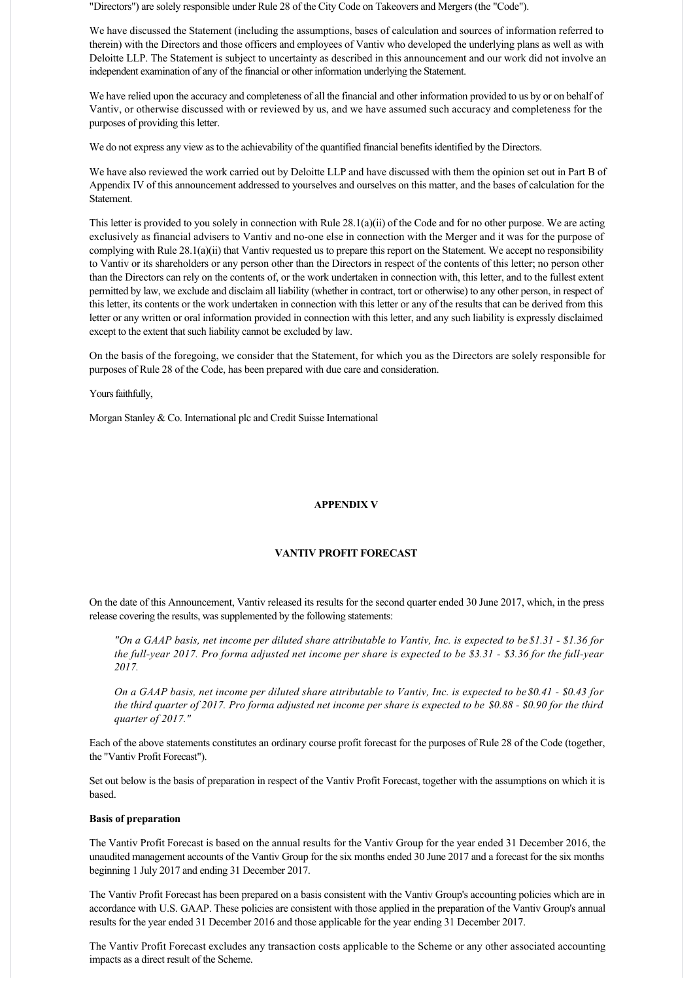"Directors") are solely responsible under Rule 28 of the City Code on Takeovers and Mergers (the "Code").

We have discussed the Statement (including the assumptions, bases of calculation and sources of information referred to therein) with the Directors and those officers and employees of Vantiv who developed the underlying plans as well as with Deloitte LLP. The Statement is subject to uncertainty as described in this announcement and our work did not involve an independent examination of any of the financial or other information underlying the Statement.

We have relied upon the accuracy and completeness of all the financial and other information provided to us by or on behalf of Vantiv, or otherwise discussed with or reviewed by us, and we have assumed such accuracy and completeness for the purposes of providing this letter.

We do not express any view as to the achievability of the quantified financial benefits identified by the Directors.

We have also reviewed the work carried out by Deloitte LLP and have discussed with them the opinion set out in Part B of Appendix IV of this announcement addressed to yourselves and ourselves on this matter, and the bases of calculation for the Statement.

This letter is provided to you solely in connection with Rule 28.1(a)(ii) of the Code and for no other purpose. We are acting exclusively as financial advisers to Vantiv and no-one else in connection with the Merger and it was for the purpose of complying with Rule 28.1(a)(ii) that Vantiv requested us to prepare this report on the Statement. We accept no responsibility to Vantiv or its shareholders or any person other than the Directors in respect of the contents of this letter; no person other than the Directors can rely on the contents of, or the work undertaken in connection with, this letter, and to the fullest extent permitted by law, we exclude and disclaim all liability (whether in contract, tort or otherwise) to any other person, in respect of this letter, its contents or the work undertaken in connection with this letter or any of the results that can be derived from this letter or any written or oral information provided in connection with this letter, and any such liability is expressly disclaimed except to the extent that such liability cannot be excluded by law.

On the basis of the foregoing, we consider that the Statement, for which you as the Directors are solely responsible for purposes of Rule 28 of the Code, has been prepared with due care and consideration.

Yours faithfully,

Morgan Stanley & Co. International plc and Credit Suisse International

# **APPENDIX V**

# **VANTIV PROFIT FORECAST**

On the date of this Announcement, Vantiv released its results for the second quarter ended 30 June 2017, which, in the press release covering the results, was supplemented by the following statements:

*"On a GAAP basis, net income per diluted share attributable to Vantiv, Inc. is expected to be \$1.31 \$1.36 for the full-year 2017. Pro forma adjusted net income per share is expected to be \$3.31 - \$3.36 for the full-year 2017.*

*On a GAAP basis, net income per diluted share attributable to Vantiv, Inc. is expected to be \$0.41 - \$0.43 for the third quarter of 2017. Pro forma adjusted net income per share is expected to be \$0.88 - \$0.90 for the third quarter of 2017."*

Each of the above statements constitutes an ordinary course profit forecast for the purposes of Rule 28 of the Code (together, the "Vantiv Profit Forecast").

Set out below is the basis of preparation in respect of the Vantiv Profit Forecast, together with the assumptions on which it is based.

#### **Basis of preparation**

The Vantiv Profit Forecast is based on the annual results for the Vantiv Group for the year ended 31 December 2016, the unaudited management accounts of the Vantiv Group for the six months ended 30 June 2017 and a forecast for the six months beginning 1 July 2017 and ending 31 December 2017.

The Vantiv Profit Forecast has been prepared on a basis consistent with the Vantiv Group's accounting policies which are in accordance with U.S. GAAP. These policies are consistent with those applied in the preparation of the Vantiv Group's annual results for the year ended 31 December 2016 and those applicable for the year ending 31 December 2017.

The Vantiv Profit Forecast excludes any transaction costs applicable to the Scheme or any other associated accounting impacts as a direct result of the Scheme.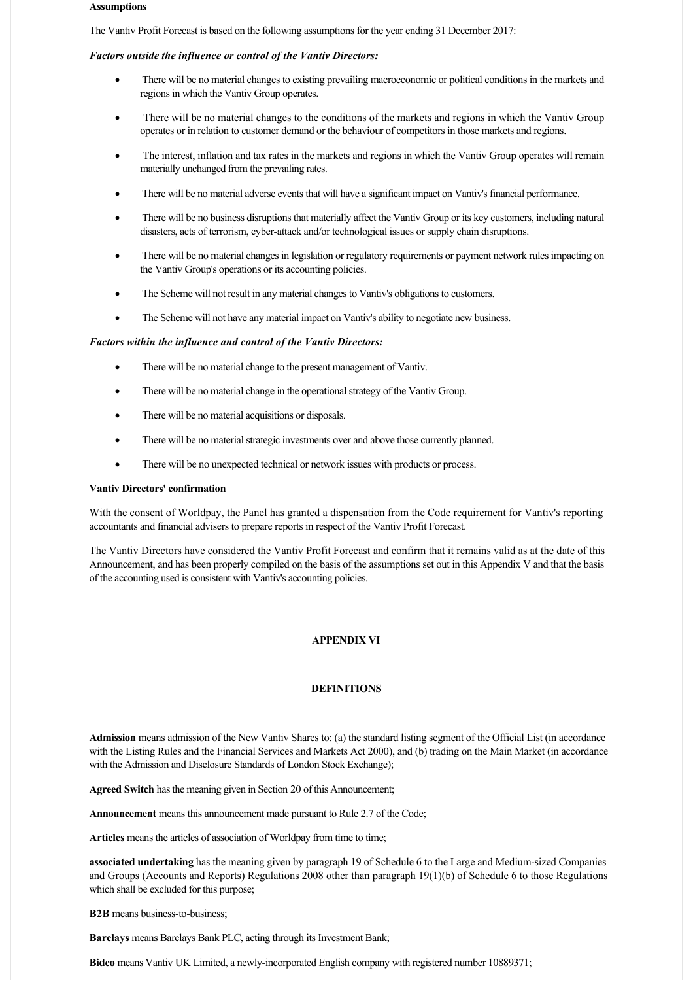#### **Assumptions**

The Vantiv Profit Forecast is based on the following assumptions for the year ending 31 December 2017:

#### *Factors outside the influence or control of the Vantiv Directors:*

- · There will be no material changes to existing prevailing macroeconomic or political conditions in the markets and regions in which the Vantiv Group operates.
- There will be no material changes to the conditions of the markets and regions in which the Vantiv Group operates or in relation to customer demand or the behaviour of competitors in those markets and regions.
- The interest, inflation and tax rates in the markets and regions in which the Vantiv Group operates will remain materially unchanged from the prevailing rates.
- · There will be no material adverse events that will have a significant impact on Vantiv's financial performance.
- There will be no business disruptions that materially affect the Vantiv Group or its key customers, including natural disasters, acts of terrorism, cyber-attack and/or technological issues or supply chain disruptions.
- There will be no material changes in legislation or regulatory requirements or payment network rules impacting on the Vantiv Group's operations or its accounting policies.
- The Scheme will not result in any material changes to Vantiv's obligations to customers.
- The Scheme will not have any material impact on Vantiv's ability to negotiate new business.

#### *Factors within the influence and control of the Vantiv Directors:*

- · There will be no material change to the present management of Vantiv.
- There will be no material change in the operational strategy of the Vantiv Group.
- There will be no material acquisitions or disposals.
- · There will be no material strategic investments over and above those currently planned.
- · There will be no unexpected technical or network issues with products or process.

#### **Vantiv Directors' confirmation**

With the consent of Worldpay, the Panel has granted a dispensation from the Code requirement for Vantiv's reporting accountants and financial advisers to prepare reports in respect of the Vantiv Profit Forecast.

The Vantiv Directors have considered the Vantiv Profit Forecast and confirm that it remains valid as at the date of this Announcement, and has been properly compiled on the basis of the assumptions set out in this Appendix V and that the basis of the accounting used is consistent with Vantiv's accounting policies.

#### **APPENDIX VI**

### **DEFINITIONS**

**Admission** means admission of the New Vantiv Shares to: (a) the standard listing segment of the Official List (in accordance with the Listing Rules and the Financial Services and Markets Act 2000), and (b) trading on the Main Market (in accordance with the Admission and Disclosure Standards of London Stock Exchange);

**Agreed Switch** has the meaning given in Section 20 of this Announcement;

**Announcement** means this announcement made pursuant to Rule 2.7 of the Code;

Articles means the articles of association of Worldpay from time to time:

**associated undertaking** has the meaning given by paragraph 19 of Schedule 6 to the Large and Medium-sized Companies and Groups (Accounts and Reports) Regulations 2008 other than paragraph 19(1)(b) of Schedule 6 to those Regulations which shall be excluded for this purpose;

**B2B** means business-to-business;

**Barclays** means Barclays Bank PLC, acting through its Investment Bank;

**Bidco** means Vantiv UK Limited, a newly-incorporated English company with registered number 10889371;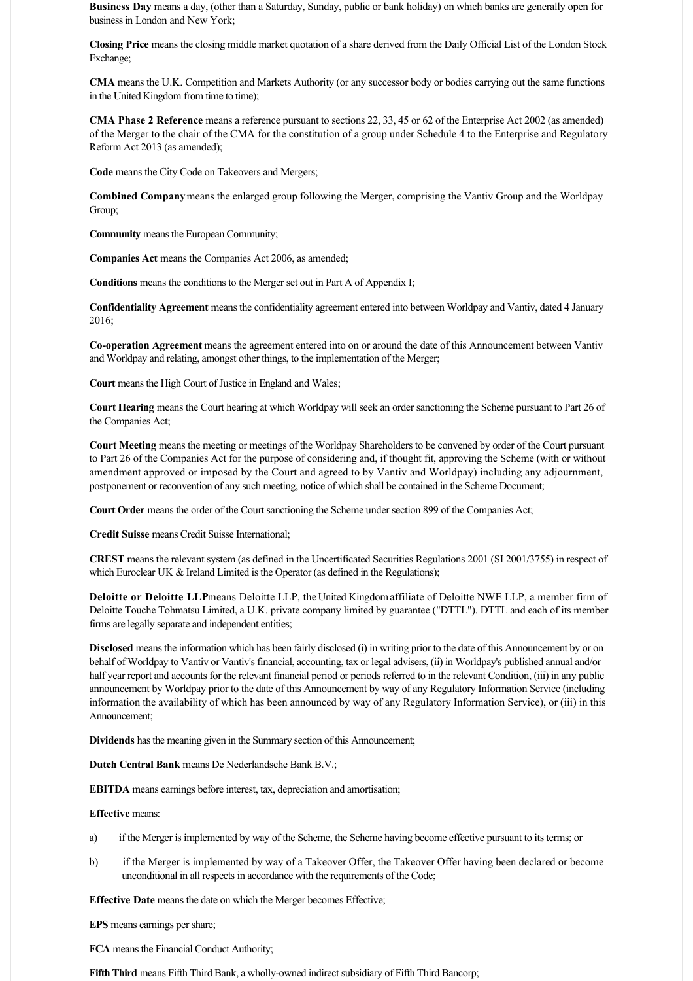**Business Day** means a day, (other than a Saturday, Sunday, public or bank holiday) on which banks are generally open for business in London and New York;

**Closing Price** means the closing middle market quotation of a share derived from the Daily Official List of the London Stock Exchange;

**CMA** means the U.K. Competition and Markets Authority (or any successor body or bodies carrying out the same functions in the United Kingdom from time to time);

**CMA Phase 2 Reference** means a reference pursuant to sections 22, 33, 45 or 62 of the Enterprise Act 2002 (as amended) of the Merger to the chair of the CMA for the constitution of a group under Schedule 4 to the Enterprise and Regulatory Reform Act 2013 (as amended);

**Code** means the City Code on Takeovers and Mergers;

**Combined Company** means the enlarged group following the Merger, comprising the Vantiv Group and the Worldpay Group;

**Community** means the European Community;

**Companies Act** means the Companies Act 2006, as amended;

**Conditions** means the conditions to the Merger set out in Part A of Appendix I;

**Confidentiality Agreement** means the confidentiality agreement entered into between Worldpay and Vantiv, dated 4 January 2016;

**Cooperation Agreement** means the agreement entered into on or around the date of this Announcement between Vantiv and Worldpay and relating, amongst other things, to the implementation of the Merger;

**Court** means the High Court of Justice in England and Wales;

**Court Hearing** means the Court hearing at which Worldpay will seek an order sanctioning the Scheme pursuant to Part 26 of the Companies Act;

**Court Meeting** means the meeting or meetings of the Worldpay Shareholders to be convened by order of the Court pursuant to Part 26 of the Companies Act for the purpose of considering and, if thought fit, approving the Scheme (with or without amendment approved or imposed by the Court and agreed to by Vantiv and Worldpay) including any adjournment, postponement or reconvention of any such meeting, notice of which shall be contained in the Scheme Document;

**Court Order** means the order of the Court sanctioning the Scheme under section 899 of the Companies Act;

**Credit Suisse** means Credit Suisse International;

**CREST** means the relevant system (as defined in the Uncertificated Securities Regulations 2001 (SI 2001/3755) in respect of which Euroclear UK & Ireland Limited is the Operator (as defined in the Regulations);

**Deloitte or Deloitte LLP** means Deloitte LLP, the United Kingdom affiliate of Deloitte NWE LLP, a member firm of Deloitte Touche Tohmatsu Limited, a U.K. private company limited by guarantee ("DTTL"). DTTL and each of its member firms are legally separate and independent entities;

**Disclosed** means the information which has been fairly disclosed (i) in writing prior to the date of this Announcement by or on behalf of Worldpay to Vantiv or Vantiv's financial, accounting, tax or legal advisers, (ii) in Worldpay's published annual and/or half year report and accounts for the relevant financial period or periods referred to in the relevant Condition, (iii) in any public announcement by Worldpay prior to the date of this Announcement by way of any Regulatory Information Service (including information the availability of which has been announced by way of any Regulatory Information Service), or (iii) in this Announcement;

**Dividends** has the meaning given in the Summary section of this Announcement;

**Dutch Central Bank** means De Nederlandsche Bank B.V.;

**EBITDA** means earnings before interest, tax, depreciation and amortisation;

# **Effective** means:

- a) if the Merger is implemented by way of the Scheme, the Scheme having become effective pursuant to its terms; or
- b) if the Merger is implemented by way of a Takeover Offer, the Takeover Offer having been declared or become unconditional in all respects in accordance with the requirements of the Code;

**Effective Date** means the date on which the Merger becomes Effective;

**EPS** means earnings per share;

**FCA** means the Financial Conduct Authority;

Fifth Third means Fifth Third Bank, a wholly-owned indirect subsidiary of Fifth Third Bancorp;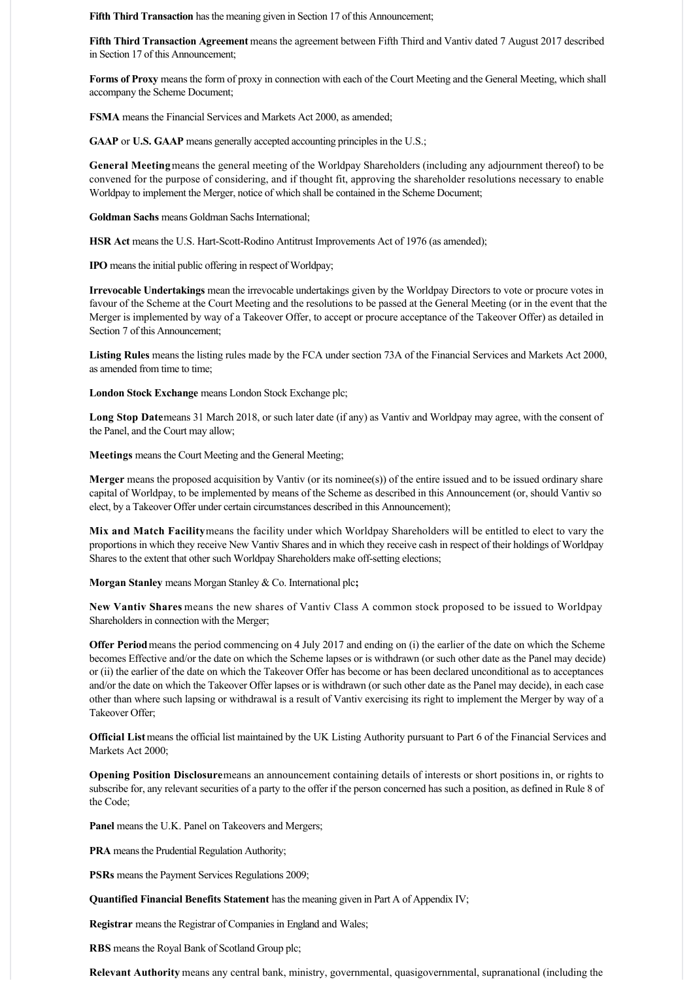**Fifth Third Transaction** has the meaning given in Section 17 of this Announcement;

**Fifth Third Transaction Agreement** means the agreement between Fifth Third and Vantiv dated 7 August 2017 described in Section 17 of this Announcement;

**Forms of Proxy** means the form of proxy in connection with each of the Court Meeting and the General Meeting, which shall accompany the Scheme Document;

**FSMA** means the Financial Services and Markets Act 2000, as amended;

**GAAP** or **U.S. GAAP** means generally accepted accounting principles in the U.S.;

**General Meeting** means the general meeting of the Worldpay Shareholders (including any adjournment thereof) to be convened for the purpose of considering, and if thought fit, approving the shareholder resolutions necessary to enable Worldpay to implement the Merger, notice of which shall be contained in the Scheme Document;

**Goldman Sachs** means Goldman Sachs International;

**HSR Act** means the U.S. Hart-Scott-Rodino Antitrust Improvements Act of 1976 (as amended);

**IPO** means the initial public offering in respect of Worldpay;

**Irrevocable Undertakings** mean the irrevocable undertakings given by the Worldpay Directors to vote or procure votes in favour of the Scheme at the Court Meeting and the resolutions to be passed at the General Meeting (or in the event that the Merger is implemented by way of a Takeover Offer, to accept or procure acceptance of the Takeover Offer) as detailed in Section 7 of this Announcement;

**Listing Rules** means the listing rules made by the FCA under section 73A of the Financial Services and Markets Act 2000, as amended from time to time;

**London Stock Exchange** means London Stock Exchange plc;

Long Stop Datemeans 31 March 2018, or such later date (if any) as Vantiv and Worldpay may agree, with the consent of the Panel, and the Court may allow;

**Meetings** means the Court Meeting and the General Meeting;

**Merger** means the proposed acquisition by Vantiv (or its nominee(s)) of the entire issued and to be issued ordinary share capital of Worldpay, to be implemented by means of the Scheme as described in this Announcement (or, should Vantiv so elect, by a Takeover Offer under certain circumstances described in this Announcement);

**Mix and Match Facility** means the facility under which Worldpay Shareholders will be entitled to elect to vary the proportions in which they receive New Vantiv Shares and in which they receive cash in respect of their holdings of Worldpay Shares to the extent that other such Worldpay Shareholders make off-setting elections;

**Morgan Stanley** means Morgan Stanley & Co. International plc**;**

**New Vantiv Shares** means the new shares of Vantiv Class A common stock proposed to be issued to Worldpay Shareholders in connection with the Merger;

**Offer Period** means the period commencing on 4 July 2017 and ending on (i) the earlier of the date on which the Scheme becomes Effective and/or the date on which the Scheme lapses or is withdrawn (or such other date as the Panel may decide) or (ii) the earlier of the date on which the Takeover Offer has become or has been declared unconditional as to acceptances and/or the date on which the Takeover Offer lapses or is withdrawn (or such other date as the Panel may decide), in each case other than where such lapsing or withdrawal is a result of Vantiv exercising its right to implement the Merger by way of a Takeover Offer;

**Official List** means the official list maintained by the UK Listing Authority pursuant to Part 6 of the Financial Services and Markets Act 2000;

**Opening Position Disclosure** means an announcement containing details of interests or short positions in, or rights to subscribe for, any relevant securities of a party to the offer if the person concerned has such a position, as defined in Rule 8 of the Code;

Panel means the U.K. Panel on Takeovers and Mergers;

**PRA** means the Prudential Regulation Authority;

**PSRs** means the Payment Services Regulations 2009;

**Quantified Financial Benefits Statement** has the meaning given in Part A of Appendix IV;

**Registrar** means the Registrar of Companies in England and Wales;

**RBS** means the Royal Bank of Scotland Group plc;

**Relevant Authority** means any central bank, ministry, governmental, quasigovernmental, supranational (including the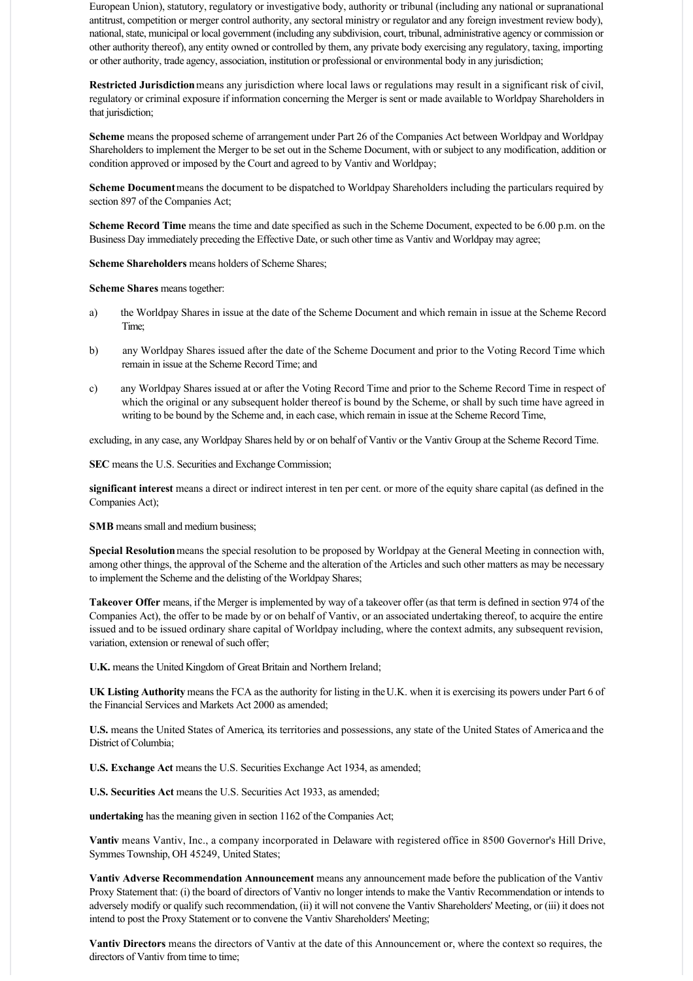European Union), statutory, regulatory or investigative body, authority or tribunal (including any national or supranational antitrust, competition or merger control authority, any sectoral ministry or regulator and any foreign investment review body), national, state, municipal or local government (including any subdivision, court, tribunal, administrative agency or commission or other authority thereof), any entity owned or controlled by them, any private body exercising any regulatory, taxing, importing or other authority, trade agency, association, institution or professional or environmental body in any jurisdiction;

**Restricted Jurisdiction** means any jurisdiction where local laws or regulations may result in a significant risk of civil, regulatory or criminal exposure if information concerning the Merger is sent or made available to Worldpay Shareholders in that jurisdiction;

**Scheme** means the proposed scheme of arrangement under Part 26 of the Companies Act between Worldpay and Worldpay Shareholders to implement the Merger to be set out in the Scheme Document, with or subject to any modification, addition or condition approved or imposed by the Court and agreed to by Vantiv and Worldpay;

**Scheme Document** means the document to be dispatched to Worldpay Shareholders including the particulars required by section 897 of the Companies Act;

**Scheme Record Time** means the time and date specified as such in the Scheme Document, expected to be 6.00 p.m. on the Business Day immediately preceding the Effective Date, or such other time as Vantiv and Worldpay may agree;

**Scheme Shareholders** means holders of Scheme Shares;

**Scheme Shares** means together:

- a) the Worldpay Shares in issue at the date of the Scheme Document and which remain in issue at the Scheme Record Time;
- b) any Worldpay Shares issued after the date of the Scheme Document and prior to the Voting Record Time which remain in issue at the Scheme Record Time; and
- c) any Worldpay Shares issued at or after the Voting Record Time and prior to the Scheme Record Time in respect of which the original or any subsequent holder thereof is bound by the Scheme, or shall by such time have agreed in writing to be bound by the Scheme and, in each case, which remain in issue at the Scheme Record Time,

excluding, in any case, any Worldpay Shares held by or on behalf of Vantiv or the Vantiv Group at the Scheme Record Time.

**SEC** means the U.S. Securities and Exchange Commission;

**significant interest** means a direct or indirect interest in ten per cent. or more of the equity share capital (as defined in the Companies Act);

**SMB** means small and medium business;

**Special Resolution** means the special resolution to be proposed by Worldpay at the General Meeting in connection with, among other things, the approval of the Scheme and the alteration of the Articles and such other matters as may be necessary to implement the Scheme and the delisting of the Worldpay Shares;

**Takeover Offer** means, if the Merger is implemented by way of a takeover offer (as that term is defined in section 974 of the Companies Act), the offer to be made by or on behalf of Vantiv, or an associated undertaking thereof, to acquire the entire issued and to be issued ordinary share capital of Worldpay including, where the context admits, any subsequent revision, variation, extension or renewal of such offer;

**U.K.** means the United Kingdom of Great Britain and Northern Ireland;

**UK Listing Authority** means the FCA as the authority for listing in the U.K. when it is exercising its powers under Part 6 of the Financial Services and Markets Act 2000 as amended;

**U.S.** means the United States of America, its territories and possessions, any state of the United States of America and the District of Columbia;

**U.S. Exchange Act** means the U.S. Securities Exchange Act 1934, as amended;

**U.S. Securities Act** means the U.S. Securities Act 1933, as amended;

**undertaking** has the meaning given in section 1162 of the Companies Act;

**Vantiv** means Vantiv, Inc., a company incorporated in Delaware with registered office in 8500 Governor's Hill Drive, Symmes Township, OH 45249, United States;

**Vantiv Adverse Recommendation Announcement** means any announcement made before the publication of the Vantiv Proxy Statement that: (i) the board of directors of Vantiv no longer intends to make the Vantiv Recommendation or intends to adversely modify or qualify such recommendation, (ii) it will not convene the Vantiv Shareholders' Meeting, or (iii) it does not intend to post the Proxy Statement or to convene the Vantiv Shareholders' Meeting;

**Vantiv Directors** means the directors of Vantiv at the date of this Announcement or, where the context so requires, the directors of Vantiv from time to time;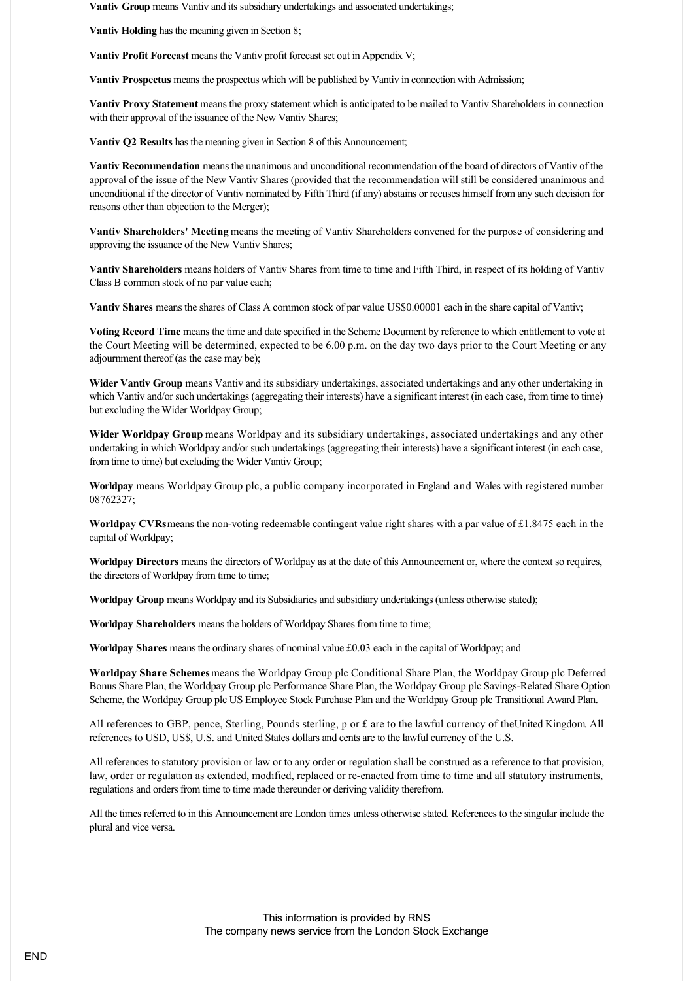**Vantiv Group** means Vantiv and its subsidiary undertakings and associated undertakings;

**Vantiv Holding** has the meaning given in Section 8;

**Vantiv Profit Forecast** means the Vantiv profit forecast set out in Appendix V;

**Vantiv Prospectus** means the prospectus which will be published by Vantiv in connection with Admission;

**Vantiv Proxy Statement** means the proxy statement which is anticipated to be mailed to Vantiv Shareholders in connection with their approval of the issuance of the New Vantiv Shares;

**Vantiv Q2 Results** has the meaning given in Section 8 of this Announcement;

**Vantiv Recommendation** means the unanimous and unconditional recommendation of the board of directors of Vantiv of the approval of the issue of the New Vantiv Shares (provided that the recommendation will still be considered unanimous and unconditional if the director of Vantiv nominated by Fifth Third (if any) abstains or recuses himself from any such decision for reasons other than objection to the Merger);

**Vantiv Shareholders' Meeting** means the meeting of Vantiv Shareholders convened for the purpose of considering and approving the issuance of the New Vantiv Shares;

**Vantiv Shareholders** means holders of Vantiv Shares from time to time and Fifth Third, in respect of its holding of Vantiv Class B common stock of no par value each;

**Vantiv Shares** means the shares of Class A common stock of par value US\$0.00001 each in the share capital of Vantiv;

**Voting Record Time** means the time and date specified in the Scheme Document by reference to which entitlement to vote at the Court Meeting will be determined, expected to be 6.00 p.m. on the day two days prior to the Court Meeting or any adjournment thereof (as the case may be);

**Wider Vantiv Group** means Vantiv and its subsidiary undertakings, associated undertakings and any other undertaking in which Vantiv and/or such undertakings (aggregating their interests) have a significant interest (in each case, from time to time) but excluding the Wider Worldpay Group;

**Wider Worldpay Group** means Worldpay and its subsidiary undertakings, associated undertakings and any other undertaking in which Worldpay and/or such undertakings (aggregating their interests) have a significant interest (in each case, from time to time) but excluding the Wider Vantiv Group;

**Worldpay** means Worldpay Group plc, a public company incorporated in England and Wales with registered number 08762327;

**Worldpay CVRs** means the nonvoting redeemable contingent value right shares with a par value of £1.8475 each in the capital of Worldpay;

**Worldpay Directors** means the directors of Worldpay as at the date of this Announcement or, where the context so requires, the directors of Worldpay from time to time;

**Worldpay Group** means Worldpay and its Subsidiaries and subsidiary undertakings (unless otherwise stated);

**Worldpay Shareholders** means the holders of Worldpay Shares from time to time;

**Worldpay Shares** means the ordinary shares of nominal value £0.03 each in the capital of Worldpay; and

**Worldpay Share Schemes** means the Worldpay Group plc Conditional Share Plan, the Worldpay Group plc Deferred Bonus Share Plan, the Worldpay Group plc Performance Share Plan, the Worldpay Group plc Savings-Related Share Option Scheme, the Worldpay Group plc US Employee Stock Purchase Plan and the Worldpay Group plc Transitional Award Plan.

All references to GBP, pence, Sterling, Pounds sterling, p or £ are to the lawful currency of the United Kingdom. All references to USD, US\$, U.S. and United States dollars and cents are to the lawful currency of the U.S.

All references to statutory provision or law or to any order or regulation shall be construed as a reference to that provision, law, order or regulation as extended, modified, replaced or re-enacted from time to time and all statutory instruments, regulations and orders from time to time made thereunder or deriving validity therefrom.

All the times referred to in this Announcement are London times unless otherwise stated. References to the singular include the plural and vice versa.